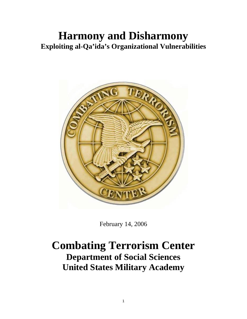## **Harmony and Disharmony Exploiting al-Qa'ida's Organizational Vulnerabilities**



February 14, 2006

# **Combating Terrorism Center Department of Social Sciences United States Military Academy**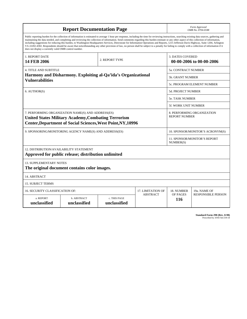| <b>Report Documentation Page</b>                                                                                                                                                                                                                                                                                                                                                                                                                                                                                                                                                                                                                                                                                                                                                                                                                                   |                                                     |                              |                     |                                                     | Form Approved<br>OMB No. 0704-0188                 |  |  |
|--------------------------------------------------------------------------------------------------------------------------------------------------------------------------------------------------------------------------------------------------------------------------------------------------------------------------------------------------------------------------------------------------------------------------------------------------------------------------------------------------------------------------------------------------------------------------------------------------------------------------------------------------------------------------------------------------------------------------------------------------------------------------------------------------------------------------------------------------------------------|-----------------------------------------------------|------------------------------|---------------------|-----------------------------------------------------|----------------------------------------------------|--|--|
| Public reporting burden for the collection of information is estimated to average 1 hour per response, including the time for reviewing instructions, searching existing data sources, gathering and<br>maintaining the data needed, and completing and reviewing the collection of information. Send comments regarding this burden estimate or any other aspect of this collection of information,<br>including suggestions for reducing this burden, to Washington Headquarters Services, Directorate for Information Operations and Reports, 1215 Jefferson Davis Highway, Suite 1204, Arlington<br>VA 22202-4302. Respondents should be aware that notwithstanding any other provision of law, no person shall be subject to a penalty for failing to comply with a collection of information if it<br>does not display a currently valid OMB control number. |                                                     |                              |                     |                                                     |                                                    |  |  |
| 1. REPORT DATE<br><b>14 FEB 2006</b>                                                                                                                                                                                                                                                                                                                                                                                                                                                                                                                                                                                                                                                                                                                                                                                                                               | 2. REPORT TYPE                                      |                              |                     | <b>3. DATES COVERED</b><br>00-00-2006 to 00-00-2006 |                                                    |  |  |
| <b>4. TITLE AND SUBTITLE</b>                                                                                                                                                                                                                                                                                                                                                                                                                                                                                                                                                                                                                                                                                                                                                                                                                                       |                                                     |                              | 5a. CONTRACT NUMBER |                                                     |                                                    |  |  |
| Harmony and Disharmony. Exploiting al-Qa'ida's Organizational<br><b>Vulnerabilities</b>                                                                                                                                                                                                                                                                                                                                                                                                                                                                                                                                                                                                                                                                                                                                                                            |                                                     |                              |                     |                                                     | <b>5b. GRANT NUMBER</b>                            |  |  |
|                                                                                                                                                                                                                                                                                                                                                                                                                                                                                                                                                                                                                                                                                                                                                                                                                                                                    |                                                     |                              |                     |                                                     | 5c. PROGRAM ELEMENT NUMBER                         |  |  |
| 6. AUTHOR(S)                                                                                                                                                                                                                                                                                                                                                                                                                                                                                                                                                                                                                                                                                                                                                                                                                                                       |                                                     |                              |                     |                                                     | 5d. PROJECT NUMBER                                 |  |  |
|                                                                                                                                                                                                                                                                                                                                                                                                                                                                                                                                                                                                                                                                                                                                                                                                                                                                    |                                                     |                              |                     |                                                     | <b>5e. TASK NUMBER</b>                             |  |  |
|                                                                                                                                                                                                                                                                                                                                                                                                                                                                                                                                                                                                                                                                                                                                                                                                                                                                    |                                                     |                              |                     |                                                     | <b>5f. WORK UNIT NUMBER</b>                        |  |  |
| 7. PERFORMING ORGANIZATION NAME(S) AND ADDRESS(ES)<br><b>United States Military Academy, Combating Terrorism</b><br>Center, Department of Social Sciences, West Point, NY, 10996                                                                                                                                                                                                                                                                                                                                                                                                                                                                                                                                                                                                                                                                                   |                                                     |                              |                     |                                                     | 8. PERFORMING ORGANIZATION<br><b>REPORT NUMBER</b> |  |  |
| 9. SPONSORING/MONITORING AGENCY NAME(S) AND ADDRESS(ES)                                                                                                                                                                                                                                                                                                                                                                                                                                                                                                                                                                                                                                                                                                                                                                                                            |                                                     |                              |                     |                                                     | 10. SPONSOR/MONITOR'S ACRONYM(S)                   |  |  |
|                                                                                                                                                                                                                                                                                                                                                                                                                                                                                                                                                                                                                                                                                                                                                                                                                                                                    |                                                     |                              |                     |                                                     | 11. SPONSOR/MONITOR'S REPORT<br>NUMBER(S)          |  |  |
| 12. DISTRIBUTION/AVAILABILITY STATEMENT                                                                                                                                                                                                                                                                                                                                                                                                                                                                                                                                                                                                                                                                                                                                                                                                                            | Approved for public release; distribution unlimited |                              |                     |                                                     |                                                    |  |  |
| <b>13. SUPPLEMENTARY NOTES</b><br>The original document contains color images.                                                                                                                                                                                                                                                                                                                                                                                                                                                                                                                                                                                                                                                                                                                                                                                     |                                                     |                              |                     |                                                     |                                                    |  |  |
| 14. ABSTRACT                                                                                                                                                                                                                                                                                                                                                                                                                                                                                                                                                                                                                                                                                                                                                                                                                                                       |                                                     |                              |                     |                                                     |                                                    |  |  |
| <b>15. SUBJECT TERMS</b>                                                                                                                                                                                                                                                                                                                                                                                                                                                                                                                                                                                                                                                                                                                                                                                                                                           |                                                     |                              |                     |                                                     |                                                    |  |  |
| <b>16. SECURITY CLASSIFICATION OF:</b>                                                                                                                                                                                                                                                                                                                                                                                                                                                                                                                                                                                                                                                                                                                                                                                                                             | 17. LIMITATION OF                                   | 18. NUMBER                   | 19a. NAME OF        |                                                     |                                                    |  |  |
| a. REPORT<br>unclassified                                                                                                                                                                                                                                                                                                                                                                                                                                                                                                                                                                                                                                                                                                                                                                                                                                          | b. ABSTRACT<br>unclassified                         | c. THIS PAGE<br>unclassified | <b>ABSTRACT</b>     | OF PAGES<br>116                                     | <b>RESPONSIBLE PERSON</b>                          |  |  |

| <b>Standard Form 298 (Rev. 8-98)</b> |                               |  |  |
|--------------------------------------|-------------------------------|--|--|
|                                      | Prescribed by ANSI Std Z39-18 |  |  |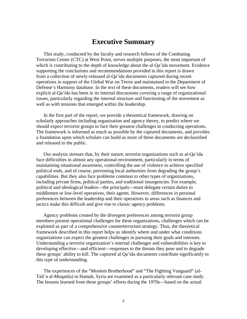## **Executive Summary**

This study, conducted by the faculty and research fellows of the Combating Terrorism Center (CTC) at West Point, serves multiple purposes, the most important of which is contributing to the depth of knowledge about the al-Qa'ida movement. Evidence supporting the conclusions and recommendations provided in this report is drawn from a collection of newly-released al-Qa'ida documents captured during recent operations in support of the Global War on Terror and maintained in the Department of Defense's Harmony database. In the text of these documents, readers will see how explicit al-Qa'ida has been in its internal discussions covering a range of organizational issues, particularly regarding the internal structure and functioning of the movement as well as with tensions that emerged within the leadership.

In the first part of the report, we provide a theoretical framework, drawing on scholarly approaches including organization and agency theory, to predict where we should expect terrorist groups to face their greatest challenges in conducting operations. The framework is informed as much as possible by the captured documents, and provides a foundation upon which scholars can build as more of these documents are declassified and released to the public.

Our analysis stresses that, by their nature, terrorist organizations such as al-Qa'ida face difficulties in almost any operational environment, particularly in terms of maintaining situational awareness, controlling the use of violence to achieve specified political ends, and of course, preventing local authorities from degrading the group's capabilities. But they also face problems common to other types of organizations, including private firms, political parties, and traditional insurgencies. For example, political and ideological leaders—the principals—must delegate certain duties to middlemen or low-level operatives, their agents. However, differences in personal preferences between the leadership and their operatives in areas such as finances and tactics make this difficult and give rise to classic agency problems.

 Agency problems created by the divergent preferences among terrorist group members present operational challenges for these organizations, challenges which can be exploited as part of a comprehensive counterterrorism strategy. Thus, the theoretical framework described in this report helps us identify where and under what conditions organizations can expect the greatest challenges in pursuing their goals and interests. Understanding a terrorist organization's internal challenges and vulnerabilities is key to developing effective—and efficient—responses to the threats they pose and to degrade these groups' ability to kill. The captured al Qa'ida documents contribute significantly to this type of understanding.

 The experiences of the "Moslem Brotherhood" and "The Fighting Vanguard" (al-Tali'a al-Muqatila) in Hamah, Syria are examined as a particularly relevant case study. The lessons learned from these groups' efforts during the 1970s—based on the actual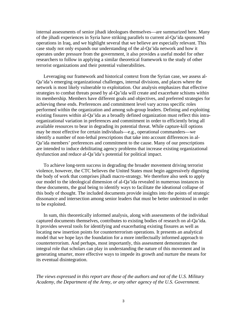internal assessments of senior jihadi ideologues themselves—are summarized here. Many of the jihadi experiences in Syria have striking parallels to current al-Qa'ida sponsored operations in Iraq, and we highlight several that we believe are especially relevant. This case study not only expands our understanding of the al-Qa'ida network and how it operates under pressure from the government, it also provides a useful model for other researchers to follow in applying a similar theoretical framework to the study of other terrorist organizations and their potential vulnerabilities.

 Leveraging our framework and historical context from the Syrian case, we assess al-Qa'ida's emerging organizational challenges, internal divisions, and places where the network is most likely vulnerable to exploitation. Our analysis emphasizes that effective strategies to combat threats posed by al-Qa'ida will create and exacerbate schisms within its membership. Members have different goals and objectives, and preferred strategies for achieving these ends. Preferences and commitment level vary across specific roles performed within the organization and among sub-group leaders. Defining and exploiting existing fissures within al-Qa'ida as a broadly defined organization must reflect this intraorganizational variation in preferences and commitment in order to efficiently bring all available resources to bear in degrading its potential threat. While capture-kill options may be most effective for certain individuals—e.g., operational commanders—we identify a number of non-lethal prescriptions that take into account differences in al-Qa'ida members' preferences and commitment to the cause. Many of our prescriptions are intended to induce debilitating agency problems that increase existing organizational dysfunction and reduce al-Qa'ida's potential for political impact.

To achieve long-term success in degrading the broader movement driving terrorist violence, however, the CTC believes the United States must begin aggressively digesting the body of work that comprises jihadi macro-strategy. We therefore also seek to apply our model to the ideological dimension of al-Qa'ida revealed in numerous instances in these documents, the goal being to identify ways to facilitate the ideational collapse of this body of thought. The included documents provide insights into the points of strategic dissonance and intersection among senior leaders that must be better understood in order to be exploited.

In sum, this theoretically informed analysis, along with assessments of the individual captured documents themselves, contributes to existing bodies of research on al-Qa'ida. It provides several tools for identifying and exacerbating existing fissures as well as locating new insertion points for counterterrorism operations. It presents an analytical model that we hope lays the foundation for a more intellectually informed approach to counterterrorism. And perhaps, most importantly, this assessment demonstrates the integral role that scholars can play in understanding the nature of this movement and in generating smarter, more effective ways to impede its growth and nurture the means for its eventual disintegration.

*The views expressed in this report are those of the authors and not of the U.S. Military Academy, the Department of the Army, or any other agency of the U.S. Government.*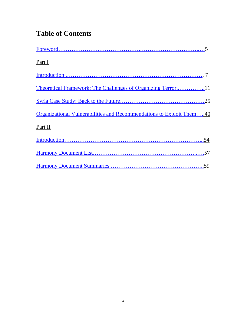## <span id="page-4-0"></span>**Table of Contents**

| Part I                                                               |
|----------------------------------------------------------------------|
|                                                                      |
| Theoretical Framework: The Challenges of Organizing Terror11         |
|                                                                      |
| Organizational Vulnerabilities and Recommendations to Exploit Them40 |
| Part II                                                              |
|                                                                      |
|                                                                      |
|                                                                      |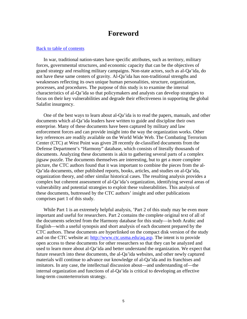## **Foreword**

#### <span id="page-5-0"></span>[Back to table of contents](#page-4-0)

In war, traditional nation-states have specific attributes, such as territory, military forces, governmental structures, and economic capacity that can be the objectives of grand strategy and resulting military campaigns. Non-state actors, such as al-Qa'ida, do not have these same centers of gravity. Al-Qa'ida has non-traditional strengths and weaknesses reflecting its own unique human personalities, structure, organization, processes, and procedures. The purpose of this study is to examine the internal characteristics of al-Qa'ida so that policymakers and analysts can develop strategies to focus on their key vulnerabilities and degrade their effectiveness in supporting the global Salafist insurgency.

One of the best ways to learn about al-Qa'ida is to read the papers, manuals, and other documents which al-Qa'ida leaders have written to guide and discipline their own enterprise. Many of these documents have been captured by military and law enforcement forces and can provide insight into the way the organization works. Other key references are readily available on the World Wide Web. The Combating Terrorism Center (CTC) at West Point was given 28 recently de-classified documents from the Defense Department's "Harmony" database, which consists of literally thousands of documents. Analyzing these documents is akin to gathering several parts of a complex jigsaw puzzle. The documents themselves are interesting, but to get a more complete picture, the CTC authors found that it was important to combine the pieces from the al-Qa'ida documents, other published reports, books, articles, and studies on al-Qa'ida, organization theory, and other similar historical cases. The resulting analysis provides a complex but coherent assessment of al-Qa'ida's organization, identifying several areas of vulnerability and potential strategies to exploit these vulnerabilities. This analysis of these documents, buttressed by the CTC authors' insight and other publications comprises part 1 of this study.

While Part 1 is an extremely helpful analysis, 'Part 2 of this study may be even more important and useful for researchers. Part 2 contains the complete original text of all of the documents selected from the Harmony database for this study—in both Arabic and English—with a useful synopsis and short analysis of each document prepared by the CTC authors. These documents are hyperlinked on the compact disk version of the study and on the CTC website at: [http://www.ctc.usma.edu/aq.asp.](http://www.ctc.usma.edu/aq.asp) The intent is to provide open access to these documents for other researchers so that they can be analyzed and used to learn more about al-Qa'ida and better understand the organization. We expect that future research into these documents, the al-Qa'ida websites, and other newly captured materials will continue to advance our knowledge of al-Qa'ida and its franchises and imitators. In any case, the intellectual discussion about—and understanding of—the internal organization and functions of al-Qa'ida is critical to developing an effective long-term counterterrorism strategy.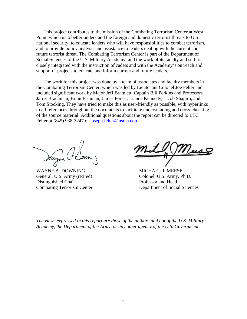This project contributes to the mission of the Combating Terrorism Center at West Point, which is to better understand the foreign and domestic terrorist threats to U.S. national security, to educate leaders who will have responsibilities to combat terrorism, and to provide policy analysis and assistance to leaders dealing with the current and future terrorist threat. The Combating Terrorism Center is part of the Department of Social Sciences of the U.S. Military Academy, and the work of its faculty and staff is closely integrated with the instruction of cadets and with the Academy's outreach and support of projects to educate and inform current and future leaders.

The work for this project was done by a team of associates and faculty members in the Combating Terrorism Center, which was led by Lieutenant Colonel Joe Felter and included significant work by Major Jeff Bramlett, Captain Bill Perkins and Professors Jarret Brachman, Brian Fishman, James Forest, Lianne Kennedy, Jacob Shapiro, and Tom Stocking. They have tried to make this as user-friendly as possible, with hyperlinks to all references throughout the documents to facilitate understanding and cross-checking of the source material. Additional questions about the report can be directed to LTC Felter at (845) 938-3247 or [joseph.felter@usma.edu.](mailto:joseph.felter@usma.edu)

WAYNE A. DOWNING MICHAEL J. MEESE General, U.S. Army (retired) Colonel, U.S. Army, Ph.D. Distinguished Chair Professor and Head Combating Terrorism Center Department of Social Sciences

*The views expressed in this report are those of the authors and not of the U.S. Military Academy, the Department of the Army, or any other agency of the U.S. Government.*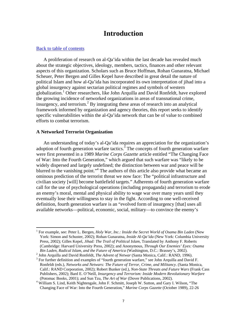## **Introduction**

#### <span id="page-7-0"></span>[Back to table of contents](#page-4-0)

A proliferation of research on al-Qa'ida within the last decade has revealed much about the strategic objectives, ideology, members, tactics, finances and other relevant aspects of this organization. Scholars such as Bruce Hoffman, Rohan Gunaratna, Michael Scheuer, Peter Bergen and Gilles Kepel have described in great detail the nature of political Islam and how al-Qa'ida has incorporated its own interpretation of jihad into a global insurgency against sectarian political regimes and symbols of western globalization.<sup>[1](#page-7-1)</sup> Other researchers, like John Arquilla and David Ronfeldt, have explored the growing incidence of networked organizations in areas of transnational crime, insurgency, and terrorism.<sup>[2](#page-7-2)</sup> By integrating these areas of research into an analytical framework informed by organization and agency theories, this report seeks to identify specific vulnerabilities within the al-Qa'ida network that can be of value to combined efforts to combat terrorism.

#### **A Networked Terrorist Organization**

1

An understanding of today's al-Qa'ida requires an appreciation for the organization's adoption of fourth generation warfare tactics. $3$  The concepts of fourth generation warfare were first presented in a 1989 *Marine Corps Gazette* article entitled "The Changing Face of War: Into the Fourth Generation," which argued that such warfare was "likely to be widely dispersed and largely undefined; the distinction between war and peace will be blurred to the vanishing point."[4](#page-7-4) The authors of this article also provide what became an ominous prediction of the terrorist threat we now face: The "political infrastructure and civilian society [will] become battlefield targets." Adherents of fourth generation warfare call for the use of psychological operations (including propaganda) and terrorism to erode an enemy's moral, mental and physical ability to wage war over many years until they eventually lose their willingness to stay in the fight. According to one well-received definition, fourth generation warfare is an "evolved form of insurgency [that] uses all available networks—political, economic, social, military—to convince the enemy's

<span id="page-7-1"></span><sup>&</sup>lt;sup>1</sup> For example, see: Peter L. Bergen, *Holy War, Inc.: Inside the Secret World of Osama Bin Laden* (New York: Simon and Schuster, 2002); Rohan Gunaratna, *Inside Al-Qa'ida* (New York: Columbia University Press, 2002); Gilles Kepel, *Jihad: The Trail of Political Islam,* Translated by Anthony F. Roberts (Cambridge: Harvard University Press, 2002); and Anonymous, *Through Our Enemies' Eyes: Osama Bin Laden, Radical Islam, and the Future of America* (Washington, D.C.: Brassey's, 2002). 2

<span id="page-7-2"></span><sup>&</sup>lt;sup>2</sup> John Arquilla and David Ronfeldt, *The Advent of Netwar* (Santa Monica, Calif.: RAND, 1996).<br><sup>3</sup> For further definition and examples of "fourth generation warfare" see John Arquilla and David

<span id="page-7-3"></span>For further definition and examples of "fourth generation warfare," see John Arquilla and David F. Ronfeldt (eds.), *Networks and Netwars: The Future of Terror, Crime, and Militancy*. (Santa Monica, Calif.: RAND Corporation, 2002); Robert Bunker (ed.), *Non-State Threats and Future Wars* (Frank Cass Publishers, 2002); Bard E. O'Neill, *Insurgency and Terrorism: Inside Modern Revolutionary Warfare* (Potomac Books, 2001); and Sun Tzu, *The Art of War* (Dover Publications, 2002). 4

<span id="page-7-4"></span><sup>&</sup>lt;sup>4</sup> William S. Lind, Keith Nightengale, John F. Schmitt, Joseph W. Sutton, and Gary I. Wilson, "The Changing Face of War: Into the Fourth Generation," *Marine Corps Gazette* (October 1989), 22-26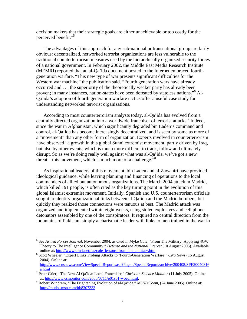decision makers that their strategic goals are either unachievable or too costly for the perceived benefit."[5](#page-8-0)

The advantages of this approach for any sub-national or transnational group are fairly obvious: decentralized, networked terrorist organizations are less vulnerable to the traditional counterterrorism measures used by the hierarchically organized security forces of a national government. In February 2002, the Middle East Media Research Institute (MEMRI) reported that an al-Qa'ida document posted to the Internet embraced fourthgeneration warfare. "This new type of war presents significant difficulties for the Western war machine" the publication said. "Fourth generation wars have already occurred and . . . the superiority of the theoretically weaker party has already been proven; in many instances, nation-states have been defeated by stateless nations."<sup>[6](#page-8-1)</sup> Al-Qa'ida's adoption of fourth generation warfare tactics offer a useful case study for understanding networked terrorist organizations.

According to most counterterrorism analysts today, al-Qa'ida has evolved from a centrallydirected organization into a worldwide franchiser of terrorist attacks.<sup>7</sup> Indeed, since the war in Afghanistan, which significantly degraded bin Laden's command and control, al-Qa'ida has become increasingly decentralized, and is seen by some as more of a "movement" than any other form of organization. Experts involved in counterterrorism have observed "a growth in this global Sunni extremist movement, partly driven by Iraq, but also by other events, which is much more difficult to track, follow and ultimately disrupt. So as we're doing really well against what was al-Qa'ida, we've got a new threat—this movement, which is much more of a challenge.<sup>"[8](#page-8-3)</sup>

As inspirational leaders of this movement, bin Laden and al-Zawahiri have provided ideological guidance, while leaving planning and financing of operations to the local commanders of allied but autonomous organizations. The March 2004 attack in Madrid, which killed 191 people, is often cited as the key turning point in the evolution of this global Islamist extremist movement. Initially, Spanish and U.S. counterterrorism officials sought to identify organizational links between al-Qa'ida and the Madrid bombers, but quickly they realized those connections were tenuous at best. The Madrid attack was organized and implemented within eight weeks, using stolen explosives and cell phone detonators assembled by one of the conspirators. It required no central direction from the mountains of Pakistan, simply a charismatic leader with links to men trained in the war in

<span id="page-8-0"></span><sup>5</sup> See *Armed Forces Journal,* November 2004, as cited in Myke Cole, "From The Military: Applying 4GW Theory to The Intelligence Community," *Defense and the National Interest* (10 August 2005). Available online at: [http://www.d-n-i.net/fcs/cole\\_lessons\\_from\\_the\\_military.htm](http://www.d-n-i.net/fcs/cole_lessons_from_the_military.htm)

<span id="page-8-1"></span><sup>&</sup>lt;sup>6</sup> Scott Wheeler, "Expert Links Probing Attacks to 'Fourth-Generation Warfare'" *CNS News* (16 August 2004). Online at:

[http://www.cnsnews.com/ViewSpecialReports.asp?Page=/SpecialReports/archive/200408/SPE20040816](http://www.cnsnews.com/ViewSpecialReports.asp?Page=/SpecialReports/archive/200408/SPE20040816a.html) [a.html](http://www.cnsnews.com/ViewSpecialReports.asp?Page=/SpecialReports/archive/200408/SPE20040816a.html) <sup>7</sup>

<span id="page-8-2"></span>Peter Grier, "The New Al Qa'ida: Local Franchiser," *Christian Science Monitor* (11 July 2005). Online at:<http://www.csmonitor.com/2005/0711/p01s01-woeu.html>. 8

<span id="page-8-3"></span><sup>&</sup>lt;sup>8</sup> Robert Windrem, "The Frightening Evolution of al-Qa'ida," *MSNBC.com*, (24 June 2005). Online at: <http://msnbc.msn.com/id/8307333>.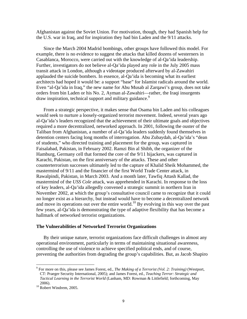Afghanistan against the Soviet Union. For motivation, though, they had Spanish help for the U.S. war in Iraq, and for inspiration they had bin Laden and the 9/11 attacks.

Since the March 2004 Madrid bombings, other groups have followed this model. For example, there is no evidence to suggest the attacks that killed dozens of westerners in Casablanca, Morocco, were carried out with the knowledge of al-Qa'ida leadership. Further, investigators do not believe al-Qa'ida played any role in the July 2005 mass transit attack in London, although a videotape produced afterward by al-Zawahiri applauded the suicide bombers. In essence, al-Qa'ida is becoming what its earliest architects had hoped it would be: a support "base" for Islamist radicals around the world. Even "al-Qa'ida in Iraq," the new name for Abu Musab al Zarqawi's group, does not take orders from bin Laden or his No. 2, Ayman al-Zawahiri—rather, the Iraqi insurgents draw inspiration, technical support and military guidance.<sup>[9](#page-9-0)</sup>

From a strategic perspective, it makes sense that Osama bin Laden and his colleagues would seek to nurture a loosely-organized terrorist movement. Indeed, several years ago al-Qa'ida's leaders recognized that the achievement of their ultimate goals and objectives required a more decentralized, networked approach. In 2001, following the ouster of the Taliban from Afghanistan, a number of al-Qa'ida leaders suddenly found themselves in detention centers facing long months of interrogation. Abu Zubaydah, al-Qa'ida's "dean of students," who directed training and placement for the group, was captured in Faisalabad, Pakistan, in February 2002. Ramzi Bin al Shibh, the organizer of the Hamburg, Germany cell that formed the core of the 9/11 hijackers, was captured in Karachi, Pakistan, on the first anniversary of the attacks. These and other counterterrorism successes ultimately led to the capture of Khalid Sheik Mohammed, the mastermind of 9/11 and the financier of the first World Trade Center attack, in Rawalpindi, Pakistan, in March 2003. And a month later, Tawfiq Attash Kallad, the mastermind of the *USS Cole* attack, was apprehended in Karachi. In response to the loss of key leaders, al-Qa'ida allegedly convened a strategic summit in northern Iran in November 2002, at which the group's consultative council came to recognize that it could no longer exist as a hierarchy, but instead would have to become a decentralized network and move its operations out over the entire world.<sup>10</sup> By evolving in this way over the past few years, al-Qa'ida is demonstrating the type of adaptive flexibility that has become a hallmark of networked terrorist organizations.

#### **The Vulnerabilities of Networked Terrorist Organizations**

By their unique nature, terrorist organizations face difficult challenges in almost any operational environment, particularly in terms of maintaining situational awareness, controlling the use of violence to achieve specified political ends, and of course, preventing the authorities from degrading the group's capabilities. But, as Jacob Shapiro

1

<span id="page-9-0"></span><sup>9</sup> For more on this, please see James Forest, ed., *The Making of a Terrorist (Vol. 2: Training)* (Westport, CT: Praeger Security International, 2005); and James Forest, ed., *Teaching Terror: Strategic and Tactical Learning in the Terrorist World* (Lanham, MD: Rowman & Littlefield; forthcoming, May

<span id="page-9-1"></span><sup>2006). 10</sup> Robert Windrem, 2005.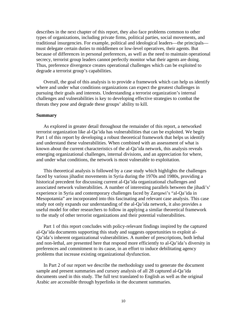describes in the next chapter of this report, they also face problems common to other types of organizations, including private firms, political parties, social movements, and traditional insurgencies. For example, political and ideological leaders—the principals must delegate certain duties to middlemen or low-level operatives, their agents. But because of differences in personal preferences, as well as the need to maintain operational secrecy, terrorist group leaders cannot perfectly monitor what their agents are doing. Thus, preference divergence creates operational challenges which can be exploited to degrade a terrorist group's capabilities.

Overall, the goal of this analysis is to provide a framework which can help us identify where and under what conditions organizations can expect the greatest challenges in pursuing their goals and interests. Understanding a terrorist organization's internal challenges and vulnerabilities is key to developing effective strategies to combat the threats they pose and degrade these groups' ability to kill.

#### **Summary**

As explored in greater detail throughout the remainder of this report, a networked terrorist organization like al-Qa'ida has vulnerabilities that can be exploited. We begin Part 1 of this report by developing a robust theoretical framework that helps us identify and understand these vulnerabilities. When combined with an assessment of what is known about the current characteristics of the al-Qa'ida network, this analysis reveals emerging organizational challenges, internal divisions, and an appreciation for where, and under what conditions, the network is most vulnerable to exploitation.

This theoretical analysis is followed by a case study which highlights the challenges faced by various jihadist movements in Syria during the 1970s and 1980s, providing a historical precedent for discussing current al-Qa'ida organizational challenges and associated network vulnerabilities. A number of interesting parallels between the jihadi's' experience in Syria and contemporary challenges faced by Zarqawi's "al-Qa'ida in Mesopotamia" are incorporated into this fascinating and relevant case analysis. This case study not only expands our understanding of the al-Qa'ida network, it also provides a useful model for other researchers to follow in applying a similar theoretical framework to the study of other terrorist organizations and their potential vulnerabilities.

Part 1 of this report concludes with policy-relevant findings inspired by the captured al-Qa'ida documents supporting this study and suggests opportunities to exploit al-Qa'ida's inherent organizational vulnerabilities. A number of prescriptions, both lethal and non-lethal, are presented here that respond more efficiently to al-Qa'ida's diversity in preferences and commitment to its cause, in an effort to induce debilitating agency problems that increase existing organizational dysfunction.

In Part 2 of our report we describe the methodology used to generate the document sample and present summaries and cursory analysis of all 28 captured al-Qa'ida documents used in this study. The full text translated to English as well as the original Arabic are accessible through hyperlinks in the document summaries.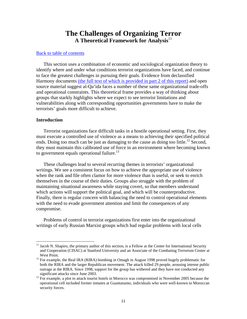## **The Challenges of Organizing Terror A Theoretical Framework for Analysis**<sup>[11](#page-11-1)</sup>

#### <span id="page-11-0"></span>[Back to table of contents](#page-4-0)

This section uses a combination of economic and sociological organization theory to identify where and under what conditions terrorist organizations have faced, and continue to face the greatest challenges in pursuing their goals. Evidence from declassified Harmony documents [\(the full text of which is provided in part 2 of this report\)](#page-56-0) and open source material suggest al-Qa'ida faces a number of these same organizational trade-offs and operational constraints. This theoretical frame provides a way of thinking about groups that starkly highlights where we expect to see terrorist limitations and vulnerabilities along with corresponding opportunities governments have to make the terrorists' goals more difficult to achieve.

#### **Introduction**

 $\overline{a}$ 

Terrorist organizations face difficult tasks in a hostile operational setting. First, they must execute a controlled use of violence as a means to achieving their specified political ends. Doing too much can be just as damaging to the cause as doing too little.<sup>12</sup> Second, they must maintain this calibrated use of force in an environment where becoming known to government equals operational failure. $^{13}$  $^{13}$  $^{13}$ 

These challenges lead to several recurring themes in terrorists' organizational writings. We see a consistent focus on how to achieve the appropriate use of violence when the rank and file often clamor for more violence than is useful, or seek to enrich themselves in the course of their duties. Groups also struggle with the problem of maintaining situational awareness while staying covert, so that members understand which actions will support the political goal, and which will be counterproductive. Finally, there is regular concern with balancing the need to control operational elements with the need to evade government attention and limit the consequences of any compromise.

Problems of control in terrorist organizations first enter into the organizational writings of early Russian Marxist groups which had regular problems with local cells

<span id="page-11-1"></span><sup>&</sup>lt;sup>11</sup> Jacob N. Shapiro, the primary author of this section, is a Fellow at the Center for International Security and Cooperation (CISAC) at Stanford University and an Associate of the Combating Terrorism Center at

<span id="page-11-2"></span>West Point.<br><sup>12</sup> For example, the Real IRA (RIRA) bombing in Omagh in August 1998 proved hugely problematic for both the RIRA and the larger Republican movement. The attack killed 29 people, arousing intense public outrage at the RIRA. Since 1998, support for the group has withered and they have not conducted any

<span id="page-11-3"></span><sup>&</sup>lt;sup>13</sup> For example, a plot to attack tourist hotels in Morocco was compromised in November 2005 because the operational cell included former inmates at Guantanamo, individuals who were well-known to Moroccan security forces.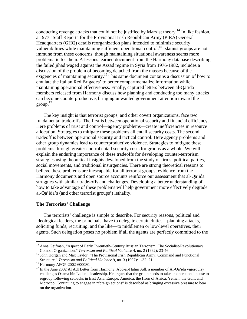conducting revenge attacks that could not be justified by Marxist theory.<sup>14</sup> In like fashion, a 1977 "Staff Report" for the Provisional Irish Republican Army (PIRA) General Headquarters (GHQ) details reorganization plans intended to minimize security vulnerabilities while maintaining sufficient operational control.<sup>15</sup> Islamist groups are not immune from these concerns, though maintaining situational awareness seems more problematic for them. A lessons learned document from the Harmony database describing the failed jihad waged against the Assad regime in Syria from 1976-1982, includes a discussion of the problem of becoming detached from the masses because of the exigencies of maintaining security.<sup>16</sup> This same document contains a discussion of how to emulate the Italian Red Brigades' to better compartmentalize information while maintaining operational effectiveness. Finally, captured letters between al-Qa'ida members released from Harmony discuss how planning and conducting too many attacks can become counterproductive, bringing unwanted government attention toward the group. $17$ 

The key insight is that terrorist groups, and other covert organizations, face two fundamental trade-offs. The first is between operational security and financial efficiency. Here problems of trust and control—agency problems—create inefficiencies in resource allocation. Strategies to mitigate these problems all entail security costs. The second tradeoff is between operational security and tactical control. Here agency problems and other group dynamics lead to counterproductive violence. Strategies to mitigate these problems through greater control entail security costs for groups as a whole. We will explain the enduring importance of these tradeoffs for developing counter-terrorism strategies using theoretical insights developed from the study of firms, political parties, social movements, and traditional insurgencies. There are strong theoretical reasons to believe these problems are inescapable for all terrorist groups; evidence from the Harmony documents and open source accounts reinforce our assessment that al-Qa'ida struggles with similar trade-offs and challenges. Developing a better understanding of how to take advantage of these problems will help government more effectively degrade al-Qa'ida's (and other terrorist groups') lethality.

#### **The Terrorists' Challenge**

The terrorists' challenge is simple to describe. For security reasons, political and ideological leaders, the principals, have to delegate certain duties—planning attacks, soliciting funds, recruiting, and the like—to middlemen or low-level operatives, their agents. Such delegation poses no problem if all the agents are perfectly committed to the

<span id="page-12-0"></span><sup>&</sup>lt;sup>14</sup> Anna Geifman, "Aspect of Early Twentieth-Century Russian Terrorism: The Socialist-Revolutionary Combat Organization," *Terrorism and Political Violence* 4, no. 2 (1992): 23-46.

<span id="page-12-1"></span><sup>&</sup>lt;sup>15</sup> John Horgan and Max Taylor, "The Provisional Irish Republican Army: Command and Functional Structure," *Terrorism and Political Violence* 9, no. 3 (1997): 1-32. 21.

<span id="page-12-3"></span><span id="page-12-2"></span>

Structure," *Terrorism and Political Violence* 9, no. 3 (1997): 1-32. 21. 16 Harmony AFGP-2002-600080. 17 In the June 2002 Al Adl Letter from Harmony, Abd-al-Halim Adl, a member of Al-Qa'ida vigoroulsy challenges Osama bin Laden's leadership. He argues that the group needs to take an operational pause to regroup following setbacks in East Asia, Europe, America, the Horn of Africa, Yemen, the Gulf, and Morocco. Continuing to engage in "foreign actions" is described as bringing excessive pressure to bear on the organization.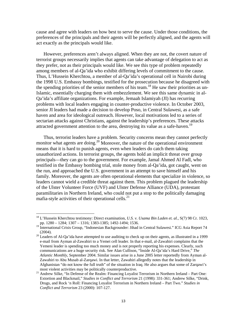cause and agree with leaders on how best to serve the cause. Under those conditions, the preferences of the principals and their agents will be perfectly aligned, and the agents will act exactly as the principals would like.

However, preferences aren't always aligned. When they are not, the covert nature of terrorist groups necessarily implies that agents can take advantage of delegation to act as they prefer, not as their principals would like. We see this type of problem repeatedly among members of al-Qa'ida who exhibit differing levels of commitment to the cause. Thus, L'Hussein Kherchtou, a member of al-Qa'ida's operational cell in Nairobi during the 1998 U.S. Embassy bombings, testified for the prosecution because he disagreed with the spending priorities of the senior members of his team.<sup>18</sup> He saw their priorities as un-Islamic, essentially charging them with embezzlement. We see this same dynamic in al-Qa'ida's affiliate organizations. For example, Jemaah Islamiyah (JI) has recurring problems with local leaders engaging in counter-productive violence. In October 2003, senior JI leaders had made a decision to develop Poso, in Central Sulawesi, as a safe haven and area for ideological outreach. However, local motivations led to a series of sectarian attacks against Christians, against the leadership's preferences. These attacks attracted government attention to the area, destroying its value as a safe-haven.<sup>19</sup>

Thus, terrorist leaders have a problem. Security concerns mean they cannot perfectly monitor what agents are doing.<sup>20</sup> Moreover, the nature of the operational environment means that it is hard to punish agents, even when leaders do catch them taking unauthorized actions. In terrorist groups, the agents hold an implicit threat over group principals—they can go to the government. For example, Jamal Ahmed Al Fadl, who testified in the Embassy bombing trial, stole money from al-Qa'ida, got caught, went on the run, and approached the U.S. government in an attempt to save himself and his family. Moreover, the agents are often operational elements that specialize in violence, so leaders cannot wield a credible threat against them. This problem plagued the leadership of the Ulster Volunteer Force (UVF) and Ulster Defense Alliance (UDA), protestant paramilitaries in Northern Ireland, who could not put a stop to the politically damaging mafia-style activities of their operational cells. $^{21}$  $^{21}$  $^{21}$ 

<span id="page-13-0"></span><sup>18</sup> L'Hussein Kherchtou testimony: Direct examination, *U.S. v. Usama Bin Laden et. al.,* S(7) 98 Cr. 1023,

<span id="page-13-1"></span>pp. 1280 – 1284; 1307 – 1316; 1383-1385; 1492-1494; 1536.<br><sup>19</sup> International Crisis Group, "Indonesian Backgrounder: Jihad in Central Sulawesi." ICG Asia Report 74 (2004).

<span id="page-13-2"></span><sup>&</sup>lt;sup>20</sup> Leaders of Al-Qa'ida have attempted to use auditing to check up on their agents, as illustrated in a 1999 e-mail from Ayman al-Zawahiri to a Yemei cell leader. In that e-mail, al-Zawahiri complains that the Yemeni leader is spending too much money and is not properly reporting his expenses. Clearly, such communications are a huge security risk. See Alan Cullison, "Inside Al-Qa'ida's Hard Drive," *The Atlantic Monthly*, September 2004. Similar issues arise in a June 2005 letter reportedly from Ayman al-Zawahiri to Abu Musab al-Zarqawi. In that letter, Zawahiri allegedly notes that the leadership in Afghanistan "do not know the full truth" of the situation in Iraq. He also argues that some of Zarqawi's most violent activities may be politically counterproductive.<br><sup>21</sup> Andrew Silke, "In Defense of the Realm: Financing Loyalist Terrorism in Northern Ireland – Part One:

<span id="page-13-3"></span>Extortion and Blackmail," *Studies in Conflict and Terrorism* 21 (1998): 331-361; Andrew Silke, "Drink, Drugs, and Rock 'n Roll: Financing Loyalist Terrorism in Northern Ireland – Part Two." *Studies in Conflict and Terrorism* 23 (2000): 107-127.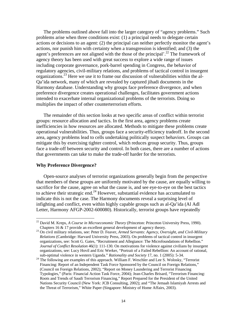The problems outlined above fall into the larger category of "agency problems." Such problems arise when three conditions exist: (1) a principal needs to delegate certain actions or decisions to an agent: (2) the principal can neither perfectly monitor the agent's actions, nor punish him with certainty when a transgression is identified; and (3) the agent's preferences are not aligned with the those of the principal'.<sup>22</sup> The framework of agency theory has been used with great success to explore a wide range of issues including corporate governance, pork-barrel spending in Congress, the behavior of regulatory agencies, civil-military relations, and problems of tactical control in insurgent organizations.<sup>23</sup> Here we use it to frame our discussion of vulnerabilities within the al-Qa'ida network, many of which are revealed by captured jihadi documents in the Harmony database. Understanding why groups face preference divergence, and when preference divergence creates operational challenges, facilitates government actions intended to exacerbate internal organizational problems of the terrorists. Doing so multiplies the impact of other counterterrorism efforts.

The remainder of this section looks at two specific areas of conflict within terrorist groups: resource allocation and tactics. In the first area, agency problems create inefficiencies in how resources are allocated. Methods to mitigate these problems create operational vulnerabilities. Thus, groups face a security-efficiency tradeoff. In the second area, agency problems lead to cells undertaking politically suspect behaviors. Groups can mitigate this by exercising tighter control, which reduces group security. Thus, groups face a trade-off between security and control. In both cases, there are a number of actions that governments can take to make the trade-off harder for the terrorists.

#### **Why Preference Divergence?**

1

Open-source analyses of terrorist organizations generally begin from the perspective that members of these groups are uniformly motivated by the cause, are equally willing to sacrifice for the cause, agree on what the cause is, and see eye-to-eye on the best tactics to achieve their strategic end.<sup>24</sup> However, substantial evidence has accumulated to indicate this is not the case. The Harmony documents reveal a surprising level of infighting and conflict, even within highly capable groups such as al-Qa'ida (Al Adl Letter, Harmony AFGP-2002-600080). Historically, terrorist groups have repeatedly

<span id="page-14-0"></span><sup>&</sup>lt;sup>22</sup> David M. Kreps, *A Course in Microeconomic Theory* (Princeton: Princeton University Press, 1990).<br>Chapters 16 & 17 provide an excellent general development of agency theory.

<span id="page-14-1"></span><sup>&</sup>lt;sup>23</sup> On civil military relations, see: Peter D. Feaver, *Armed Servants: Agency, Oversight, and Civil-Military Relations* (Cambridge: Harvard University Press, 2003). On problems of tactical control in insurgent organizations, see: Scott G. Gates, "Recruitment and Allegiance: The Microfoundations of Rebellion." *Journal of Conflict Resolution* 46(1): 111-130. On motivations for violence against civilians by insurgent organizations, see: Lucy Hovil and Eric Werker, "Portrait of a Failed Rebellion: An account of rational,

<span id="page-14-2"></span>sub-optimal violence in western Uganda." *Rationality and Society* 17, no. 1 (2005): 5-34. 24 The following are examples of this approach. William F. Weschler and Lee S. Wolosky, "Terrorist Financing: Report of an Independent Task Force Sponsored by the Council on Foreign Relations," (Council on Foreign Relations, 2002); "Report on Money Laundering and Terrorist Financing Typologies," (Paris: Financial Action Task Force, 2004); Jean-Charles Brisard, "Terrorism Financing: Roots and Trends of Saudi Terrorism Financing," Report Prepared for the President of the United Nations Security Council (New York: JCB Consulting, 2002); and "The Jemaah Islamiyah Arrests and the Threat of Terrorism," White Paper (Singapore: Ministry of Home Affairs, 2003).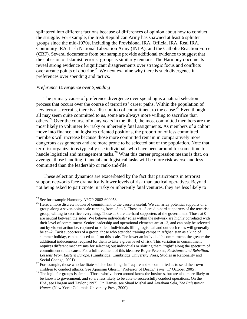splintered into different factions because of differences of opinion about how to conduct the struggle. For example, the Irish Republican Army has spawned at least 6 splinter groups since the mid-1970s, including the Provisional IRA, Official IRA, Real IRA, Continuity IRA, Irish National Liberation Army (INLA), and the Catholic Reaction Force (CRF). Several documents from our sample provide additional evidence to suggest that the cohesion of Islamist terrorist groups is similarly tenuous. The Harmony documents reveal strong evidence of significant disagreements over strategic focus and conflicts over arcane points of doctrine.<sup>[25](#page-15-0)</sup> We next examine why there is such divergence in preferences over spending and tactics.

#### *Preference Divergence over Spending*

The primary cause of preference divergence over spending is a natural selection process that occurs over the course of terrorists' career paths. Within the population of new terrorist recruits, there is a distribution of commitment to the cause.<sup>26</sup> Even though all may seem quite committed to us, some are always more willing to sacrifice than others.<sup>27</sup> Over the course of many years in the jihad, the most committed members are the most likely to volunteer for risky or inherently fatal assignments. As members of a cohort move into finance and logistics oriented positions, the proportion of less committed members will increase because those more committed remain in comparatively more dangerous assignments and are more prone to be selected out of the population. Note that terrorist organizations typically use individuals who have been around for some time to handle logistical and management tasks.<sup>28</sup> What this career progression means is that, on average, those handling financial and logistical tasks will be more risk-averse and less committed than the leadership or rank-and-file.

These selection dynamics are exacerbated by the fact that participants in terrorist support networks face dramatically lower levels of risk than tactical operatives. Beyond not being asked to participate in risky or inherently fatal ventures, they are less likely to

1

<span id="page-15-1"></span><span id="page-15-0"></span>

<sup>&</sup>lt;sup>25</sup> See for example Harmony AFGP-2002-600053.<br><sup>26</sup> Here, a more discrete notion of commitment to the cause is useful. We can array potential supports or a group along a seven-point scale running from –3 to 3. Those at –3 are die-hard supporters of the terrorist group, willing to sacrifice everything. Those at 3 are die-hard supporters of the government. Those at 0 are neutral between the sides. We believe individuals' roles within the network are highly correlated with their level of commitment. Senior leadership and operational elements are at –3, and can only be selected out by violent action i.e. captured or killed. Individuals filling logistical and outreach roles will generally be at –2. Tacit supporters of a group, those who attended training camps in Afghanistan as a kind of summer holiday, can be placed at –1 on this scale. The lower an individual's commitment, the greater the additional inducements required for them to take a given level of risk. This variation in commitment requires different mechanisms for selecting out individuals or shifting them "right" along the spectrum of commitment to the cause. For a full treatment of this idea, see Roger Petersen, *Resistance and Rebellion: Lessons From Eastern Europe*. (Cambridge: Cambridge University Press, Studies in Rationality and Social Change, 2001).  $27$  For example, those who facilitate suicide bombings in Iraq are not so committed as to send their own

<span id="page-15-2"></span>

<span id="page-15-3"></span>children to conduct attacks. See Aparisim Ghosh, "Professor of Death," *Time* (17 October 2005). 28 The logic for groups is simple. Those who've been around know the business, but are also more likely to be known to government, and so are less likely to be able to successfully conduct operations. On the IRA, see Horgan and Taylor (1997). On Hamas, see Shaul Mishal and Avraham Sela, *The Palestinian Hamas* (New York: Columbia University Press, 2000).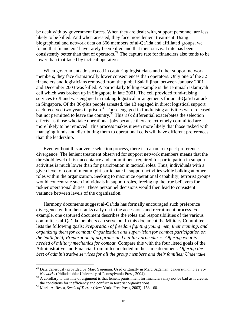be dealt with by government forces. When they are dealt with, support personnel are less likely to be killed. And when arrested, they face more lenient treatment. Using biographical and network data on 366 members of al-Qa'ida and affiliated groups, we found that financiers' have rarely been killed and that their survival rate has been consistently better than that of operators.<sup>29</sup> The capture rate for financiers also tends to be lower than that faced by tactical operatives.

When governments do succeed in capturing logisticians and other support network members, they face dramatically lower consequences than operators. Only one of the 32 financiers and logisticians removed from the global Salafi jihad between January 2001 and December 2003 was killed. A particularly telling example is the Jemmaah Islamiyah cell which was broken up in Singapore in late 2001. The cell provided fund-raising services to JI and was engaged in making logistical arrangements for an al-Qa'ida attack in Singapore. Of the 30-plus people arrested, the 13 engaged in direct logistical support each received two years in prison.[30](#page-16-1) Those engaged in fundraising activities were released but not permitted to leave the country.<sup>31</sup> This risk differential exacerbates the selection effects, as those who take operational jobs because they are extremely committed are more likely to be removed. This process makes it even more likely that those tasked with managing funds and distributing them to operational cells will have different preferences than the leadership.

Even without this adverse selection process, there is reason to expect preference divergence. The lenient treatment observed for support network members means that the threshold level of risk acceptance and commitment required for participation in support activities is much lower than for participation in tactical roles. Thus, individuals with a given level of commitment might participate in support activities while balking at other roles within the organization. Seeking to maximize operational capability, terrorist groups would concentrate such individuals in support roles, freeing up the true believers for riskier operational duties. These personnel decisions would then lead to consistent variance between levels of the organization.

Harmony documents suggest al-Qa'ida has formally encouraged such preference divergence within their ranks early on in the accessions and recruitment process. For example, one captured document describes the roles and responsibilities of the various committees al-Qa'ida members can serve on. In this document the Military Committee lists the following goals: *Preparation of freedom fighting young men, their training, and organizing them for combat; Organization and supervision for combat participation on the battlefield; Preparation of programs and military procedures; Offering what is needed of military mechanics for combat.* Compare this with the four listed goals of the Administrative and Financial Committee included in the same document: *Offering the best of administrative services for all the group members and their families; Undertake* 

1

<span id="page-16-0"></span><sup>29</sup> Data generously provided by Marc Sageman. Used originally in Marc Sageman, *Understanding Terror Networks* (Philadelphia: University of Pennsylvania Press, 2004).<br><sup>30</sup> A corollary to this line of argument is that lenient punishment for financiers may not be bad as it creates

<span id="page-16-1"></span>the conditions for inefficiency and conflict in terrorist organizations. 31 Maria A. Ressa, *Seeds of Terror* (New York: Free Press, 2003): 158-160.

<span id="page-16-2"></span>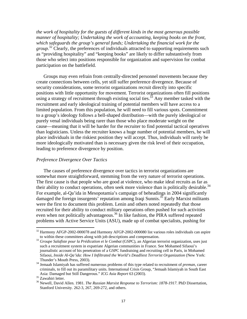*the work of hospitality for the guests of different kinds in the most generous possible manner of hospitality; Undertaking the work of accounting, keeping books on the front, which safeguards the group's general funds; Undertaking the financial work for the*  group.<sup>[32](#page-17-0)</sup> Clearly, the preferences of individuals attracted to supporting requirements such as "providing hospitality" and "keeping books" are likely to differ substantively from those who select into positions responsible for organization and supervision for combat participation on the battlefield.

Groups may even refrain from centrally-directed personnel movements because they create connections between cells, yet still suffer preference divergence. Because of security considerations, some terrorist organizations recruit directly into specific positions with little opportunity for movement. Terrorist organizations often fill positions using a strategy of recruitment through existing social ties.<sup>33</sup> Any member tasked with the recruitment and early ideological training of potential members will have access to a limited population. From this population, he will need to fill various spots. Commitment to a group's ideology follows a bell-shaped distribution—with the purely ideological or purely venal individuals being rarer than those who place moderate weight on the cause—meaning that it will be harder for the recruiter to find potential tactical operatives than logisticians. Unless the recruiter knows a huge number of potential members, he will place individuals in the riskiest position they will accept. Thus, individuals will rarely be more ideologically motivated than is necessary given the risk level of their occupation, leading to preference divergence by position.

#### *Preference Divergence Over Tactics*

The causes of preference divergence over tactics in terrorist organizations are somewhat more straightforward, stemming from the very nature of terrorist operations. The first cause is that people who are good at violence, who make ideal recruits as far as their ability to conduct operations, often seek more violence than is politically desirable.<sup>[34](#page-17-2)</sup> For example, al-Qa'ida in Mesopotamia's campaign of beheadings in 2004 significantly damaged the foreign insurgents' reputation among Iraqi Sunnis.<sup>35</sup> Early Marxist militants were the first to document this problem. Lenin and others noted repeatedly that those recruited for their ability to conduct military operations often pushed for such activities even when not politically advantageous.<sup>36</sup> In like fashion, the PIRA suffered repeated problems with Active Service Units (ASU), made up of combat specialists, pushing for

<span id="page-17-0"></span><sup>&</sup>lt;sup>32</sup> Harmony AFGP-2002-000078 and Harmony AFGP-2002-000080 list various roles individuals can aspire to within these committees along with job descriptions and compensation. 33 *Groupe Salafiste pour la Prédication et le Combat* (GSPC), an Algerian terrorist organization, uses just

<span id="page-17-1"></span>such a recruitment system in expatriate Algerian communities in France. See Mohamed Sifaoui's journalistic account of his penetration of a GSPC fundraising and recruiting cell in Paris, in Mohamed Sifaoui, *Inside Al-Qa'ida: How I Infiltrated the World's Deadliest Terrorist Organization* (New York:

<span id="page-17-2"></span>Thunder's Mouth Press, 2003). 34 Jemaah Islamiyah has suffered numerous problems of this type related to recruitment of *preman*, career criminals, to fill out its paramilitary units. International Crisis Group, "Jemaah Islamiyah in South East Asia: Damaged but Still Dangerous." *ICG Asia Report* 63 (2003).<br><sup>35</sup> Zawahiri letter.<br><sup>36</sup> Newell, David Allen. 1981. *The Russian Marxist Response to Terrorism: 1878-1917*. PhD Dissertation,

<span id="page-17-3"></span>

<span id="page-17-4"></span>Stanford University. 262-3, 267, 269-272, and others.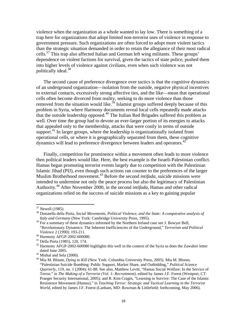violence when the organization as a whole wanted to lay low. There is something of a trap here for organizations that adopt limited non-terrorist uses of violence in response to government pressure. Such organizations are often forced to adopt more violent tactics than the strategic situation demanded in order to retain the allegiance of their most radical cells.<sup>37</sup> This trap also affected Italian and German left wing militants. These groups' dependence on violent factions for survival, given the tactics of state police, pushed them into higher levels of violence against civilians, even when such violence was not politically ideal.<sup>38</sup>

The second cause of preference divergence over tactics is that the cognitive dynamics of an underground organization—isolation from the outside, negative physical incentives to external contacts, excessively strong affective ties, and the like—mean that operational cells often become divorced from reality, seeking to do more violence than those removed from the situation would like.<sup>39</sup> Islamist groups suffered deeply because of this problem in Syria, where Harmony documents reveal local cells repeatedly made attacks that the outside leadership opposed.[40](#page-18-3) The Italian Red Brigades suffered this problem as well. Over time the group had to devote an ever-larger portion of its energies to attacks that appealed only to the membership, attacks that were costly in terms of outside support.<sup>41</sup> In larger groups, where the leadership is organizationally isolated from operational cells, or where it is geographically separated from them, these cognitive dynamics will lead to preference divergence between leaders and operators.<sup>42</sup>

Finally, competition for prominence within a movement often leads to more violence then political leaders would like. Here, the best example is the Israeli-Palestinian conflict. Hamas began promoting terrorist events largely due to competition with the Palestinian Islamic Jihad (PIJ), even though such actions ran counter to the preferences of the larger Muslim Brotherhood movement.<sup>43</sup> Before the second *intifada*, suicide missions were intended to undermine not only the peace process but also the legitimacy of Palestinian Authority.[44](#page-18-7) After November 2000, in the second *intifada*, Hamas and other radical organizations relied on the success of suicide missions as a key to gaining popular

<span id="page-18-0"></span><sup>&</sup>lt;sup>37</sup> Newell (1985).

<span id="page-18-1"></span><sup>&</sup>lt;sup>38</sup> Donatella della Porta, *Social Movements, Political Violence, and the State: A comparative analysis of Italy and Germany* (New York: Cambridge University Press, 1995).

<span id="page-18-2"></span><sup>&</sup>lt;sup>39</sup> For a summary of these dynamics informed by the Northern Ireland case see J. Bowyer Bell, "Revolutionary Dynamics: The Inherent Inefficiencies of the Underground," *Terrorism and Political*

<span id="page-18-3"></span>

<span id="page-18-5"></span><span id="page-18-4"></span>

*Violence* 2 (1990): 193-211.<br><sup>40</sup> Harmony AFGP-2002-600080.<br><sup>41</sup> Della Porta (1985), 120, 174.<br><sup>42</sup> Harmony AFGP-2002-600080 highlights this well in the context of the Syria as does the Zawahiri letter

<span id="page-18-7"></span><span id="page-18-6"></span>

dated June 2005.<br><sup>43</sup> Mishal and Sela (2000).<br><sup>44</sup> Mia M. Bloom, *Dying to Kill* (New York: Columbia University Press, 2005). Mia M. Bloom, "Palestinian Suicide Bombing: Public Support, Market Share, and Outbidding," *Political Science Quarterly*, 119, no. 1 (2004): 61-88. See also, Matthew Levitt, "Hamas Social Welfare: In the Service of Terror," in *The Making of a Terrorist (Vol. 1: Recruitment),* edited by James J.F. Forest (Westport, CT: Praeger Security International, 2005); and R. Kim Cragin, "Learning to Survive: The Case of the Islamic Resistence Movement (Hamas)," in *Teaching Terror: Strategic and Tactical Learning in the Terrorist World*, edited by James J.F. Forest (Lanham, MD: Rowman & Littlefield; forthcoming, May 2006).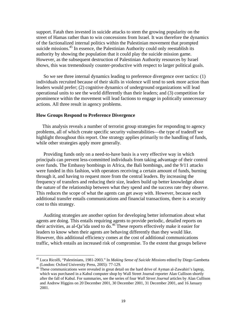support. Fatah then invested in suicide attacks to stem the growing popularity on the street of Hamas rather than to win concessions from Israel. It was therefore the dynamics of the factionalized internal politics within the Palestinian movement that prompted suicide missions. $45$  In essence, the Palestinian Authority could only reestablish its authority by showing the population that it could play the suicide mission game. However, as the subsequent destruction of Palestinian Authority resources by Israel shows, this was tremendously counter-productive with respect to larger political goals.

So we see three internal dynamics leading to preference divergence over tactics: (1) individuals recruited because of their skills in violence will tend to seek more action than leaders would prefer; (2) cognitive dynamics of underground organizations will lead operational units to see the world differently than their leaders; and (3) competition for prominence within the movement will lead factions to engage in politically unnecessary actions. All three result in agency problems.

#### **How Groups Respond to Preference Divergence**

<u>.</u>

 This analysis reveals a number of terrorist group strategies for responding to agency problems, all of which create specific security vulnerabilities—the type of tradeoff we highlight throughout this report. One strategy applies primarily to the handling of funds, while other strategies apply more generally.

Providing funds only on a need-to-have basis is a very effective way in which principals can prevent less-committed individuals from taking advantage of their control over funds. The Embassy bombings in Africa, the Bali bombings, and the 9/11 attacks were funded in this fashion, with operators receiving a certain amount of funds, burning through it, and having to request more from the central leaders. By increasing the frequency of transfers and reducing their size, leaders build up better knowledge about the nature of the relationship between what they spend and the success rate they observe. This reduces the scope of what the agents can get away with. However, because each additional transfer entails communications and financial transactions, there is a security cost to this strategy.

Auditing strategies are another option for developing better information about what agents are doing. This entails requiring agents to provide periodic, detailed reports on their activities, as al-Qa'ida used to do. [46](#page-19-1) These reports effectively make it easier for leaders to know when their agents are behaving differently than they would like. However, this additional efficiency comes at the cost of additional communications traffic, which entails an increased risk of compromise. To the extent that groups believe

<span id="page-19-0"></span><sup>45</sup> Luca Ricolfi, "Palestinians, 1981-2003." In *Making Sense of Suicide Missions* edited by Diego Gambetta

<span id="page-19-1"></span><sup>&</sup>lt;sup>46</sup> These communications were revealed in great detail on the hard drive of Ayman al-Zawahiri's laptop, which was purchased in a Kabul computer shop by Wall Street Journal reporter Alan Cullison shortly after the fall of Kabul. For summaries, see the series of four *Wall Street Journal* articles by Alan Cullison and Andrew Higgins on 20 December 2001, 30 December 2001, 31 December 2001, and 16 January 2001.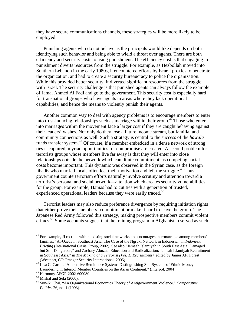they have secure communications channels, these strategies will be more likely to be employed.

Punishing agents who do not behave as the principals would like depends on both identifying such behavior and being able to wield a threat over agents. There are both efficiency and security costs to using punishment. The efficiency cost is that engaging in punishment diverts resources from the struggle. For example, as Hezbollah moved into Southern Lebanon in the early 1980s, it encountered efforts by Israeli proxies to penetrate the organization, and had to create a security bureaucracy to police the organization. While this provided better security, it diverted significant resources from the struggle with Israel. The security challenge is that punished agents can always follow the example of Jamal Ahmed Al Fadl and go to the government. This security cost is especially hard for transnational groups who have agents in areas where they lack operational capabilities, and hence the means to violently punish their agents.

Another common way to deal with agency problems is to encourage members to enter into trust-inducing relationships such as marriage within their group.<sup>[47](#page-20-0)</sup> Those who enter into marriages within the movement face a larger cost if they are caught behaving against their leaders' wishes. Not only do they lose a future income stream, but familial and community connections as well. Such a strategy is central to the success of the *hawala* funds transfer system.<sup>48</sup> Of course, if a member embedded in a dense network of strong ties is captured, myriad opportunities for compromise are created. A second problem for terrorists groups whose members live far away is that they will enter into close relationships outside the network which can dilute commitment, as competing social costs become important. This dynamic was observed in the Syrian case, as the foreign jihadis who married locals often lost their motivation and left the struggle.<sup>49</sup> Thus, government counterterrorism efforts naturally involve scrutiny and attention toward a terrorist's personal and social network—attention which creates security vulnerabilities for the group. For example, Hamas had to cut ties with a generation of trusted, experienced operational leaders because they were easily traced.<sup>50</sup>

Terrorist leaders may also reduce preference divergence by requiring initiation rights that either prove their members' commitment or make it hard to leave the group. The Japanese Red Army followed this strategy, making prospective members commit violent crimes.<sup>51</sup> Some accounts suggest that the training program in Afghanistan served as such

<span id="page-20-0"></span> $47$  For example, JI recruits within existing social networks and encourages intermarriage among members' families. "Al-Qaeda in Southeast Asia: The Case of the Ngruki Network in Indonesia," in *Indonesia Briefing* (International Crisis Group, 2002). See also "Jemaah Islamiyah in South East Asia: Damaged but Still Dangerous," and Zachary Abuza, "Education and Radicalization: Jemaah Islamiyah Recruitment in Southeast Asia," in *The Making of a Terrorist (Vol. 1: Recruitment),* edited by James J.F. Forest

<span id="page-20-1"></span><sup>(</sup>Westport, CT: Praeger Security International, 2005) 48 Lisa C. Caroll, "Alternative Remittance Systems Distinguishing Sub-Systems of Ethnic Money Laundering in Interpol Member Countries on the Asian Continent," (Interpol, 2004).<br><sup>49</sup> Harmony AFGP-2002-600080.

<span id="page-20-2"></span>

<span id="page-20-4"></span><span id="page-20-3"></span>

<sup>&</sup>lt;sup>50</sup> Mishal and Sela (2000).<br><sup>51</sup> Sun-Ki Chai, "An Organizational Economics Theory of Antigovernment Violence." *Comparative Politics* 26, no. 1 (1993).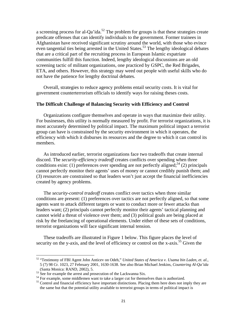a screening process for al-Qa'ida.<sup>52</sup> The problem for groups is that these strategies create predicate offenses that can identify individuals to the government. Former trainees in Afghanistan have received significant scrutiny around the world, with those who evince even tangential ties being arrested in the United States.<sup>53</sup> The lengthy ideological debates that are a critical part of the recruiting process in European Islamic expatriate communities fulfill this function. Indeed, lengthy ideological discussions are an old screening tactic of militant organizations, one practiced by GSPC, the Red Brigades, ETA, and others. However, this strategy may weed out people with useful skills who do not have the patience for lengthy doctrinal debates.

Overall, strategies to reduce agency problems entail security costs. It is vital for government counterterrorism officials to identify ways for raising theses costs.

#### **The Difficult Challenge of Balancing Security with Efficiency and Control**

Organizations configure themselves and operate in ways that maximize their utility. For businesses, this utility is normally measured by profit. For terrorist organizations, it is most accurately determined by political impact. The maximum political impact a terrorist group can have is constrained by the security environment in which it operates, the efficiency with which it disburses its resources and the degree to which it can control its members.

As introduced earlier, terrorist organizations face two tradeoffs that create internal discord. The *security-efficiency tradeoff* creates conflicts over spending when three conditions exist: (1) preferences over spending are not perfectly aligned;<sup>54</sup> (2) principals cannot perfectly monitor their agents' uses of money or cannot credibly punish them; and (3) resources are constrained so that leaders won't just accept the financial inefficiencies created by agency problems.

 The *security-control tradeoff* creates conflict over tactics when three similar conditions are present: (1) preferences over tactics are not perfectly aligned, so that some agents want to attack different targets or want to conduct more or fewer attacks than leaders want; (2) principals cannot perfectly monitor their agents' tactical planning and cannot wield a threat of violence over them; and (3) political goals are being placed at risk by the freelancing of operational elements. Under either of these sets of conditions, terrorist organizations will face significant internal tension.

These tradeoffs are illustrated in Figure 1 below. This figure places the level of security on the y-axis, and the level of efficiency or control on the x-axis.<sup>55</sup> Given the

<u>.</u>

<span id="page-21-0"></span><sup>52 &</sup>quot;Testimony of FBI Agent John Anticev on Odeh," *United States of America v. Usama bin Laden, et. al.,* 5 (7) 98 Cr. 1023, 27 February 2001, 1630-1638. See also Brian Michael Jenkins, *Countering Al-Qa'ida*

<span id="page-21-2"></span><span id="page-21-1"></span>

<sup>(</sup>Santa Monica: RAND, 2002), 5.<br>
<sup>53</sup> See for example the arrest and prosecution of the Lackwanna Six.<br>
<sup>54</sup> For example, some middlemen want to take a larger cut for themselves than is authorized.<br>
<sup>55</sup> Control and financ

<span id="page-21-3"></span>the same but that the potential utility available to terrorist groups in terms of political impact is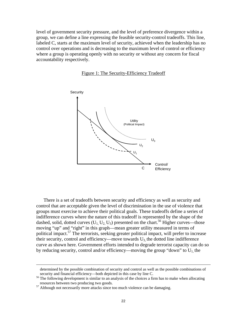level of government security pressure, and the level of preference divergence within a group, we can define a line expressing the feasible security-control tradeoffs. This line, labeled C, starts at the maximum level of security, achieved when the leadership has no control over operations and is decreasing to the maximum level of control or efficiency where a group is operating openly with no security or without any concern for fiscal accountability respectively.

#### Figure 1: The Security-Efficiency Tradeoff



There is a set of tradeoffs between security and efficiency as well as security and control that are acceptable given the level of discrimination in the use of violence that groups must exercise to achieve their political goals. These tradeoffs define a series of indifference curves where the nature of this tradeoff is represented by the shape of the dashed, solid, dotted curves  $(U_1, U_2, U_3)$  presented on the chart.<sup>56</sup> Higher curves—those moving "up" and "right" in this graph—mean greater utility measured in terms of political impact[.57](#page-22-1) The terrorists, seeking greater political impact, will prefer to increase their security, control and efficiency—move towards  $U_3$  the dotted line indifference curve as shown here. Government efforts intended to degrade terrorist capacity can do so by reducing security, control and/or efficiency—moving the group "down" to  $U_1$ , the

determined by the possible combination of security and control as well as the possible combinations of

<span id="page-22-0"></span>security and financial efficiency—both depicted in this case by line C.<br><sup>56</sup> The following development is similar to an analysis of the choices a firm has to make when allocating resources between two producing two goods. 57 Although not necessarily more attacks since too much violence can be damaging.

<span id="page-22-1"></span>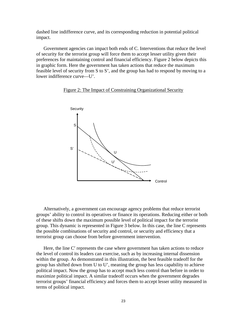dashed line indifference curve, and its corresponding reduction in potential political impact.

Government agencies can impact both ends of C. Interventions that reduce the level of security for the terrorist group will force them to accept lesser utility given their preferences for maintaining control and financial efficiency. Figure 2 below depicts this in graphic form. Here the government has taken actions that reduce the maximum feasible level of security from S to S', and the group has had to respond by moving to a lower indifference curve—U'.

#### Figure 2: The Impact of Constraining Organizational Security



Alternatively, a government can encourage agency problems that reduce terrorist groups' ability to control its operatives or finance its operations. Reducing either or both of these shifts down the maximum possible level of political impact for the terrorist group. This dynamic is represented in Figure 3 below. In this case, the line C represents the possible combinations of security and control, or security and efficiency that a terrorist group can choose from before government intervention.

Here, the line C' represents the case where government has taken actions to reduce the level of control its leaders can exercise, such as by increasing internal dissension within the group. As demonstrated in this illustration, the best feasible tradeoff for the group has shifted down from U to U', meaning the group has less capability to achieve political impact. Now the group has to accept much less control than before in order to maximize political impact. A similar tradeoff occurs when the government degrades terrorist groups' financial efficiency and forces them to accept lesser utility measured in terms of political impact.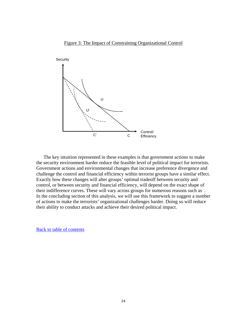#### Figure 3: The Impact of Constraining Organizational Control



The key intuition represented in these examples is that government actions to make the security environment harder reduce the feasible level of political impact for terrorists. Government actions and environmental changes that increase preference divergence and challenge the control and financial efficiency within terrorist groups have a similar effect. Exactly how these changes will alter groups' optimal tradeoff between security and control, or between security and financial efficiency, will depend on the exact shape of their indifference curves. These will vary across groups for numerous reasons such as . In the concluding section of this analysis, we will use this framework to suggest a number of actions to make the terrorists' organizational challenges harder. Doing so will reduce their ability to conduct attacks and achieve their desired political impact.

[Back to table of contents](#page-4-0)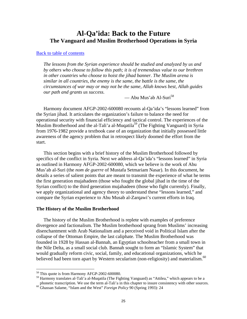## <span id="page-25-0"></span>**Al-Qa'ida: Back to the Future The Vanguard and Muslim Brotherhood Operations in Syria**

#### [Back to table of contents](#page-4-0)

*The lessons from the Syrian experience should be studied and analyzed by us and by others who choose to follow this path; it is of tremendous value to our brethren in other countries who choose to hoist the jihad banner. The Muslim arena is similar in all countries, the enemy is the same, the battle is the same, the circumstances of war may or may not be the same, Allah knows best, Allah guides our path and grants us success.* 

 $-$  Abu Mus'ab Al-Suri<sup>[58](#page-25-1)</sup>

Harmony document AFGP-2002-600080 recounts al-Qa'ida's "lessons learned" from the Syrian jihad. It articulates the organization's failure to balance the need for operational security with financial efficiency and tactical control. The experiences of the Muslim Brotherhood and the al-Tali'a al-Muqatila<sup>59</sup> (The Fighting Vanguard) in Syria from 1976-1982 provide a textbook case of an organization that initially possessed little awareness of the agency problem that in retrospect likely doomed the effort from the start.

This section begins with a brief history of the Muslim Brotherhood followed by specifics of the conflict in Syria. Next we address al-Qa'ida's "lessons learned" in Syria as outlined in Harmony AFGP-2002-600080, which we believe is the work of Abu Mus'ab al-Suri (the *nom de guerre* of Mustafa Setmariam Nasar). In this document, he details a series of salient points that are meant to transmit the experience of what he terms the first generation mujahadeen (those who fought the global jihad in the time of the Syrian conflict) to the third generation mujahadeen (those who fight currently). Finally, we apply organizational and agency theory to understand these "lessons learned," and compare the Syrian experience to Abu Musab al-Zarqawi's current efforts in Iraq.

#### **The History of the Muslim Brotherhood**

The history of the Muslim Brotherhood is replete with examples of preference divergence and factionalism. The Muslim brotherhood sprang from Muslims' increasing disenchantment with Arab Nationalism and a perceived void in Political Islam after the collapse of the Ottoman Empire, the last caliphate. The Muslim Brotherhood was founded in 1928 by Hassan al-Bannah, an Egyptian schoolteacher from a small town in the Nile Delta, as a small social club. Bannah sought to form an "Islamic System" that would gradually reform civic, social, family, and educational organizations, which he believed had been torn apart by Western secularism (non-religiosity) and materialism.<sup>[60](#page-25-3)</sup>

<u>.</u>

<span id="page-25-1"></span><sup>&</sup>lt;sup>58</sup> This quote is from Harmony AFGP-2002-600080.

<span id="page-25-2"></span><sup>&</sup>lt;sup>59</sup> Harmony translates al-Tali'a al-Muqatila (The Fighting Vanguard) as "Attilea," which appears to be a phonetic transcription. We use the term al-Tali'a in this chapter to insure consistency with other sources. 60 Ghassan Salame, "Islam and the West" *Foreign Policy* 90 (Spring 1993): 24

<span id="page-25-3"></span>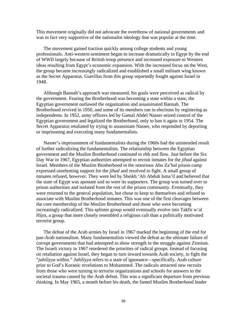This movement originally did not advocate the overthrow of national governments and was in fact very supportive of the nationalist ideology that was popular at the time.

The movement gained traction quickly among college students and young professionals. Anti-western sentiment began to increase dramatically in Egypt by the end of WWII largely because of British troop presence and increased exposure to Western ideas resulting from Egypt's economic expansion. With the increased focus on the West, the group became increasingly radicalized and established a small militant wing known as the Secret Apparatus. Guerillas from this group reportedly fought against Israel in 1948.

Although Bannah's approach was measured, his goals were perceived as radical by the government. Fearing the Brotherhood was becoming a state within a state, the Egyptian government outlawed the organization and assassinated Bannah. The Brotherhood revived in 1950, and some of its members ran in elections by registering as independents. In 1952, army officers led by Gamal Abdel Nasser seized control of the Egyptian government and legalized the Brotherhood, only to ban it again in 1954. The Secret Apparatus retaliated by trying to assassinate Nasser, who responded by deporting or imprisoning and executing many fundamentalists.

Nasser's imprisonment of fundamentalists during the 1960s had the unintended result of further radicalizing the fundamentalists. The relationship between the Egyptian government and the Muslim Brotherhood continued to ebb and flow. Just before the Six Day War in 1967, Egyptian authorities attempted to recruit inmates for the *jihad* against Israel. Members of the Muslim Brotherhood in the notorious Abu Za'bal prison camp expressed unrelenting support for the *jihad* and resolved to fight. A small group of inmates refused, however. They were led by Sheikh 'Ali Abduh Isma'il and believed that the state of Egypt was apostate and so were its supporters. The group was turned over to prison authorities and isolated from the rest of the prison community. Eventually, they were returned to the general population, but chose to keep to themselves and refused to associate with Muslim Brotherhood inmates. This was one of the first cleavages between the core membership of the Muslim Brotherhood and those who were becoming increasingly radicalized. This splinter group would eventually evolve into Takfir w'al Hijra, a group that more closely resembled a religious cult than a politically motivated terrorist group.

The defeat of the Arab armies by Israel in 1967 marked the beginning of the end for pan-Arab nationalism. Many fundamentalists viewed the defeat as the ultimate failure of corrupt governments that had attempted to show strength in the struggle against Zionism. The Israeli victory in 1967 reordered the priorities of radical groups. Instead of focusing on retaliation against Israel, they began to turn inward towards Arab society, to fight the "*jahiliyya* within." *Jahiliyya* refers to a state of ignorance—specifically, Arab culture prior to God's Koranic revelations to Mohammed. The radicals attracted new recruits from those who were turning to terrorist organizations and schools for answers to the societal trauma caused by the Arab defeat. This was a significant departure from previous thinking. In May 1965, a month before his death, the famed Muslim Brotherhood leader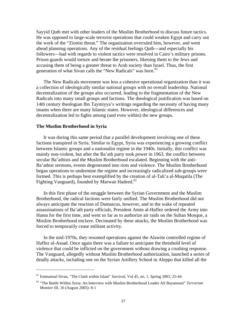Sayyid Qutb met with other leaders of the Muslim Brotherhood to discuss future tactics. He was opposed to large-scale terrorist operations that could weaken Egypt and carry out the work of the "Zionist threat." The organization overruled him, however, and went ahead planning operations. Any of the residual feelings Qutb—and especially his followers—had with regards to violent tactics were resolved in Cairo's military prisons. Prison guards would torture and berate the prisoners, likening them to the Jews and accusing them of being a greater threat to Arab society than Israel. Thus, the first generation of what Sivan calls the "New Radicals" was born.<sup>61</sup>

The New Radicals movement was less a cohesive operational organization than it was a collection of ideologically similar national groups with no overall leadership. National decentralization of the groups also occurred, leading to the fragmentation of the New Radicals into many small groups and factions. The theological justification was based on 14th century theologian Ibn Taymiyya's writings regarding the necessity of having many imams when there are many Islamic states. However, ideological differences and decentralization led to fights among (and even within) the new groups.

#### **The Muslim Brotherhood in Syria**

<u>.</u>

It was during this same period that a parallel development involving one of these factions transpired in Syria. Similar to Egypt, Syria was experiencing a growing conflict between Islamic groups and a nationalist regime in the 1940s. Initially, this conflict was mainly non-violent, but after the Ba'ath party took power in 1963, the conflict between secular Ba'athists and the Muslim Brotherhood escalated. Beginning with the anti-Ba'athist sermons, events degenerated into riots and violence. The Muslim Brotherhood began operations to undermine the regime and increasingly radicalized sub-groups were formed. This is perhaps best exemplified by the creation of al-Tali'a al-Muqatila (The Fighting Vanguard), founded by Marwan Hadeed. $62$ 

In this first phase of the struggle between the Syrian Government and the Muslim Brotherhood, the radical factions were fairly unified. The Muslim Brotherhood did not always anticipate the reaction of Damascus, however, and in the wake of repeated assassinations of Ba'ath party officials, President Amin al-Haffez ordered the Army into Hama for the first time, and went so far as to authorize air raids on the Sultan Mosque, a Muslim Brotherhood enclave. Decimated by these attacks, the Muslim Brotherhood was forced to temporarily cease militant activity.

In the mid-1970s, they resumed operations against the Alawite controlled regime of Haffez al-Assad. Once again there was a failure to anticipate the threshold level of violence that could be inflicted on the government without drawing a crushing response. The Vanguard, allegedly without Muslim Brotherhood authorization, launched a series of deadly attacks, including one on the Syrian Artillery School in Aleppo that killed all the

<span id="page-27-0"></span><sup>61</sup> Emmanual Sivan, "The Clash within Islam" *Survival,* Vol 45, no, 1, Spring 2003, 25-44.

<span id="page-27-1"></span><sup>62 &</sup>quot;The Battle Within Syria: An Interview with Muslim Brotherhood Leader Ali Bayanouni" *Terrorism Monitor* III, 16 (August 2005): 8-1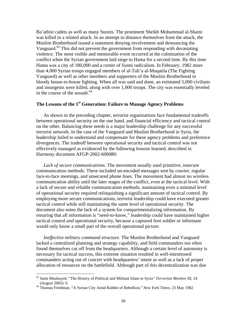Ba'athist cadets as well as many Sunnis. The prominent Sheikh Mohammad al-Shami was killed in a related attack. In an attempt to distance themselves from the attack, the Muslim Brotherhood issued a statement denying involvement and denouncing the Vanguard.<sup>63</sup> This did not prevent the government from responding with devastating violence. The most visible and memorable event occurred at the culmination of the conflict when the Syrian government laid siege to Hama for a second time. By this time Hama was a city of 180,000 and a center of Sunni radicalism. In February, 1982 more than 4,000 Syrian troops engaged members of al-Tali'a al-Muqatila (The Fighting Vanguard) as well as other members and supporters of the Muslim Brotherhood in bloody house-to-house fighting. When all was said and done, an estimated 5,000 civilians and insurgents were killed, along with over 1,000 troops. The city was essentially leveled in the course of the assualt.<sup>[64](#page-28-1)</sup>

### The Lessons of the 1<sup>st</sup> Generation: Failure to Manage Agency Problems

As shown in the preceding chapter, terrorist organizations face fundamental tradeoffs between operational security on the one hand, and financial efficiency and tactical control on the other. Balancing these needs is a major leadership challenge for any successful terrorist network. In the case of the Vanguard and Muslim Brotherhood in Syria, the leadership failed to understand and compensate for these agency problems and preference divergences. The tradeoff between operational security and tactical control was not effectively managed as evidenced by the following lessons learned, described in Harmony document AFGP-2002-600080:

*Lack of secure communications.* The movement usually used primitive, insecure communication methods. These included un-encoded messages sent by courier, regular face-to-face meetings, and unsecured phone lines. The movement had almost no wireless communication ability until the later stages of the conflict, even at the tactical level. With a lack of secure and reliable communication methods, maintaining even a minimal level of operational security required relinquishing a significant amount of tactical control. By employing more secure communications, terrorist leadership could have executed greater tactical control while still maintaining the same level of operational security. The document also notes the lack of a system for compartmentalizing information. By ensuring that all information is "need-to-know," leadership could have maintained higher tactical control *and* operational security, because a captured foot soldier or informant would only know a small part of the overall operational picture.

*Ineffective military command structure.* The Muslim Brotherhood and Vanguard lacked a centralized planning and strategy capability, and field commanders too often found themselves cut off from the headquarters. Although a certain level of autonomy is necessary for tactical success, this extreme situation resulted in well-intentioned commanders acting out of concert with headquarters' intent as well as a lack of proper allocation of resources on the battlefield. Although part of this decentralization was due

<span id="page-28-0"></span><sup>63</sup> Sami Moubayed, "The History of Political and Militant Islam in Syria" *Terrorism Monitor* III, 24

<span id="page-28-1"></span><sup>&</sup>lt;sup>64</sup> Thomas Friedman, "A Syrian City Amid Rubble of Rebellion," *New York Times*, 23 May 1982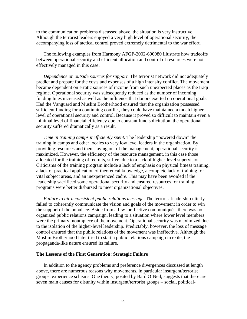to the communication problems discussed above, the situation is very instructive. Although the terrorist leaders enjoyed a very high level of operational security, the accompanying loss of tactical control proved extremely detrimental to the war effort.

The following examples from Harmony AFGP-2002-600080 illustrate how tradeoffs between operational security and efficient allocation and control of resources were not effectively managed in this case:

*Dependence on outside sources for support.* The terrorist network did not adequately predict and prepare for the costs and expenses of a high intensity conflict. The movement became dependent on erratic sources of income from such unexpected places as the Iraqi regime. Operational security was subsequently reduced as the number of incoming funding lines increased as well as the influence that donors exerted on operational goals. Had the Vanguard and Muslim Brotherhood ensured that the organization possessed sufficient funding for a continuing conflict, they could have maintained a much higher level of operational security and control. Because it proved so difficult to maintain even a minimal level of financial efficiency due to constant fund solicitation, the operational security suffered dramatically as a result.

*Time in training camps inefficiently spent.* The leadership "powered down" the training in camps and other locales to very low level leaders in the organization. By providing resources and then staying out of the management, operational security is maximized. However, the efficiency of the resource management, in this case those allocated for the training of recruits, suffers due to a lack of higher-level supervision. Criticisms of the training program include a lack of emphasis on physical fitness training, a lack of practical application of theoretical knowledge, a complete lack of training for vital subject areas, and an inexperienced cadre. This may have been avoided if the leadership sacrificed some operational security and ensured resources for training programs were better disbursed to meet organizational objectives.

*Failure to air a consistent public relations message*. The terrorist leadership utterly failed to coherently communicate the vision and goals of the movement in order to win the support of the populace. Aside from a few ineffective communiqués, there was no organized public relations campaign, leading to a situation where lower level members were the primary mouthpiece of the movement. Operational security was maximized due to the isolation of the higher-level leadership. Predictably, however, the loss of message control ensured that the public relations of the movement was ineffective. Although the Muslim Brotherhood later tried to start a public relations campaign in exile, the propaganda-like nature ensured its failure.

#### **The Lessons of the First Generation: Strategic Failure**

In addition to the agency problems and preference divergences discussed at length above, there are numerous reasons why movements, in particular insurgent/terrorist groups, experience schisms. One theory, posited by Bard O'Neil, suggests that there are seven main causes for disunity within insurgent/terrorist groups – social, political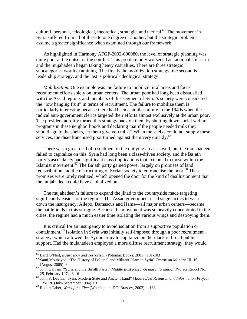cultural, personal, teleological, theoretical, strategic, and tactical.<sup>65</sup> The movement in Syria suffered from all of these to one degree or another, but the strategic problems assume a greater significance when examined through our framework.

As highlighted in Harmony AFGP-2002-600080, the level of strategic planning was quite poor at the outset of the conflict. This problem only worsened as factionalism set in and the mujahadeen began taking heavy casualties. There are three strategic subcategories worth examining. The first is the mobilization strategy, the second is leadership strategy, and the last is political-ideological strategy.

 *Mobilization.* One example was the failure to mobilize rural areas and focus recruitment efforts solely on urban centers. The urban poor had long been dissatisfied with the Assad regime, and members of this segment of Syria's society were considered the "low hanging fruit" in terms of recruitment. The failure to mobilize them is particularly interesting because there had been a similar failure in the 1940s when the radical anti-government clerics targeted their efforts almost exclusively at the urban poor. The president adroitly turned this strategy back on them by shutting down social welfare programs in these neighborhoods and declaring that if the people needed milk they should "go to the sheiks, let them give you milk." When the sheiks could not supply these services, the disenfranchised poor turned against them very quickly.<sup>[66](#page-30-1)</sup>

There was a great deal of resentment in the outlying areas as well, but the mujahadeen failed to capitalize on this. Syria had long been a class-driven society, and the Ba'ath party's ascendancy had significant class implications that extended to those within the Islamist movement.<sup>67</sup> The Ba'ath party gained power largely on promises of land redistribution and the restructuring of Syrian society to enfranchise the poor.<sup>68</sup> These promises were rarely realized, which opened the door for the kind of disillusionment that the mujahadeen could have capitalized on.

The mujahadeen's failure to expand the jihad to the countryside made targeting significantly easier for the regime. The Assad government used siege tactics to wear down the insurgency. Allepo, Damascus and Hama—all major urban centers—became the battlefields in this struggle. Because the movement was so heavily concentrated in the cities, the regime had a much easier time isolating the various wings and destroying them.

It is critical for an insurgency to avoid isolation from a supportive population or containment.<sup>69</sup> Isolation in Syria was initially self-imposed through a poor recruitment strategy, which allowed the Syrian army to capitalize on their lack of broad public support. Had the mujahadeen employed a more diffuse recruitment strategy, they would

<span id="page-30-1"></span><span id="page-30-0"></span>

<sup>65</sup> Bard O'Neil, *Insurgency and Terrorism*, (Potomac Books, 2001): 101-103 66 Sami Moubayed, "The History of Political and Militant Islam in Syria" *Terrorism Monitor* III, 16

<span id="page-30-2"></span><sup>(</sup>August 2005): 6 67 John Galvani, "Syria and the Ba'ath Party," *Middle East Research and Information Project* Report No.

<span id="page-30-3"></span><sup>&</sup>lt;sup>68</sup> John F. Devlin, "Syria: Modern State and Ancient Land" *Middle East Research and Information Project* 125/126 (July-September 1984): 61 69 Robert Taber, *War of the Flea* (Washington, DC: Brassey, 2002) p. 163

<span id="page-30-4"></span>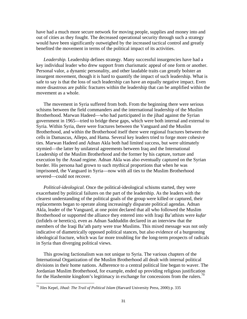have had a much more secure network for moving people, supplies and money into and out of cities as they fought. The decreased operational security through such a strategy would have been significantly outweighed by the increased tactical control and greatly benefited the movement in terms of the political impact of its activities.

 *Leadership.* Leadership defines strategy. Many successful insurgencies have had a key individual leader who drew support from charismatic appeal of one form or another. Personal valor, a dynamic personality, and other laudable traits can greatly bolster an insurgent movement, though it is hard to quantify the impact of such leadership. What is safe to say is that the loss of such leadership can have an equally negative impact. Even more disastrous are public fractures within the leadership that can be amplified within the movement as a whole.

The movement in Syria suffered from both. From the beginning there were serious schisms between the field commanders and the international leadership of the Muslim Brotherhood. Marwan Hadeed—who had participated in the jihad against the Syrian government in 1965—tried to bridge these gaps, which were both internal and external to Syria. Within Syria, there were fractures between the Vanguard and the Muslim Brotherhood, and within the Brotherhood itself there were regional fractures between the cells in Damascus, Allepo, and Hama. Several key leaders tried to forge more cohesive ties. Marwan Hadeed and Adnan Akla both had limited success, but were ultimately stymied—the latter by unilateral agreements between Iraq and the International Leadership of the Muslim Brotherhood and the former by his capture, torture and execution by the Assad regime. Adnan Akla was also eventually captured on the Syrian border. His persona had grown to such mythical proportions that when he was imprisoned, the Vanguard in Syria—now with all ties to the Muslim Brotherhood severed—could not recover.

 *Political-ideological.* Once the political-ideological schisms started, they were exacerbated by political failures on the part of the leadership. As the leaders with the clearest understanding of the political goals of the group were killed or captured, their replacements began to operate along increasingly disparate political agendas. Adnan Akla, leader of the Vanguard, at one point declared that all who followed the Muslim Brotherhood or supported the alliance they entered into with Iraqi Ba'athists were *kufar* (infidels or heretics), even as Adnan Sadduddin declared in an interview that the members of the Iraqi Ba'ath party were true Muslims. This mixed message was not only indicative of diametrically opposed political stances, but also evidence of a burgeoning ideological fracture, which was far more troubling for the long-term prospects of radicals in Syria than diverging political views.

This growing factionalism was not unique to Syria. The various chapters of the International Organization of the Muslim Brotherhood all dealt with internal political divisions in their home nations. Adherence to a central political line began to waver. The Jordanian Muslim Brotherhood, for example, ended up providing religious justification for the Hashemite kingdom's legitimacy in exchange for concessions from the rulers.<sup>[70](#page-31-0)</sup>

<u>.</u>

<span id="page-31-0"></span><sup>70</sup> Jiles Kepel, *Jihad: The Trail of Political Islam* (Harvard University Press, 2000) p. 335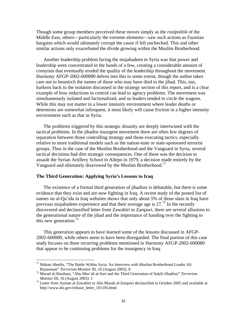Though some group members perceived these moves simply as the *realpolitik* of the Middle East, others—particularly the extreme elements—saw such actions as Faustian bargains which would ultimately corrupt the cause if left unchecked. This and other similar actions only exacerbated the divide growing within the Muslim Brotherhood.

Another leadership problem facing the mujahadeen in Syria was that power and leadership were concentrated in the hands of a few, creating a considerable amount of cronyism that eventually eroded the quality of the leadership throughout the movement. Harmony AFGP-2002-600080 delves into this to some extent, though the author takes care not to besmirch the names of those who may have died in the jihad. This, too, harkens back to the isolation discussed in the strategy section of this report, and is a clear example of how reductions in control can lead to agency problems. The movement was simultaneously isolated and factionalized, and so leaders tended to circle the wagons. While this may not matter in a lower intensity environment where leader deaths or detentions are somewhat infrequent, it most likely will cause friction in a higher intensity environment such as that in Syria.

The problems triggered by this strategic disunity are deeply intertwined with the tactical problems. In the jihadist insurgent movement there are often few degrees of separation between those controlling strategy and those executing tactics, especially relative to more traditional models such as the nation-state or state-sponsored terrorist groups. Thus in the case of the Muslim Brotherhood and the Vanguard in Syria, several tactical decisions had dire strategic consequences. One of these was the decision to assault the Syrian Artillery School in Allepo in 1979, a decision made entirely by the Vanguard and ultimately disavowed by the Muslim Brotherhood.<sup>[71](#page-32-0)</sup>

#### **The Third Generation: Applying Syria's Lessons to Iraq**

 $\overline{a}$ 

The existence of a formal third generation of jihadists is debatable, but there is some evidence that they exist and are now fighting in Iraq. A recent study of the posted list of names on al-Qa'ida in Iraq websites shows that only about 5% of those slain in Iraq have previous mujahadeen experience and that their average age is  $27<sup>72</sup>$  In the recently discovered and declassified letter from Zawahiri to Zarqawi, there are several allusions to the generational nature of the jihad and the importance of handing over the fighting to this new generation.<sup>73</sup>

This generation appears to have learned some of the lessons discussed in AFGP-2002-600080, while others seem to have been disregarded. The final portion of this case study focuses on three recurring problems mentioned in Harmony AFGP-2002-600080 that appear to be continuing problems for the insurgency in Iraq.

<span id="page-32-0"></span><sup>&</sup>lt;sup>71</sup> Mahan Abedin, "The Battle Within Syria: An Interview with Muslim Brotherhood Leader Ali

<span id="page-32-1"></span>Bayanouni" *Terrorism Monitor* III, 16 (August 2005): 8<br><sup>72</sup> Murad al-Shashani, "Abu Mus'ab al-Suri and the Third Generation of Salafi-Jihadists" *Terrorism Monitor* III, 16 (August 2005): 1

<span id="page-32-2"></span><sup>&</sup>lt;sup>73</sup> Letter from Ayman al-Zawahiri to Abu Musab al-Zarqawi declassified in October 2005 and available at http://www.dni.gov/release\_letter\_101105.html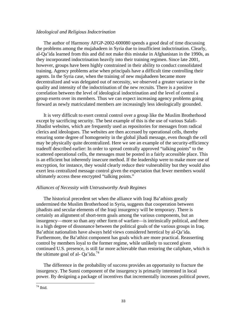#### *Ideological and Religious Indoctrination*

The author of Harmony AFGP-2002-600080 spends a good deal of time discussing the problems among the mujahadeen in Syria due to insufficient indoctrination. Clearly, al-Qa'ida learned from this and did not make this mistake in Afghanistan in the 1990s, as they incorporated indoctrination heavily into their training regimen. Since late 2001, however, groups have been highly constrained in their ability to conduct consolidated training. Agency problems arise when principals have a difficult time controlling their agents. In the Syria case, when the training of new mujahadeen became more decentralized and was delegated out of necessity, we observed a greater variance in the quality and intensity of the indoctrination of the new recruits. There is a positive correlation between the level of ideological indoctrination and the level of control a group exerts over its members. Thus we can expect increasing agency problems going forward as newly matriculated members are increasingly less ideologically grounded.

It is very difficult to exert central control over a group like the Muslim Brotherhood except by sacrificing security. The best example of this is the use of various Salafi-Jihadist websites, which are frequently used as repositories for messages from radical clerics and ideologues. The websites are then accessed by operational cells, thereby ensuring some degree of homogeneity in the global jihadi message, even though the cell may be physically quite decentralized. Here we see an example of the security-efficiency tradeoff described earlier: In order to spread centrally approved "talking points" to the scattered operational cells, the messages must be posted in a fairly accessible place. This is an efficient but inherently insecure method. If the leadership were to make more use of encryption, for instance, they would clearly reduce their vulnerability but they would also exert less centralized message control given the expectation that fewer members would ultimately access these encrypted "talking points."

#### *Alliances of Necessity with Untrustworthy Arab Regimes*

The historical precedent set when the alliance with Iraqi Ba'athists greatly undermined the Muslim Brotherhood in Syria, suggests that cooperation between jihadists and secular elements of the Iraqi insurgency will be temporary. There is certainly an alignment of short-term goals among the various components, but an insurgency—more so than any other form of warfare—is intrinsically political, and there is a high degree of dissonance between the political goals of the various groups in Iraq. Ba'athist nationalists have always held views considered heretical by al-Qa'ida. Furthermore, the Ba'athist component has goals which are more practical. Reasserting control by members loyal to the former regime, while unlikely to succeed given continued U.S. presence, is still far more achievable than restoring the caliphate, which is the ultimate goal of al- $\text{Qa'}$ ida.<sup>74</sup>

The difference in the probability of success provides an opportunity to fracture the insurgency. The Sunni component of the insurgency is primarily interested in local power. By designing a package of incentives that incrementally increases political power,

<span id="page-33-0"></span> $74$  Ibid.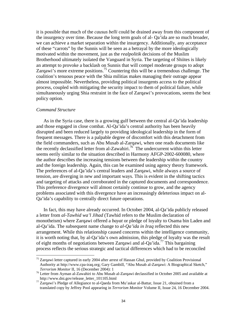it is possible that much of the *causus belli* could be drained away from this component of the insurgency over time. Because the long term goals of al- Qa'ida are so much broader, we can achieve a market separation within the insurgency. Additionally, any acceptance of these "carrots" by the Sunnis will be seen as a betrayal by the more ideologically motivated within the movement, just as the *realpolitik* decisions of the Muslim Brotherhood ultimately isolated the Vanguard in Syria. The targeting of Shiites is likely an attempt to provoke a backlash on Sunnis that will compel moderate groups to adopt Zarqawi's more extreme positions.<sup>75</sup> Countering this will be a tremendous challenge. The coalition's tenuous peace with the Shia militias makes managing their outrage appear almost impossible. Nevertheless, providing political insurgents access to the political process, coupled with mitigating the security impact to them of political failure, while simultaneously urging Shia restraint in the face of Zarqawi's provocations, seems the best policy option.

#### *Command Structure*

<u>.</u>

As in the Syria case, there is a growing gulf between the central al-Qa'ida leadership and those engaged in close combat. Al-Qa'ida's central authority has been heavily disrupted and been reduced largely to providing ideological leadership in the form of frequent messages. There is a palpable degree of discomfort with this detachment from the field commanders, such as Abu Musab al-Zarqawi, when one reads documents like the recently declassified letter from al-Zawahiri.<sup>76</sup> The undercurrent within this letter seems eerily similar to the situation described in Harmony AFGP-2002-600080, where the author describes the increasing tensions between the leadership within the country and the foreign leadership. Again, this can be examined using agency theory framework. The preferences of al-Qa'ida's central leaders and Zarqawi, while always a source of tension, are diverging in new and important ways. This is evident in the shifting tactics and targeting of attacks and corroborated in the captured documents and correspondence. This preference divergence will almost certainly continue to grow, and the agency problems associated with this divergence have an increasingly deleterious impact on al-Qa'ida's capability to centrally direct future operations.

In fact, this may have already occurred. In October 2004, al-Qa'ida publicly released a letter from *al-Tawhid wa'l Jihad* (Tawhid refers to the Muslim declaration of monotheism) where Zarqawi offered a *bayat* or pledge of loyalty to Osama bin Laden and al-Qa'ida. The subsequent name change to *al-Qa'ida in Iraq* reflected this new arrangement. While this relationship caused concerns within the intelligence community, it is worth noting that, by al-Qa'ida's own admission, this pledge of loyalty was the result of eight months of negotiations between Zarqawi and al-Qa'ida.<sup>77</sup> This bargaining process reflects the serious strategic and tactical differences which had to be reconciled

<span id="page-34-0"></span><sup>&</sup>lt;sup>75</sup> Zarqawi letter captured in early 2004 after arrest of Hassan Ghul, provided by Coalition Provisional Authority at http://www.cpa-iraq.org; Gary Gambill, "Abu Musab al-Zarqawi: A Biographical Sketch,"

<span id="page-34-1"></span>*Terrorism Monitor* II, 16 (December 2004): 1<br><sup>76</sup> Letter from Ayman al-Zawahiri to Abu Musab al-Zarqawi declassified in October 2005 and available at<br>http://www.dni.gov/release letter 101105.html

<span id="page-34-2"></span> $\frac{1}{\sqrt{7}}$  Zarqawi's Pledge of Allegiance to al-Qaeda from Mu'askar al-Battar, Issue 21, obtained from a translated copy by Jeffrey Pool appearing in *Terrorism Monitor* Volume II, Issue 24, 16 December 2004.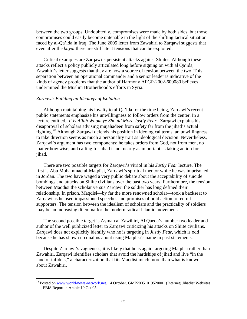between the two groups. Undoubtedly, compromises were made by both sides, but those compromises could easily become untenable in the light of the shifting tactical situation faced by al-Qa'ida in Iraq. The June 2005 letter from Zawahiri to Zarqawi suggests that even after the *bayat* there are still latent tensions that can be exploited.

Critical examples are Zarqawi's persistent attacks against Shiites. Although these attacks reflect a policy publicly articulated long before signing on with al Qa'ida, Zawahiri's letter suggests that they are now a source of tension between the two. This separation between an operational commander and a senior leader is indicative of the kinds of agency problems that the author of Harmony AFGP-2002-600080 believes undermined the Muslim Brotherhood's efforts in Syria.

#### *Zarqawi: Building an Ideology of Isolation*

Although maintaining his loyalty to al-Qa'ida for the time being, Zarqawi's recent public statements emphasize his unwillingness to follow orders from the center. In a lecture entitled, *It is Allah Whom ye Should More Justly Fear,* Zarqawi explains his disapproval of scholars advising mujahadeen from safety far from the jihad's actual fighting.<sup>78</sup> Although Zarqawi defends his position in ideological terms, an unwillingness to take direction seems as much a personality trait as ideological decision. Nevertheless, Zarqawi's argument has two components: he takes orders from God, not from men, no matter how wise; and calling for jihad is not nearly as important as taking action for jihad.

There are two possible targets for Zarqawi's vitriol in his *Justly Fear* lecture. The first is Abu Muhammad al-Maqdisi, Zarqawi's spiritual mentor while he was imprisoned in Jordan. The two have waged a very public debate about the acceptability of suicide bombings and attacks on Shiite civilians over the past two years. Furthermore, the tension between Maqdisi the scholar versus Zarqawi the soldier has long defined their relationship. In prison, Maqdisi—by far the more renowned scholar—took a backseat to Zarqawi as he used impassioned speeches and promises of bold action to recruit supporters. The tension between the idealism of scholars and the practicality of soldiers may be an increasing dilemma for the modern radical Islamic movement.

The second possible target is Ayman al-Zawihiri, Al Qaeda's number two leader and author of the well publicized letter to Zarqawi criticizing his attacks on Shiite civilians. Zarqawi does not explicitly identify who he is targeting in *Justly Fear*, which is odd because he has shown no qualms about using Maqdisi's name in past statements.

Despite Zarqawi's vagueness, it is likely that he is again targeting Maqdisi rather than Zawahiri. Zarqawi identifies scholars that avoid the hardships of jihad and live "in the land of infidels," a characterization that fits Maqdisi much more than what is known about Zawahiri.

1

<span id="page-35-0"></span><sup>&</sup>lt;sup>78</sup> Posted on [www.world-news-network.net.](http://www.world-news-network.net/) 14 October. GMP20051019520001 (Internet) Jihadist Websites

<sup>–</sup> FBIS Report in Arabic 19 Oct 05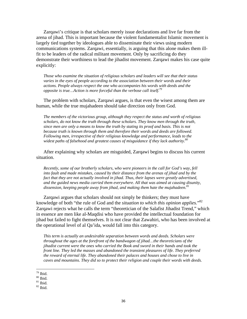Zarqawi's critique is that scholars merely issue declarations and live far from the arena of jihad. This is important because the violent fundamentalist Islamic movement is largely tied together by ideologues able to disseminate their views using modern communications systems. Zarqawi, essentially, is arguing that this alone makes them illfit to be leaders of the radical militant movement. Only by sacrificing do they demonstrate their worthiness to lead the jihadist movement. Zarqawi makes his case quite explicitly:

*Those who examine the situation of religious scholars and leaders will see that their status varies in the eyes of people according to the association between their words and their actions. People always respect the one who accompanies his words with deeds and the opposite is true…Action is more forceful than the verbose call itself. [79](#page-36-0)*

The problem with scholars, Zarqawi argues, is that even the wisest among them are human, while the true mujahadeen should take direction only from God.

*The members of the victorious group, although they respect the status and worth of religious scholars, do not know the truth through these scholars. They know men through the truth, since men are only a means to know the truth by stating its proof and basis. This is not because truth is known through them and therefore their words and deeds are followed. Following men, irrespective of their religious knowledge and performance, leads to the widest paths of falsehood and greatest causes of misguidance if they lack authority. [80](#page-36-1)*

After explaining why scholars are misguided, Zarqawi begins to discuss his current situation.

*Recently, some of our brotherly scholars, who were pioneers in the call for God's way, fell into fault and made mistakes, caused by their distance from the arenas of jihad and by the fact that they are not actually involved in jihad. Thus, their lapses were greatly advertised, and the guided news media carried them everywhere. All that was aimed at causing disunity, dissension, keeping people away from jihad, and making them hate the mujahadeen. [81](#page-36-2)*

Zarqawi argues that scholars should not simply be thinkers; they must have knowledge of both "the rule of God and the *situation to which this opinion applies.*" [82](#page-36-3) Zarqawi rejects what he calls the term "theoretician of the Salafist Jihadist Trend," which in essence are men like al-Maqdisi who have provided the intellectual foundation for jihad but failed to fight themselves. It is not clear that Zawahiri, who has been involved at the operational level of al Qa'ida, would fall into this category.

*This term is actually an undesirable separation between words and deeds. Scholars were throughout the ages at the forefront of the bandwagon of jihad…the theoreticians of the jihadist current were the ones who carried the Book and sword in their hands and took the front line. They led the masses and abandoned the transient pleasures of life. They preferred the reward of eternal life. They abandoned their palaces and houses and chose to live in caves and mountains. They did so to protect their religion and couple their words with deeds.*

<span id="page-36-0"></span> $79$  Ibid.

<span id="page-36-1"></span> $\frac{80}{81}$  Ibid.<br> $\frac{81}{82}$  Ibid.

<span id="page-36-2"></span>

<span id="page-36-3"></span>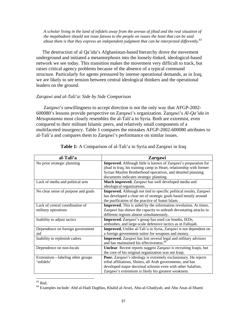*A scholar living in the land of infidels away from the arenas of jihad and the real situation of the mujahadeen should not issue fatwas to the people on issues the least that can be said about them is that they express an independent judgment that can be interpreted differently.* [83](#page-37-0)

 The destruction of al Qa'ida's Afghanistan-based hierarchy drove the movement underground and initiated a metamorphosis into the loosely-linked, ideological-based network we see today. This transition makes the movement very difficult to track, but raises critical agency problems because of the absence of a typical command structure. Particularly for agents pressured by intense operational demands, as in Iraq, we are likely to see tension between central ideological thinkers and the operational leaders on the ground.

## *Zarqawi and al-Tali'a*: *Side by Side Comparison*

Zarqawi's unwillingness to accept direction is not the only way that AFGP-2002- 600080's lessons provide perspective on Zarqawi's organization. Zarqawi's *Al-Qa'ida in Mesopotamia* most closely resembles the al-Tali'a in Syria. Both are extremist, even compared to their militant Islamic peers, and relatively small components of a multifaceted insurgency. Table 1 compares the mistakes AFGP-2002-600080 attributes to al-Tali'a and compares them to Zarqawi's performance on similar issues.

| al-Tali'a                           | Zarqawi                                                                 |
|-------------------------------------|-------------------------------------------------------------------------|
| No prior strategic planning         | <b>Improved.</b> Although little is known of Zarqawi's preparation for  |
|                                     | jihad in Iraq, his training camp in Heart, relationship with former     |
|                                     | Syrian Muslim Brotherhood operatives, and detailed planning             |
|                                     | documents indicates strategic planning.                                 |
| Lack of media and political arm     | Much improved. Zarqawi has well developed media and                     |
|                                     | ideological organizations.                                              |
| No clear sense of purpose and goals | Improved. Although not tied to specific political results, Zarqawi      |
|                                     | has developed a clear set of strategic goals based mostly around        |
|                                     | the purification of the practice of Sunni Islam.                        |
| Lack of central coordination of     | <b>Improved.</b> This is aided by the information revolution. At times, |
| military operations                 | Zarqawi has shown the capacity to unleash devastating attacks in        |
|                                     | different regions almost simultaneously.                                |
| Inability to adjust tactics         | <b>Improved.</b> Zarqawi's group has used car bombs, IEDs,              |
|                                     | ambushes, and large-scale defensive tactics as in Fallujah.             |
| Dependence on foreign government    | <b>Improved.</b> Unlike al-Tali'a in Syria, Zarqawi is not dependent on |
| aid                                 | a foreign government suitor for weapons and money.                      |
| Inability to replenish cadres       | Improved. Zarqawi has lost several legal and military advisors          |
|                                     | and has maintained his effectiveness. <sup>84</sup>                     |
| Dependence on non-locals            | Unclear. Recent reports suggest Zarqawi is recruiting Iraqis, but       |
|                                     | the core of his original organization was not Iraqi.                    |
| Extremism—labeling other groups     | <b>Poor.</b> Zarqawi's ideology is extremely exclusionary. He rejects   |
| 'infidels'                          | tribal affiliations, Shiites, all Arab governments, and has             |
|                                     | developed major doctrinal schisms even with other Salafists.            |
|                                     | Zarqawi's extremism is likely his greatest weakness.                    |

#### **Table 1:** A Comparison of al-Tali'a in Syria and Zarqawi in Iraq

<span id="page-37-0"></span> $83$  Ibid.

<span id="page-37-1"></span><sup>&</sup>lt;sup>84</sup> Examples include: Abd al-Hadi Daghlas, Khalid al-Aruri, Abu-al-Ghadiyah, and Abu Anas al-Shami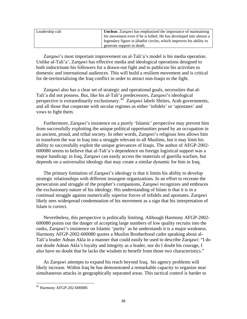| Leadership cult | Unclear. Zargawi has emphasized the importance of maintaining       |
|-----------------|---------------------------------------------------------------------|
|                 | his movement even if he is killed. He has developed into almost a   |
|                 | legendary figure in jihadist circles, which improves his ability to |
|                 | generate support in death.                                          |

Zarqawi's most important improvement on al-Tali'a's model is his media operation. Unlike al-Tali'a', Zarqawi has effective media and ideological operations designed to both indoctrinate his followers for a drawn-out fight and to publicize his activities to domestic and international audiences. This will build a resilient movement and is critical for de-territorializing the Iraq conflict in order to attract non-Iraqis to the fight.

Zarqawi also has a clear set of strategic and operational goals, necessities that al-Tali'a did not possess. But, like his al-Tali'a predecessors, Zarqawi's ideological perspective is extraordinarily exclusionary. [85](#page-38-0) Zarqawi labels Shiites, Arab governments, and all those that cooperate with secular regimes as either 'infidels' or 'apostates' and vows to fight them.

Furthermore, Zarqawi's insistence on a purely 'Islamic' perspective may prevent him from successfully exploiting the unique political opportunities posed by an occupation in an ancient, proud, and tribal society. In other words, Zarqawi's religious lens allows him to transform the war in Iraq into a struggle relevant to all Muslims, but it may limit his ability to successfully exploit the unique grievances of Iraqis. The author of AFGP-2002- 600080 seems to believe that al-Tali'a's dependence on foreign logistical support was a major handicap; in Iraq, Zarqawi can easily access the materials of guerilla warfare, but depends on a universalist ideology that may create a similar dynamic for him in Iraq.

The primary limitation of Zarqawi's ideology is that it limits his ability to develop strategic relationships with different insurgent organizations. In an effort to recreate the persecution and struggle of the prophet's companions, Zarqawi recognizes and embraces the exclusionary nature of his ideology. His understanding of Islam is that it is in a continual struggle against numerically superior forces of infidels and apostates. Zarqawi likely sees widespread condemnation of his movement as a sign that his interpretation of Islam is correct.

Nevertheless, this perspective is politically limiting. Although Harmony AFGP-2002- 600080 points out the danger of accepting large numbers of low quality recruits into the ranks, Zarqawi's insistence on Islamic 'purity' as he understands it is a major weakness. Harmony AFGP-2002-600080 quotes a Muslim Brotherhood cadre speaking about al-Tali'a leader Adnan Akla in a manner that could easily be used to describe Zarqawi: "I do not doubt Adnan Akla's loyalty and integrity as a leader, nor do I doubt his courage, I also have no doubt that he lacks the wisdom to benefit from those two characteristics."

As Zarqawi attempts to expand his reach beyond Iraq, his agency problems will likely increase. Within Iraq he has demonstrated a remarkable capacity to organize near simultaneous attacks in geographically separated areas. This tactical control is harder to

<u>.</u>

<span id="page-38-0"></span><sup>85</sup> Harmony AFGP-202-600080.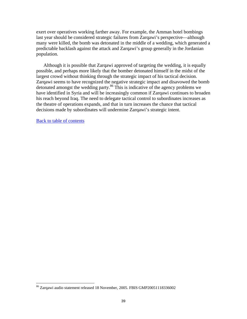exert over operatives working farther away. For example, the Amman hotel bombings last year should be considered strategic failures from Zarqawi's perspective—although many were killed, the bomb was detonated in the middle of a wedding, which generated a predictable backlash against the attack and Zarqawi's group generally in the Jordanian population.

Although it is possible that Zarqawi approved of targeting the wedding, it is equally possible, and perhaps more likely that the bomber detonated himself in the midst of the largest crowd without thinking through the strategic impact of his tactical decision. Zarqawi seems to have recognized the negative strategic impact and disavowed the bomb detonated amongst the wedding party. $86$  This is indicative of the agency problems we have identified in Syria and will be increasingly common if Zarqawi continues to broaden his reach beyond Iraq. The need to delegate tactical control to subordinates increases as the theatre of operations expands, and that in turn increases the chance that tactical decisions made by subordinates will undermine Zarqawi's strategic intent.

[Back to table of contents](#page-4-0)

 $\overline{a}$ 

<span id="page-39-0"></span><sup>86</sup> Zarqawi audio statement released 18 November, 2005. FBIS GMP20051118336002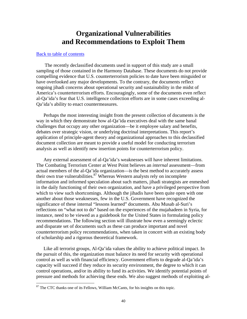# **Organizational Vulnerabilities and Recommendations to Exploit Them**

#### [Back to table of contents](#page-4-0)

<u>.</u>

 The recently declassified documents used in support of this study are a small sampling of those contained in the Harmony Database. These documents do not provide compelling evidence that U.S. counterterrorism policies to date have been misguided or have overlooked any major developments. To the contrary, the documents reflect ongoing jihadi concerns about operational security and sustainability in the midst of America's counterterrorism efforts. Encouragingly, some of the documents even reflect al-Qa'ida's fear that U.S. intelligence collection efforts are in some cases exceeding al-Qa'ida's ability to enact countermeasures.

Perhaps the most interesting insight from the present collection of documents is the way in which they demonstrate how al-Qa'ida executives deal with the same banal challenges that occupy any other organization—be it employee salary and benefits, debates over strategic vision, or underlying doctrinal interpretations. This report's application of principle-agent theory and organizational approaches to this declassified document collection are meant to provide a useful model for conducting terrorism analysis as well as identify new insertion points for counterterrorism policy.

Any external assessment of al-Qa'ida's weaknesses will have inherent limitations. The Combating Terrorism Center at West Point believes an *internal* assessment—from actual members of the al-Qa'ida organization—is the best method to accurately assess their own true vulnerabilities. $87$  Whereas Western analysts rely on incomplete information and informed speculation about such matters, jihadi strategists are enmeshed in the daily functioning of their own organization, and have a privileged perspective from which to view such shortcomings. Although the jihadis have been quite open with one another about those weaknesses, few in the U.S. Government have recognized the significance of these internal "lessons learned" documents. Abu Musab al-Suri's reflections on "what not to do" based on the experiences of the mujahadeen in Syria, for instance, need to be viewed as a guidebook for the United States in formulating policy recommendations. The following section will illustrate how even a seemingly eclectic and disparate set of documents such as these can produce important and novel counterterrorism policy recommendations, when taken in concert with an existing body of scholarship and a rigorous theoretical framework.

Like all terrorist groups, Al-Qa'ida values the ability to achieve political impact. In the pursuit of this, the organization must balance its need for security with operational control as well as with financial efficiency. Government efforts to degrade al-Qa'ida's capacity will succeed if they reduce its security environment, the degree to which it can control operations, and/or its ability to fund its activities. We identify potential points of pressure and methods for achieving these ends. We also suggest methods of exploiting al-

<span id="page-40-0"></span> $87$  The CTC thanks one of its Fellows, William McCants, for his insights on this topic.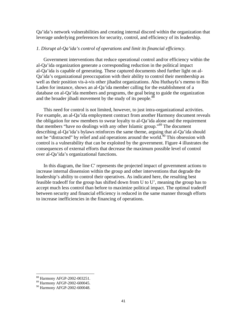Qa'ida's network vulnerabilities and creating internal discord within the organization that leverage underlying preferences for security, control, and efficiency of its leadership.

#### *1. Disrupt al-Qa'ida's control of operations and limit its financial efficiency.*

Government interventions that reduce operational control and/or efficiency within the al-Qa'ida organization generate a corresponding reduction in the political impact al-Qa'ida is capable of generating. These captured documents shed further light on al-Qa'ida's organizational preoccupation with their ability to control their membership as well as their position vis-à-vis other jihadist organizations. Abu Huthayfa's memo to Bin Laden for instance, shows an al-Qa'ida member calling for the establishment of a database on al-Qa'ida members and programs, the goal being to guide the organization and the broader jihadi movement by the study of its people.<sup>88</sup>

This need for control is not limited, however, to just intra-organizational activities. For example, an al-Qa'ida employment contract from another Harmony document reveals the obligation for new members to swear loyalty to al-Qa'ida alone and the requirement that members "have no dealings with any other Islamic group."<sup>89</sup> The document describing al-Qa'ida's bylaws reinforces the same theme, arguing that al-Qa'ida should not be "distracted" by relief and aid operations around the world.<sup>90</sup> This obsession with control is a vulnerability that can be exploited by the government. Figure 4 illustrates the consequences of external efforts that decrease the maximum possible level of control over al-Qa'ida's organizational functions.

In this diagram, the line C′ represents the projected impact of government actions to increase internal dissension within the group and other interventions that degrade the leadership's ability to control their operatives. As indicated here, the resulting best feasible tradeoff for the group has shifted down from U to U', meaning the group has to accept much less control than before to maximize political impact. The optimal tradeoff between security and financial efficiency is reduced in the same manner through efforts to increase inefficiencies in the financing of operations.

1

<span id="page-41-0"></span><sup>88</sup> Harmony AFGP-2002-003251.

<span id="page-41-1"></span><sup>89</sup> Harmony AFGP-2002-600045.

<span id="page-41-2"></span><sup>90</sup> Harmony AFGP-2002-600048.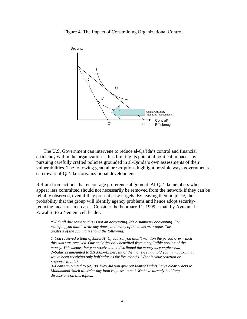

The U.S. Government can intervene to reduce al-Qa'ida's control and financial efficiency within the organization—thus limiting its potential political impact—by pursuing carefully crafted policies grounded in al-Qa'ida's own assessments of their vulnerabilities. The following general prescriptions highlight possible ways governments can thwart al-Qa'ida's organizational development.

Refrain from actions that encourage preference alignment. Al-Qa'ida members who appear less committed should not necessarily be removed from the network if they can be reliably observed, even if they present easy targets. By leaving them in place, the probability that the group will identify agency problems and hence adopt securityreducing measures increases. Consider the February 11, 1999 e-mail by Ayman al-Zawahiri to a Yemeni cell leader:

*"With all due respect, this is not an accounting. It's a summary accounting. For example, you didn't write any dates, and many of the items are vague. The analysis of the summary shows the following:* 

*1–You received a total of \$22,301. Of course, you didn't mention the period over which this sum was received. Our activities only benefited from a negligible portion of the money. This means that you received and distributed the money as you please.... 2–Salaries amounted to \$10,085–45 percent of the money. I had told you in my fax...that we've been receiving only half salaries for five months. What is your reaction or response to this?* 

*3–Loans amounted to \$2,190. Why did you give out loans? Didn't I give clear orders to Muhammad Saleh to...refer any loan requests to me? We have already had long discussions on this topic...*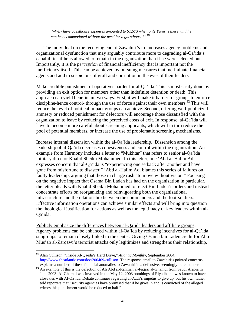*4–Why have guesthouse expenses amounted to \$1,573 when only Yunis is there, and he can be accommodated without the need for a guesthouse?"* [91](#page-43-0)

The individual on the receiving end of Zawahiri's ire increases agency problems and organizational dysfunction that may arguably contribute more to degrading al-Qa'ida's capabilities if he is allowed to remain in the organization than if he were selected out. Importantly, it is the *perception* of financial inefficiency that is important not the inefficiency itself. This can be achieved by pursuing measures that incriminate financial agents and add to suspicions of graft and corruption in the eyes of their leaders

Make credible punishment of operatives harder for al-Qa'ida. This is most easily done by providing an exit option for members other than indefinite detention or death. This approach can yield benefits in two ways. First, it will make it harder for groups to enforce discipline-hence control- through the use of force against their own members.<sup>92</sup> This will reduce the level of political impact groups can achieve. Second, offering well-publicized amnesty or reduced punishment for defectors will encourage those dissatisfied with the organization to leave by reducing the perceived costs of exit. In response, al-Qa'ida will have to become more careful about screening applicants, which will in turn reduce the pool of potential members, or increase the use of problematic screening mechanisms.

Increase internal dissension within the al-Qa'ida leadership. Dissension among the leadership of al-Qa'ida decreases cohesiveness and control within the organization. An example from Harmony includes a letter to "Mukhtar" that refers to senior al-Qa'ida military director Khalid Sheikh Mohammed. In this letter, one 'Abd al-Halim Adl expresses concern that al-Qa'ida is "experiencing one setback after another and have gone from misfortune to disaster." 'Abd al-Halim Adl blames this series of failures on faulty leadership, arguing that those in charge rush "to move without vision." Focusing on the negative impact that Osama Bin Laden has had on the organization in particular, the letter pleads with Khalid Sheikh Mohammed to reject Bin Laden's orders and instead concentrate efforts on reorganizing and reinvigorating both the organizational infrastructure and the relationship between the commanders and the foot-soldiers. Effective information operations can achieve similar effects and will bring into question the theological justification for actions as well as the legitimacy of key leaders within al-Qa'ida.

Publicly emphasize the differences between al-Qa'ida leaders and affiliate groups. Agency problems can be enhanced within al-Qa'ida by reducing incentives for al-Qa'ida subgroups to remain closely linked to the center. Giving Osama bin Laden credit for Abu Mus'ab al-Zarqawi's terrorist attacks only legitimizes and strengthens their relationship.

<span id="page-43-0"></span> $\overline{a}$ 91 Alan Cullison, "Inside Al-Qaeda's Hard Drive," *Atlantic Monthly*, September 2004. [http://www.theatlantic.com/doc/200409/cullison.](http://www.theatlantic.com/doc/200409/cullison) The response email to Zawahiri's pointed concerns explains a number of these financial anomalies to Zawahiri in a defensive, seemingly irate manner.

<span id="page-43-1"></span><sup>&</sup>lt;sup>92</sup> An example of this is the defection of Ali Abd al-Rahman al-Faqasi al-Ghamdi from Saudi Arabia in June 2003. Al-Ghamdi was involved in the May 12, 2003 bombings of Riyadh and was known to have close ties with Al-Qa'ida. Debate continues regarding al-Azdi's impetus to give up, but his own father told reporters that "security agencies have promised that if he gives in and is convicted of the alleged crimes, his punishment would be reduced to half."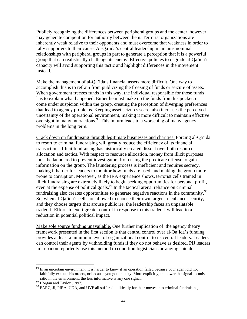Publicly recognizing the differences between peripheral groups and the center, however, may generate competition for authority between them. Terrorist organizations are inherently weak relative to their opponents and must overcome that weakness in order to rally supporters to their cause. Al-Qa'ida's central leadership maintains nominal relationships with peripheral groups in part to generate a perception that it is a powerful group that can realistically challenge its enemy. Effective policies to degrade al-Qa'ida's capacity will avoid supporting this tactic and highlight differences in the movement instead.

Make the management of al-Qa'ida's financial assets more difficult. One way to accomplish this is to refrain from publicizing the freezing of funds or seizure of assets. When government freezes funds in this way, the individual responsible for those funds has to explain what happened. Either he must make up the funds from his pocket, or come under suspicion within the group, creating the perception of diverging preferences that lead to agency problems. Keeping asset seizures secret also increases the perceived uncertainty of the operational environment, making it more difficult to maintain effective oversight in many interactions.<sup>93</sup> This in turn leads to a worsening of many agency problems in the long term.

Crack down on fundraising through legitimate businesses and charities. Forcing al-Qa'ida to resort to criminal fundraising will greatly reduce the efficiency of its financial transactions. Illicit fundraising has historically created dissent over both resource allocation and tactics. With respect to resource allocation, money from illicit purposes must be laundered to prevent investigators from using the predicate offense to gain information on the group. The laundering process is inefficient and requires secrecy, making it harder for leaders to monitor how funds are used, and making the group more prone to corruption. Moreover, as the IRA experience shows, terrorist cells trained in illicit fundraising are extremely likely to begin seeking opportunities for personal profit, even at the expense of political goals.<sup>94</sup> In the tactical arena, reliance on criminal fundraising also creates opportunities to generate negative reactions in the community.<sup>[95](#page-44-2)</sup> So, when al-Qa'ida's cells are allowed to choose their own targets to enhance security, and they choose targets that arouse public ire, the leadership faces an unpalatable tradeoff. Efforts to exert greater control in response to this tradeoff will lead to a reduction in potential political impact.

Make sole source funding unavailable. One further implication of the agency theory framework presented in the first section is that central control over al-Qa'ida's funding provides at least a minimum level of organizational control to its central leaders. Leaders can control their agents by withholding funds if they do not behave as desired. PIJ leaders in Lebanon reportedly use this method to condition logisticians arranging suicide

 $\overline{a}$ 

<span id="page-44-0"></span> $93$  In an uncertain environment, it is harder to know if an operation failed because your agent did not faithfully execute his orders, or because you got unlucky. More explicitly, the lower the signal-to-noise ratio in the environment, the less informative is any one signal.<br><sup>94</sup> Horgan and Taylor (1997).

<span id="page-44-1"></span>

<span id="page-44-2"></span><sup>&</sup>lt;sup>95</sup> FARC, JI, PIRA, UDA, and UVF all suffered politically for their moves into criminal fundraising.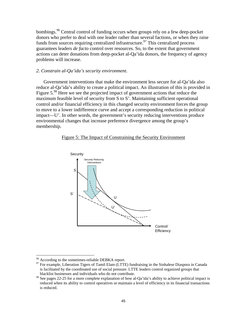bombings.<sup>96</sup> Central control of funding occurs when groups rely on a few deep-pocket donors who prefer to deal with one leader rather than several factions, or when they raise funds from sources requiring centralized infrastructure.<sup>97</sup> This centralized process guarantees leaders *de facto* control over resources. So, to the extent that government actions can deter donations from deep-pocket al-Qa'ida donors, the frequency of agency problems will increase.

# *2. Constrain al-Qa'ida's security environment.*

Government interventions that make the environment less secure for al-Qa'ida also reduce al-Qa'ida's ability to create a political impact. An illustration of this is provided in Figure 5.<sup>98</sup> Here we see the projected impact of government actions that reduce the maximum feasible level of security from S to S'. Maintaining sufficient operational control and/or financial efficiency in this changed security environment forces the group to move to a lower indifference curve and accept a corresponding reduction in political impact—U'. In other words, the government's security reducing interventions produce environmental changes that increase preference divergence among the group's membership.

### Figure 5: The Impact of Constraining the Security Environment



<span id="page-45-0"></span><sup>&</sup>lt;sup>96</sup> According to the sometimes-reliable DEBKA report.

<span id="page-45-1"></span><sup>&</sup>lt;sup>97</sup> For example, Liberation Tigers of Tamil Elam (LTTE) fundraising in the Sinhalese Diaspora in Canada is facilitated by the coordinated use of social pressure. LTTE leaders control organized groups that blacklist businesses and individuals who do not contribute.

<span id="page-45-2"></span><sup>&</sup>lt;sup>98</sup> See pages 22-25 for a more complete explanation of how al-Qa'ida's ability to achieve political impact is reduced when its ability to control operatives or maintain a level of efficiency in its financial transactions is reduced.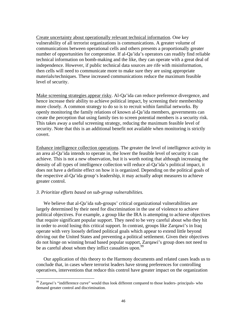Create uncertainty about operationally relevant technical information. One key vulnerability of all terrorist organizations is communications. A greater volume of communications between operational cells and others presents a proportionally greater number of opportunities for compromise. If al-Qa'ida's operators can readily find reliable technical information on bomb-making and the like, they can operate with a great deal of independence. However, if public technical data sources are rife with misinformation, then cells will need to communicate more to make sure they are using appropriate materials/techniques. These increased communications reduce the maximum feasible level of security.

Make screening strategies appear risky. Al-Qa'ida can reduce preference divergence, and hence increase their ability to achieve political impact, by screening their membership more closely. A common strategy to do so is to recruit within familial networks. By openly monitoring the family relations of known al-Qa'ida members, governments can create the perception that using family ties to screen potential members is a security risk. This takes away a useful screening strategy, reducing the maximum feasible level of security. Note that this is an additional benefit not available when monitoring is strictly covert.

Enhance intelligence collection operations. The greater the level of intelligence activity in an area al-Qa'ida intends to operate in, the lower the feasible level of security it can achieve. This is not a new observation, but it is worth noting that although increasing the density of all types of intelligence collection will reduce al-Qa'ida's political impact, it does not have a definite effect on how it is organized. Depending on the political goals of the respective al-Qa'ida group's leadership, it may actually adopt measures to achieve greater control.

#### *3. Prioritize efforts based on sub-group vulnerabilities.*

1

We believe that al-Qa'ida sub-groups' critical organizational vulnerabilities are largely determined by their need for discrimination in the use of violence to achieve political objectives. For example, a group like the IRA is attempting to achieve objectives that require significant popular support. They need to be very careful about who they hit in order to avoid losing this critical support. In contrast, groups like Zarqawi's in Iraq operate with very loosely defined political goals which appear to extend little beyond driving out the United States and preventing a political settlement. Given their objectives do not hinge on winning broad based popular support, Zarqawi's group does not need to be as careful about whom they inflict casualties upon.<sup>99</sup>

Our application of this theory to the Harmony documents and related cases leads us to conclude that, in cases where terrorist leaders have strong preferences for controlling operatives, interventions that reduce this control have greater impact on the organization

<span id="page-46-0"></span><sup>&</sup>lt;sup>99</sup> Zarqawi's "indifference curve" would thus look different compared to those leaders- principals- who demand greater control and discrimination.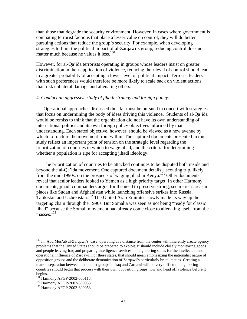than those that degrade the security environment. However, in cases where government is combating terrorist factions that place a lesser value on control, they will do better pursuing actions that reduce the group's security. For example, when developing strategies to limit the political impact of al-Zarqawi's group, reducing control does not matter much because he values it less.<sup>100</sup>

However, for al-Qa'ida terrorists operating in groups whose leaders insist on greater discrimination in their application of violence, reducing their level of control should lead to a greater probability of accepting a lower level of political impact. Terrorist leaders with such preferences would therefore be more likely to scale back on violent actions than risk collateral damage and alienating others.

#### *4. Conduct an aggressive study of jihadi strategy and foreign policy.*

Operational approaches discussed thus far must be pursued in concert with strategies that focus on undermining the body of ideas driving this violence. Students of al-Qa'ida would be remiss to think that the organization did not have its own understanding of international politics and its own foreign policy objectives informed by that understanding. Each stated objective, however, should be viewed as a new avenue by which to fracture the movement from within. The captured documents presented in this study reflect an important point of tension on the strategic level regarding the prioritization of countries in which to wage jihad, and the criteria for determining whether a population is ripe for accepting jihadi ideology.

The prioritization of countries to be attacked continues to be disputed both inside and beyond the al-Qa'ida movement. One captured document details a scouting trip, likely from the mid-1990s, on the prospects of waging jihad in Kenya.<sup>101</sup> Other documents reveal that senior leaders looked to Yemen as a high priority target. In other Harmony documents, jihadi commanders argue for the need to preserve strong, secure rear areas in places like Sudan and Afghanistan while launching offensive strikes into Russia, Tajikistan and Uzbekistan.<sup>102</sup> The United Arab Emirates slowly made its way up the targeting chain through the 1990s. But Somalia was seen as not being "ready for classic jihad" because the Somali movement had already come close to alienating itself from the  $m$ asses.<sup>103</sup>

 $\overline{a}$ 

<span id="page-47-0"></span><sup>&</sup>lt;sup>100</sup> In Abu Mus'ab al-Zarqawi's case, operating at a distance from the center will inherently create agency problems that the United States should be prepared to exploit. It should include closely monitoring goods and people leaving Iraq and preparing intelligence services in neighboring states for the intellectual and operational influence of Zarqawi. For these states, that should mean emphasizing the nationalist nature of opposition groups and the deliberate demonization of Zarqawi's particularly brutal tactics. Creating a market separation between nationalist groups in Iraq and Zarqawi will be very difficult; neighboring countries should begin that process with their own opposition groups now and head off violence before it

begins.<br><sup>101</sup> Harmony AFGP-2002-600113.<br><sup>102</sup> Harmony AFGP-2002-600053.<br><sup>103</sup> Harmony AFGP-2002-600053.

<span id="page-47-2"></span><span id="page-47-1"></span>

<span id="page-47-3"></span>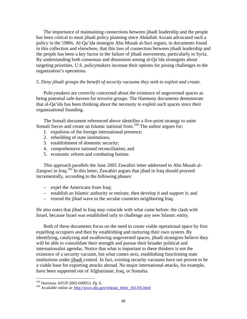The importance of maintaining connections between jihadi leadership and the people has been critical to most jihadi policy planning since Abdallah Azzam advocated such a policy in the 1980s. Al-Qa'ida strategist Abu Musab al-Suri argues, in documents found in this collection and elsewhere, that this loss of connection between jihadi leadership and the people has been a key factor in the failure of jihadi movements, particularly in Syria. By understanding both consensus and dissension among al-Qa'ida strategists about targeting priorities, U.S. policymakers increase their options for posing challenges to the organization's operations.

#### *5. Deny jihadi groups the benefit of security vacuums they seek to exploit and create.*

Policymakers are correctly concerned about the existence of ungoverned spaces as being potential safe-havens for terrorist groups. The Harmony documents demonstrate that al-Qa'ida has been thinking about the necessity to exploit such spaces since their organizational founding.

The Somali document referenced above identifies a five-point strategy to unite Somali forces and create an Islamic national front.<sup>104</sup> The author argues for:

- 1. expulsion of the foreign international presence;
- 2. rebuilding of state institutions;
- 3. establishment of domestic security;
- 4. comprehensive national reconciliation; and
- 5. economic reform and combating famine.

This approach parallels the June 2005 Zawahiri letter addressed to Abu Musab al-Zarqawi in Iraq.<sup>105</sup> In this letter, Zawahiri argues that jihad in Iraq should proceed incrementally, according to the following phases:

- expel the Americans from Iraq;
- establish an Islamic authority or emirate, then develop it and support it; and
- extend the jihad wave to the secular countries neighboring Iraq.

He also notes that jihad in Iraq may coincide with what came before: the clash with Israel, because Israel was established only to challenge any new Islamic entity.

Both of these documents focus on the need to create viable operational space by first expelling occupiers and then by establishing and nurturing their own system. By identifying, catalyzing and swallowing ungoverned spaces, jihadi strategists believe they will be able to consolidate their strength and pursue their broader political and internationalist agendas. Notice that what is important to these thinkers is not the existence of a security vacuum, but what comes next, establishing functioning state institutions under jihadi control. In fact, existing security vacuums have not proven to be a viable base for exporting attacks abroad. No major international attacks, for example, have been supported out of Afghanistan, Iraq, or Somalia.

<span id="page-48-0"></span><sup>&</sup>lt;sup>104</sup> Harmony AFGP-2002-600053. Pg. 6.

<span id="page-48-1"></span><sup>&</sup>lt;sup>105</sup> Available online at: http://www.dni.gov/release\_letter\_101105.html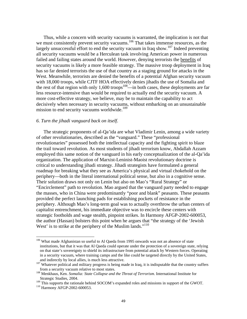Thus, while a concern with security vacuums is warranted, the implication is not that we must consistently prevent security vacuums.<sup>106</sup> That takes immense resources, as the largely unsuccessful effort to end the security vacuum in Iraq show.<sup>107</sup> Indeed preventing all security vacuums would be a Herculean task involving American power in numerous failed and failing states around the world. However, denying terrorists the benefits of security vacuums is likely a more feasible strategy. The massive troop deployment in Iraq has so far denied terrorists the use of that country as a staging ground for attacks in the West. Meanwhile, terrorists are denied the benefits of a potential Afghan security vacuum with 18,000 troops, while CJTF HOA effectively denies jihadis the use of Somalia and the rest of that region with only  $1,600$  troops<sup>108</sup>—in both cases, these deployments are far less resource-intensive than would be required to actually end the security vacuum. A more cost-effective strategy, we believe, may be to maintain the capability to act decisively when necessary in security vacuums, without embarking on an unsustainable mission to end security vacuums worldwide.<sup>[109](#page-49-3)</sup>

#### *6. Turn the jihadi vanguard back on itself*.

The strategic proponents of al-Qa'ida are what Vladimir Lenin, among a wide variety of other revolutionaries, described as the "vanguard." These "professional revolutionaries" possessed both the intellectual capacity and the fighting spirit to blaze the trail toward revolution. As most students of jihadi terrorism know, Abdallah Azzam employed this same notion of the vanguard in his early conceptualization of the al-Qa'ida organization. The application of Marxist-Leninist-Maoist revolutionary doctrine is critical to understanding jihadi strategy. Jihadi strategists have formulated a general roadmap for breaking what they see as America's physical and virtual chokehold on the periphery—both in the literal international political sense, but also in a cognitive sense. Their solution draws not only on Lenin but also on Mao's "Rural Strategy" or "Encirclement" path to revolution. Mao argued that the vanguard party needed to engage the masses, who in China were predominantly "poor and blank" peasants. These peasants provided the perfect launching pads for establishing pockets of resistance in the periphery. Although Mao's long-term goal was to actually overthrow the urban centers of capitalist entrenchment, his immediate objective was to encircle these centers with strategic footholds and wage stealth, pinpoint strikes. In Harmony AFGP-2002-600053, the author (Hassan) bolsters this point when he argues that "the strategy of the 'Jewish West' is to strike at the periphery of the Muslim lands."<sup>[110](#page-49-4)</sup>

 $\overline{a}$ 

<span id="page-49-0"></span><sup>&</sup>lt;sup>106</sup> What made Afghanistan so useful to Al Qaeda from 1995 onwards was not an absence of state institutions, but that it was that Al Qaeda could operate under the protection of a sovereign state, relying on that state's sovereignty to shield its infrastructure from potential attack by Western forces. Operating in a security vacuum, where training camps and the like could be targeted directly by the United States,

<span id="page-49-1"></span>and indirectly by local allies, is much less attractive.<br> $107$  Whatever political and military progress is being made in Iraq, it is indisputable that the country suffers from a security vacuum relative to most states. 108 Menkhaus, Ken. *Somalia: State Collapse and the Threat of Terrorism*. International Institute for

<span id="page-49-2"></span>Strategic Studies, 2004.<br><sup>109</sup> This supports the rationale behind SOCOM's expanded roles and missions in support of the GWOT.<br><sup>110</sup> Harmony AFGP-2002-600053.

<span id="page-49-3"></span>

<span id="page-49-4"></span>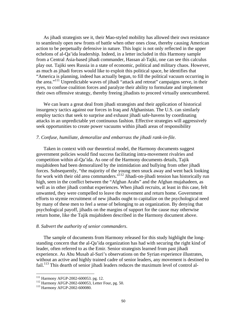As jihadi strategists see it, their Mao-styled mobility has allowed their own resistance to seamlessly open new fronts of battle when other ones close, thereby causing American action to be perpetually defensive in nature. This logic is not only reflected in the upper echelons of al-Qa'ida leadership. Indeed, in a letter included in this Harmony sample from a Central Asia-based jihadi commander, Hassan al-Tajki, one can see this calculus play out. Tajiki sees Russia in a state of economic, political and military chaos. However, as much as jihadi forces would like to exploit this political space, he identifies that "America is planning, indeed has actually begun, to fill the political vacuum occurring in the area.["111](#page-50-0) Unpredictable waves of jihadi "attack and retreat" campaigns serve, in their eyes, to confuse coalition forces and paralyze their ability to formulate and implement their own offensive strategy, thereby freeing jihadists to proceed virtually unencumbered.

We can learn a great deal from jihadi strategists and their application of historical insurgency tactics against our forces in Iraq and Afghanistan. The U.S. can similarly employ tactics that seek to surprise and exhaust jihadi safe-havens by coordinating attacks in an unpredictable yet continuous fashion. Effective strategies will aggressively seek opportunities to create power vacuums within jihadi areas of responsibility

#### *7. Confuse, humiliate, demoralize and embarrass the jihadi rank-in-file.*

Taken in context with our theoretical model, the Harmony documents suggest government policies would find success facilitating intra-movement rivalries and competition within al-Qa'ida. As one of the Harmony documents details, Tajik mujahideen had been demoralized by the intimidation and bullying from other jihadi forces. Subsequently, "the majority of the young men snuck away and went back looking for work with their old area commanders."<sup>112</sup> Jihadi-on-jihadi tension has historically run high, seen in the conflict between the "Afghan Arabs" and the Afghan mujahadeen, as well as in other jihadi combat experiences. When jihadi recruits, at least in this case, felt unwanted, they were compelled to leave the movement and return home. Government efforts to stymie recruitment of new jihadis ought to capitalize on the psychological need by many of these men to feel a sense of belonging to an organization. By denying that psychological payoff, jihadis on the margins of support for the cause may otherwise return home, like the Tajik mujahideen described in the Harmony document above.

#### *8. Subvert the authority of senior commanders*.

The sample of documents from Harmony released for this study highlight the longstanding concern that the al-Qa'ida organization has had with securing the right kind of leader, often referred to as the Emir. Senior strategists learned from past jihadi experience. As Abu Musab al-Suri's observations on the Syrian experience illustrates, without an active and highly trained cadre of senior leaders, any movement is destined to fail.<sup>113</sup> This dearth of senior jihadi leaders reduces the maximum level of control al-

<span id="page-50-0"></span><sup>&</sup>lt;sup>111</sup> Harmony AFGP-2002-600053. pg. 12.

<span id="page-50-1"></span><sup>112</sup> Harmony AFGP-2002-600053, Letter Four, pg. 50.<br>
<sup>113</sup> Harmony AFGP-2002-600080.

<span id="page-50-2"></span>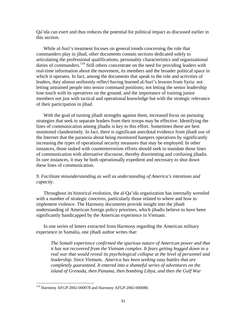Qa'ida can exert and thus reduces the potential for political impact as discussed earlier in this section.

While al-Suri's treatment focuses on general trends concerning the role that commanders play in jihad, other documents contain sections dedicated solely to articulating the professional qualifications, personality characteristics and organizational duties of commanders.<sup>114</sup> Still others concentrate on the need for providing leaders with real-time information about the movement, its members and the broader political space in which it operates. In fact, among the documents that speak to the role and activities of leaders, they almost uniformly reflect having learned al-Suri's lessons from Syria: not letting untrained people into senior command positions; not letting the senior leadership lose touch with its operatives on the ground; and the importance of training junior members not just with tactical and operational knowledge but with the strategic relevance of their participation in jihad.

With the goal of turning jihadi strengths against them, increased focus on pursuing strategies that seek to separate leaders from their troops may be effective. Identifying the lines of communication among jihadis is key to this effort. Sometimes these are best monitored clandestinely. In fact, there is significant anecdotal evidence from jihadi use of the Internet that the paranoia about being monitored hampers operations by significantly increasing the types of operational security measures that may be employed. In other instances, those tasked with counterterrorism efforts should seek to inundate those lines of communication with alternative discourse, thereby disorienting and confusing jihadis. In rare instances, it may be both operationally expedient and necessary to shut down these lines of communication.

# *9. Facilitate misunderstanding as well as understanding of America's intentions and capacity*.

Throughout its historical evolution, the al-Qa'ida organization has internally wrestled with a number of strategic concerns, particularly those related to where and how to implement violence. The Harmony documents provide insight into the jihadi understanding of American foreign policy priorities, which jihadis believe to have been significantly handicapped by the American experience in Vietnam.

In one series of letters extracted from Harmony regarding the American military experience in Somalia, one jihadi author writes that:

*The Somali experience confirmed the spurious nature of American power and that it has not recovered from the Vietnam complex. It fears getting bogged down in a real war that would reveal its psychological collapse at the level of personnel and leadership. Since Vietnam, America has been seeking easy battles that are completely guaranteed. It entered into a shameful series of adventures on the island of Grenada, then Panama, then bombing Libya, and then the Gulf War* 

 $\overline{a}$ 

<span id="page-51-0"></span><sup>114</sup> Harmony AFGP-2002-000078 and Harmony AFGP-2002-000080.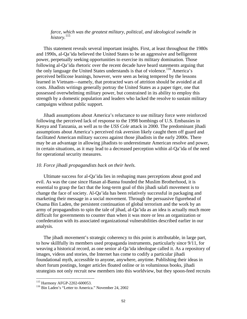*farce, which was the greatest military, political, and ideological swindle in*  history.<sup>[115](#page-52-0)</sup>

This statement reveals several important insights. First, at least throughout the 1980s and 1990s, al-Qa'ida believed the United States to be an aggressive and belligerent power, perpetually seeking opportunities to exercise its military domination. Those following al-Qa'ida rhetoric over the recent decade have heard statements arguing that the only language the United States understands is that of violence.<sup>116</sup> America's perceived bellicose leanings, however, were seen as being tempered by the lessons learned in Vietnam—namely, that protracted wars of attrition should be avoided at all costs. Jihadists writings generally portray the United States as a paper tiger, one that possessed overwhelming military power, but constrained in its ability to employ this strength by a domestic population and leaders who lacked the resolve to sustain military campaigns without public support.

Jihadi assumptions about America's reluctance to use military force were reinforced following the perceived lack of response to the 1998 bombings of U.S. Embassies in Kenya and Tanzania, as well as to the *USS Cole* attack in 2000. The predominant jihadi assumptions about America's perceived risk aversion likely caught them off guard and facilitated American military success against those jihadists in the early 2000s. There may be an advantage in allowing jihadists to underestimate American resolve and power, in certain situations, as it may lead to a decreased perception within al-Qa'ida of the need for operational security measures.

#### *10. Force jihadi propagandists back on their heels.*

Ultimate success for al-Qa'ida lies in reshaping mass perceptions about good and evil. As was the case since Hasan al-Banna founded the Muslim Brotherhood, it is essential to grasp the fact that the long-term goal of this jihadi salafi movement is to change the face of society. Al-Qa'ida has been relatively successful in packaging and marketing their message in a social movement. Through the persuasive figurehead of Osama Bin Laden, the persistent continuation of global terrorism and the work by an army of propagandists to spin the tale of jihad, al-Qa'ida as an idea is actually much more difficult for governments to counter than when it was more or less an organization or confederation with its associated organizational vulnerabilities described earlier in our analysis.

The jihadi movement's strategic coherency to this point is attributable, in large part, to how skillfully its members used propaganda instruments, particularly since 9/11, for weaving a historical record, as one senior al-Qa'ida ideologue called it. As a repository of images, videos and stories, the Internet has come to codify a particular jihadi foundational myth, accessible to anyone, anywhere, anytime. Publishing their ideas in short forum postings, longer articles floated online or in voluminous books, jihadi strategists not only recruit new members into this worldview, but they spoon-feed recruits

<span id="page-52-0"></span><sup>&</sup>lt;sup>115</sup> Harmony AFGP-2202-600053.

<span id="page-52-1"></span><sup>&</sup>lt;sup>116</sup> Bin Laden's "Letter to America." November 24, 2002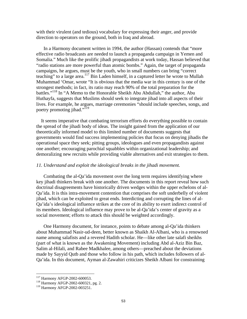with their virulent (and tedious) vocabulary for expressing their anger, and provide direction to operators on the ground, both in Iraq and abroad.

In a Harmony document written in 1994, the author (Hassan) contends that "more effective radio broadcasts are needed to launch a propaganda campaign in Yemen and Somalia." Much like the prolific jihadi propagandists at work today, Hassan believed that "radio stations are more powerful than atomic bombs." Again, the target of propaganda campaigns, he argues, must be the youth, who in small numbers can bring "correct teaching" to a large area.<sup>117</sup> Bin Laden himself, in a captured letter he wrote to Mullah Muhammad 'Omar, wrote "It is obvious that the media war in this century is one of the strongest methods; in fact, its ratio may reach 90% of the total preparation for the battles."[118](#page-53-1) In "A Memo to the Honorable Sheikh Abu Abdullah," the author, Abu Huthayfa, suggests that Muslims should seek to integrate jihad into all aspects of their lives. For example, he argues, marriage ceremonies "should include speeches, songs, and poetry promoting jihad."<sup>[119](#page-53-2)</sup>

 It seems imperative that combating terrorism efforts do everything possible to contain the spread of the jihadi body of ideas. The insight gained from the application of our theoretically informed model to this limited number of documents suggests that governments would find success implementing policies that focus on denying jihadis the operational space they seek; pitting groups, ideologues and even propagandists against one another; encouraging parochial squabbles within organizational leadership; and demoralizing new recruits while providing viable alternatives and exit strategies to them.

#### *11. Understand and exploit the ideological breaks in the jihadi movement.*

Combating the al-Qa'ida movement over the long term requires identifying where key jihadi thinkers break with one another. The documents in this report reveal how such doctrinal disagreements have historically driven wedges within the upper echelons of al-Qa'ida. It is this intra-movement contention that comprises the soft underbelly of violent jihad, which can be exploited to great ends. Interdicting and corrupting the lines of al-Qa'ida's ideological influence strikes at the core of its ability to exert indirect control of its members. Ideological influence may prove to be al-Qa'ida's center of gravity as a social movement; efforts to attack this should be weighted accordingly.

One Harmony document, for instance, points to debate among al-Qa'ida thinkers about Muhammad Nasir-ud-deen, better known as Shaikh Al-Albani, who is a renowned name among salafists and a revered Hadith scholar. He—like other late salafi sheikhs (part of what is known as the Awakening Movement) including Abd al-Aziz Bin Baz, Salim al-Hilali, and Rabee Madkhalee, among others—preached about the deviations made by Sayyid Qutb and those who follow in his path, which includes followers of al-Qa'ida. In this document, Ayman al-Zawahiri criticizes Sheikh Albani for constraining

<span id="page-53-0"></span><sup>&</sup>lt;sup>117</sup> Harmony AFGP-2002-600053.

<span id="page-53-1"></span><sup>&</sup>lt;sup>118</sup> Harmony AFGP-2002-600321, pg. 2.<br><sup>119</sup> Harmony AFGP-2002-003251.

<span id="page-53-2"></span>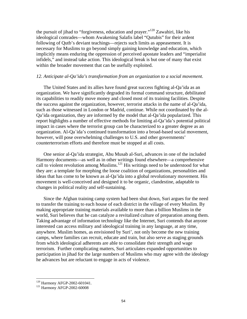the pursuit of jihad to "forgiveness, education and prayer."[120](#page-54-0) Zawahiri, like his ideological comrades—whom Awakening Salafis label "Qutubis" for their ardent following of Qutb's deviant teachings—rejects such limits as appeasement. It is necessary for Muslims to go beyond simply gaining knowledge and education, which implicitly means enduring the oppression of perceived apostate leaders and "imperialist infidels," and instead take action. This ideological break is but one of many that exist within the broader movement that can be usefully exploited.

#### *12. Anticipate al-Qa'ida's transformation from an organization to a social movement.*

The United States and its allies have found great success fighting al-Qa'ida as an organization. We have significantly degraded its formal command structure, debilitated its capabilities to readily move money and closed most of its training facilities. Despite the success against the organization, however, terrorist attacks in the name of al-Qa'ida, such as those witnessed in London or Madrid, continue. While not coordinated by the al-Qa'ida organization, they are informed by the model that al-Qa'ida popularized. This report highlights a number of effective methods for limiting al-Qa'ida's potential political impact in cases where the terrorist group can be characterized to a greater degree as an organization. Al-Qa`ida's continued transformation into a broad-based social movement, however, will pose overwhelming challenges to U.S. and other governments' counterterrorism efforts and therefore must be stopped at all costs.

One senior al-Qa'ida strategist, Abu Musab al-Suri, advances in one of the included Harmony documents—as well as in other writings found elsewhere—a comprehensive call to violent revolution among Muslims.<sup>121</sup> His writings need to be understood for what they are: a template for morphing the loose coalition of organizations, personalities and ideas that has come to be known as al-Qa'ida into a global revolutionary movement. His movement is well-conceived and designed it to be organic, clandestine, adaptable to changes in political reality and self-sustaining.

Since the Afghan training camp system had been shut down, Suri argues for the need to transfer the training to each house of each district in the village of every Muslim. By making appropriate training materials available to more than a billion Muslims in the world, Suri believes that he can catalyze a revitalized culture of preparation among them. Taking advantage of information technology like the Internet, Suri contends that anyone interested can access military and ideological training in any language, at any time, anywhere. Muslim homes, as envisioned by Suri', not only become the new training camps, where families can recruit, educate and train, but also serve as staging grounds from which ideological adherents are able to consolidate their strength and wage terrorism. Further complicating matters, Suri articulates expanded opportunities to participation in jihad for the large numbers of Muslims who may agree with the ideology he advances but are reluctant to engage in acts of violence.

1

<span id="page-54-0"></span><sup>&</sup>lt;sup>120</sup> Harmony AFGP-2002-601041.<br><sup>121</sup> Harmony AFGP-2002-60008

<span id="page-54-1"></span>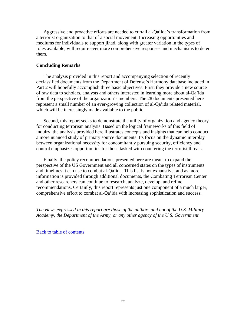Aggressive and proactive efforts are needed to curtail al-Qa'ida's transformation from a terrorist organization to that of a social movement. Increasing opportunities and mediums for individuals to support jihad, along with greater variation in the types of roles available, will require ever more comprehensive responses and mechanisms to deter them.

#### **Concluding Remarks**

The analysis provided in this report and accompanying selection of recently declassified documents from the Department of Defense's Harmony database included in Part 2 will hopefully accomplish three basic objectives. First, they provide a new source of raw data to scholars, analysts and others interested in learning more about al-Qa'ida from the perspective of the organization's members. The 28 documents presented here represent a small number of an ever-growing collection of al-Qa'ida related material, which will be increasingly made available to the public.

Second, this report seeks to demonstrate the utility of organization and agency theory for conducting terrorism analysis. Based on the logical frameworks of this field of inquiry, the analysis provided here illustrates concepts and insights that can help conduct a more nuanced study of primary source documents. Its focus on the dynamic interplay between organizational necessity for concomitantly pursuing security, efficiency and control emphasizes opportunities for those tasked with countering the terrorist threats.

Finally, the policy recommendations presented here are meant to expand the perspective of the US Government and all concerned states on the types of instruments and timelines it can use to combat al-Qa'ida. This list is not exhaustive, and as more information is provided through additional documents, the Combating Terrorism Center and other researchers can continue to research, analyze, develop, and refine recommendations. Certainly, this report represents just one component of a much larger, comprehensive effort to combat al-Qa'ida with increasing sophistication and success.

*The views expressed in this report are those of the authors and not of the U.S. Military Academy, the Department of the Army, or any other agency of the U.S. Government.*

#### [Back to table of contents](#page-4-0)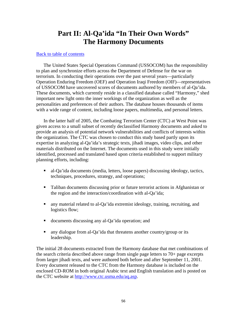# **Part II: Al-Qa'ida "In Their Own Words" The Harmony Documents**

#### [Back to table of contents](#page-4-0)

The United States Special Operations Command (USSOCOM) has the responsibility to plan and synchronize efforts across the Department of Defense for the war on terrorism. In conducting their operations over the past several years—particularly Operation Enduring Freedom (OEF) and Operation Iraqi Freedom (OIF)—representatives of USSOCOM have uncovered scores of documents authored by members of al-Qa'ida. These documents, which currently reside in a classified database called "Harmony," shed important new light onto the inner workings of the organization as well as the personalities and preferences of their authors. The database houses thousands of items with a wide range of content, including loose papers, multimedia, and personal letters.

In the latter half of 2005, the Combating Terrorism Center (CTC) at West Point was given access to a small subset of recently declassified Harmony documents and asked to provide an analysis of potential network vulnerabilities and conflicts of interests within the organization. The CTC was chosen to conduct this study based partly upon its expertise in analyzing al-Qa'ida's strategic texts, jihadi images, video clips, and other materials distributed on the Internet. The documents used in this study were initially identified, processed and translated based upon criteria established to support military planning efforts, including:

- al-Qa'ida documents (media, letters, loose papers) discussing ideology, tactics, techniques, procedures, strategy, and operations;
- Taliban documents discussing prior or future terrorist actions in Afghanistan or the region and the interaction/coordination with al-Qa'ida;
- any material related to al-Qa'ida extremist ideology, training, recruiting, and logistics flow;
- documents discussing any al-Qa'ida operation; and
- any dialogue from al-Qa'ida that threatens another country/group or its leadership.

The initial 28 documents extracted from the Harmony database that met combinations of the search criteria described above range from single page letters to 70+ page excerpts from larger jihadi texts, and were authored both before and after September 11, 2001. Every document released to the CTC from the Harmony database is included on the enclosed CD-ROM in both original Arabic text and English translation and is posted on the CTC website at<http://www.ctc.usma.edu/aq.asp>.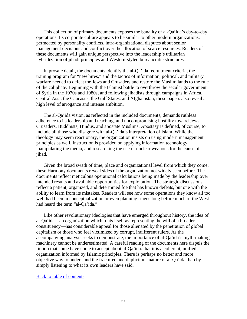This collection of primary documents exposes the banality of al-Qa'ida's day-to-day operations. Its corporate culture appears to be similar to other modern organizations: permeated by personality conflicts, intra-organizational disputes about senior management decisions and conflict over the allocation of scarce resources. Readers of these documents will gain unique perspective into the leadership's utilitarian hybridization of jihadi principles and Western-styled bureaucratic structures.

In prosaic detail, the documents identify the al-Qa'ida recruitment criteria, the training program for "new hires," and the tactics of information, political, and military warfare needed to defeat the Jews and Crusaders and restore the Muslim lands to the rule of the caliphate. Beginning with the Islamist battle to overthrow the secular government of Syria in the 1970s and 1980s, and following jihadists through campaigns in Africa, Central Asia, the Caucasus, the Gulf States, and Afghanistan, these papers also reveal a high level of arrogance and intense ambition.

The al-Qa'ida vision, as reflected in the included documents, demands ruthless adherence to its leadership and teaching, and uncompromising hostility toward Jews, Crusaders, Buddhists, Hindus, and apostate Muslims. Apostasy is defined, of course, to include all those who disagree with al-Qa'ida's interpretation of Islam. While the theology may seem reactionary, the organization insists on using modern management principles as well. Instruction is provided on applying information technology, manipulating the media, and researching the use of nuclear weapons for the cause of jihad.

Given the broad swath of time, place and organizational level from which they come, these Harmony documents reveal sides of the organization not widely seen before. The documents reflect meticulous operational calculations being made by the leadership over intended results and available opportunities for exploitation. The strategic discussions reflect a patient, organized, and determined foe that has known defeats, but one with the ability to learn from its mistakes. Readers will see how some operations they know all too well had been in conceptualization or even planning stages long before much of the West had heard the term "al-Qa'ida."

Like other revolutionary ideologies that have emerged throughout history, the idea of al-Qa'ida—an organization which touts itself as representing the will of a broader constituency—has considerable appeal for those alienated by the penetration of global capitalism or those who feel victimized by corrupt, indifferent rulers. As the accompanying analysis seeks to demonstrate, the importance of al-Qa'ida's myth-making machinery cannot be underestimated. A careful reading of the documents here dispels the fiction that some have come to accept about al-Qa'ida: that it is a coherent, unified organization informed by Islamic principles. There is perhaps no better and more objective way to understand the fractured and duplicitous nature of al-Qa'ida than by simply listening to what its own leaders have said.

#### [Back to table of contents](#page-4-0)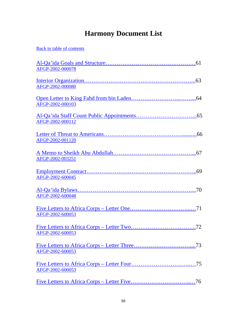# **Harmony Document List**

<span id="page-58-0"></span>**[Back to table of contents](#page-4-0)** 

| AFGP-2002-000078 |
|------------------|
| AFGP-2002-000080 |
| AFGP-2002-000103 |
| AFGP-2002-000112 |
| AFGP-2002-001120 |
| AFGP-2002-003251 |
| AFGP-2002-600045 |
| AFGP-2002-600048 |
| AFGP-2002-600053 |
| AFGP-2002-600053 |
| AFGP-2002-600053 |
| AFGP-2002-600053 |
|                  |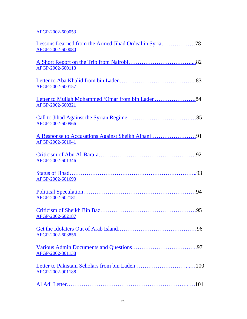# [AFGP-2002-600053](#page-76-0)

| Lessons Learned from the Armed Jihad Ordeal in Syria78<br>AFGP-2002-600080 |
|----------------------------------------------------------------------------|
|                                                                            |
| AFGP-2002-600113                                                           |
| AFGP-2002-600157                                                           |
| AFGP-2002-600321                                                           |
| AFGP-2002-600966                                                           |
| AFGP-2002-601041                                                           |
| AFGP-2002-601346                                                           |
| AFGP-2002-601693                                                           |
| AFGP-2002-602181                                                           |
| AFGP-2002-602187                                                           |
| AFGP-2002-603856                                                           |
| AFGP-2002-801138                                                           |
| AFGP-2002-901188                                                           |
|                                                                            |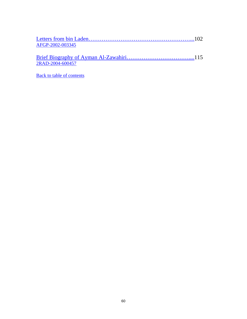| AFGP-2002-003345 |  |
|------------------|--|
|                  |  |
| 2RAD-2004-600457 |  |

**[Back to table of contents](#page-4-0)**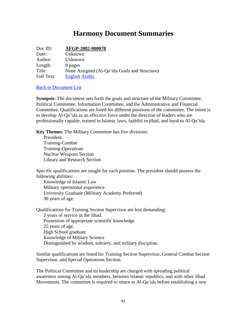# **Harmony Document Summaries**

<span id="page-61-0"></span>

| Doc ID:           | AFGP-2002-000078                              |
|-------------------|-----------------------------------------------|
| Date:             | Unknown                                       |
| Author:           | Unknown                                       |
| Length:           | 9 pages                                       |
| Title:            | None Assigned (Al-Qa'ida Goals and Structure) |
| <b>Full Text:</b> | <b>English Arabic</b>                         |

#### [Back to Document List](#page-58-0)

**Synopsis**: The document sets forth the goals and structure of the Military Committee, Political Committee, Information Committee, and the Administrative and Financial Committee. Qualifications are listed for different positions of the committee. The intent is to develop Al-Qa'ida as an effective force under the direction of leaders who are professionally capable, trained in Islamic laws, faithful to jihad, and loyal to Al-Qa'ida.

**Key Themes**: The Military Committee has five divisions: President. Training-Combat Training-Operations Nuclear Weapons Section Library and Research Section

Specific qualifications are sought for each position. The president should possess the following abilities:

Knowledge of Islamic Law Military operational experience. University Graduate (Military Academy Preferred) 30 years of age.

Qualifications for Training Section Supervisor are less demanding: 2 years of service in the Jihad. Possession of appropriate scientific knowledge. 25 years of age. High School graduate. Knowledge of Military Science Distinguished by wisdom, sobriety, and military discipline.

Similar qualifications are listed for Training Section Supervisor, General Combat Section Supervisor, and Special Operations Section.

The Political Committee and its leadership are charged with spreading political awareness among Al-Qa'ida members, between Islamic republics, and with other Jihad Movements. The committee is required to return to Al-Qa'ida before establishing a new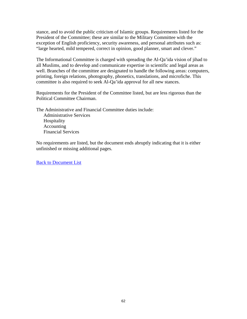stance, and to avoid the public criticism of Islamic groups. Requirements listed for the President of the Committee; these are similar to the Military Committee with the exception of English proficiency, security awareness, and personal attributes such as: "large hearted, mild tempered, correct in opinion, good planner, smart and clever."

The Informational Committee is charged with spreading the Al-Qa'ida vision of jihad to all Muslims, and to develop and communicate expertise in scientific and legal areas as well. Branches of the committee are designated to handle the following areas: computers, printing, foreign relations, photography, phonetics, translations, and microfiche. This committee is also required to seek Al-Qa'ida approval for all new stances.

Requirements for the President of the Committee listed, but are less rigorous than the Political Committee Chairman.

The Administrative and Financial Committee duties include: Administrative Services Hospitality **Accounting** Financial Services

No requirements are listed, but the document ends abruptly indicating that it is either unfinished or missing additional pages.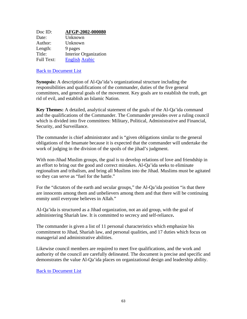<span id="page-63-0"></span>

| Doc ID:           | AFGP-2002-000080             |
|-------------------|------------------------------|
| Date:             | Unknown                      |
| Author:           | Unknown                      |
| Length:           | 9 pages                      |
| Title:            | <b>Interior Organization</b> |
| <b>Full Text:</b> | <b>English Arabic</b>        |

**Synopsis:** A description of Al-Qa'ida's organizational structure including the responsibilities and qualifications of the commander, duties of the five general committees, and general goals of the movement. Key goals are to establish the truth, get rid of evil, and establish an Islamic Nation.

**Key Themes:** A detailed, analytical statement of the goals of the Al-Qa'ida command and the qualifications of the Commander. The Commander presides over a ruling council which is divided into five committees: Military, Political, Administrative and Financial, Security, and Surveillance.

The commander is chief administrator and is "given obligations similar to the general obligations of the Imamate because it is expected that the commander will undertake the work of judging in the division of the spoils of the jihad's judgment.

With non-Jihad Muslim groups, the goal is to develop relations of love and friendship in an effort to bring out the good and correct mistakes. Al-Qa'ida seeks to eliminate regionalism and tribalism, and bring all Muslims into the Jihad. Muslims must be agitated so they can serve as "fuel for the battle."

For the "dictators of the earth and secular groups," the Al-Qa'ida position "is that there are innocents among them and unbelievers among them and that there will be continuing enmity until everyone believes in Allah."

Al-Qa'ida is structured as a Jihad organization, not an aid group, with the goal of administering Shariah law. It is committed to secrecy and self-reliance**.** 

The commander is given a list of 11 personal characteristics which emphasize his commitment to Jihad, Shariah law, and personal qualities, and 17 duties which focus on managerial and administrative abilities.

Likewise council members are required to meet five qualifications, and the work and authority of the council are carefully delineated. The document is precise and specific and demonstrates the value Al-Qa'ida places on organizational design and leadership ability.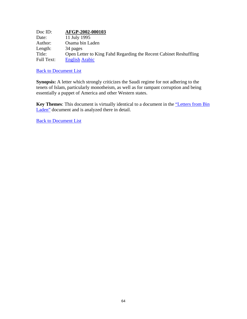<span id="page-64-0"></span>Doc ID: **AFGP-2002-000103** Date: 11 July 1995 Author: Osama bin Laden Length: 34 pages Title: Open Letter to King Fahd Regarding the Recent Cabinet Reshuffling Full Text: [English](http://www.ctc.usma.edu/aq/AFGP-2002-000103-Trans.pdf) [Arabic](http://www.ctc.usma.edu/aq/AFGP-2002-000103-Orig.pdf)

## [Back to Document List](#page-58-0)

**Synopsis:** A letter which strongly criticizes the Saudi regime for not adhering to the tenets of Islam, particularly monotheism, as well as for rampant corruption and being essentially a puppet of America and other Western states.

**Key Themes**: This document is virtually identical to a document in the ["Letters from Bin](#page-102-0)  [Laden"](#page-102-0) document and is analyzed there in detail.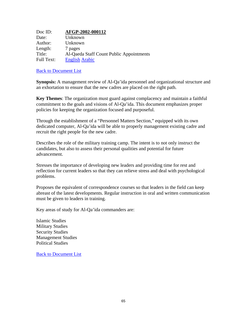<span id="page-65-0"></span>

| Doc ID:           | AFGP-2002-000112                         |
|-------------------|------------------------------------------|
| Date:             | Unknown                                  |
| Author:           | Unknown                                  |
| Length:           | 7 pages                                  |
| Title:            | Al-Qaeda Staff Count Public Appointments |
| <b>Full Text:</b> | <b>English Arabic</b>                    |

**Synopsis:** A management review of Al-Qa'ida personnel and organizational structure and an exhortation to ensure that the new cadres are placed on the right path.

**Key Themes**: The organization must guard against complacency and maintain a faithful commitment to the goals and visions of Al-Qa'ida. This document emphasizes proper policies for keeping the organization focused and purposeful.

Through the establishment of a "Personnel Matters Section," equipped with its own dedicated computer, Al-Qa'ida will be able to properly management existing cadre and recruit the right people for the new cadre.

Describes the role of the military training camp. The intent is to not only instruct the candidates, but also to assess their personal qualities and potential for future advancement.

Stresses the importance of developing new leaders and providing time for rest and reflection for current leaders so that they can relieve stress and deal with psychological problems.

Proposes the equivalent of correspondence courses so that leaders in the field can keep abreast of the latest developments. Regular instruction in oral and written communication must be given to leaders in training.

Key areas of study for Al-Qa'ida commanders are:

Islamic Studies Military Studies Security Studies Management Studies Political Studies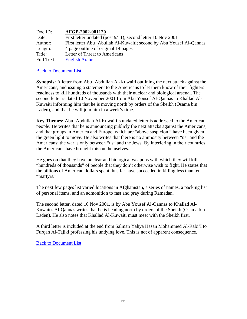<span id="page-66-0"></span>

| Doc ID:    | AFGP-2002-001120                                                     |
|------------|----------------------------------------------------------------------|
| Date:      | First letter undated (post 9/11); second letter 10 Nov 2001          |
| Author:    | First letter Abu 'Abullah Al-Kuwaiti; second by Abu Yousef Al-Qannas |
| Length:    | 4 page outline of original 14 pages                                  |
| Title:     | Letter of Threat to Americans                                        |
| Full Text: | <b>English Arabic</b>                                                |

**Synopsis:** A letter from Abu 'Abdullah Al-Kuwaiti outlining the next attack against the Americans, and issuing a statement to the Americans to let them know of their fighters' readiness to kill hundreds of thousands with their nuclear and biological arsenal. The second letter is dated 10 November 2001 from Abu Yousef Al-Qannas to Khallad Al-Kuwaiti informing him that he is moving north by orders of the Sheikh (Osama bin Laden), and that he will join him in a week's time.

**Key Themes:** Abu 'Abdullah Al-Kuwaiti's undated letter is addressed to the American people. He writes that he is announcing publicly the next attacks against the Americans, and that groups in America and Europe, which are "above suspicion," have been given the green light to move. He also writes that there is no animosity between "us" and the Americans; the war is only between "us" and the Jews. By interfering in their countries, the Americans have brought this on themselves.

He goes on that they have nuclear and biological weapons with which they will kill "hundreds of thousands" of people that they don't otherwise wish to fight. He states that the billions of American dollars spent thus far have succeeded in killing less than ten "martyrs."

The next few pages list varied locations in Afghanistan, a series of names, a packing list of personal items, and an admonition to fast and pray during Ramadan.

The second letter, dated 10 Nov 2001, is by Abu Yousef Al-Qannas to Khallad Al-Kuwaiti. Al-Qannas writes that he is heading north by orders of the Sheikh (Osama bin Laden). He also notes that Khallad Al-Kuwaiti must meet with the Sheikh first.

A third letter is included at the end from Salman Yahya Hasan Mohammed Al-Rabi'I to Furqan Al-Tajiki professing his undying love. This is not of apparent consequence.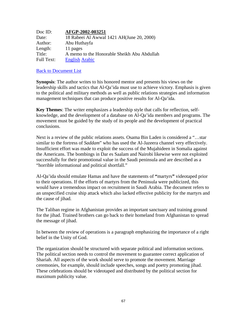<span id="page-67-0"></span>

| Doc ID:           | AFGP-2002-003251                            |
|-------------------|---------------------------------------------|
| Date:             | 18 Rabeei Al Awwal 1421 AH(June 20, 2000)   |
| Author:           | Abu Huthayfa                                |
| Length:           | 11 pages                                    |
| Title:            | A memo to the Honorable Sheikh Abu Abdullah |
| <b>Full Text:</b> | <b>English Arabic</b>                       |

**Synopsis**: The author writes to his honored mentor and presents his views on the leadership skills and tactics that Al-Qa'ida must use to achieve victory. Emphasis is given to the political and military methods as well as public relations strategies and information management techniques that can produce positive results for Al-Qa'ida.

**Key Themes**: The writer emphasizes a leadership style that calls for reflection, selfknowledge, and the development of a database on Al-Qa'ida members and programs. The movement must be guided by the study of its people and the development of practical conclusions.

Next is a review of the public relations assets. Osama Bin Laden is considered a "…star similar to the fortress of *Saddam*" who has used the Al-Jazeera channel very effectively. Insufficient effort was made to exploit the success of the Mujahideen in Somalia against the Americans. The bombings in Dar es Saalam and Nairobi likewise were not exploited successfully for their promotional value in the Saudi peninsula and are described as a "horrible informational and political shortfall."

Al-Qa'ida should emulate Hamas and have the statements of **"**martyrs**"** videotaped prior to their operations. If the efforts of martyrs from the Peninsula were publicized, this would have a tremendous impact on recruitment in Saudi Arabia. The document refers to an unspecified cruise ship attack which also lacked effective publicity for the martyrs and the cause of jihad.

The Taliban regime in Afghanistan provides an important sanctuary and training ground for the jihad. Trained brothers can go back to their homeland from Afghanistan to spread the message of jihad.

In between the review of operations is a paragraph emphasizing the importance of a right belief in the Unity of God.

The organization should be structured with separate political and information sections. The political section needs to control the movement to guarantee correct application of Shariah. All aspects of the work should serve to promote the movement. Marriage ceremonies, for example, should include speeches, songs and poetry promoting jihad. These celebrations should be videotaped and distributed by the political section for maximum publicity value.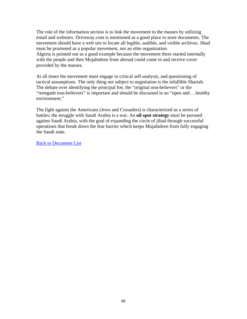The role of the information section is to link the movement to the masses by utilizing email and websites. Driveway.com is mentioned as a good place to store documents. The movement should have a web site to locate all legible, audible, and visible archives. Jihad must be promoted as a popular movement, not an elite organization. Algeria is pointed out as a good example because the movement there started internally with the people and then Mujahideen from abroad could come in and receive cover provided by the masses.

At all times the movement must engage in critical self-analysis, and questioning of tactical assumptions. The only thing not subject to negotiation is the infallible Shariah. The debate over identifying the principal foe, the "original non-believers" or the "renegade non-believers" is important and should be discussed in an "open and …healthy environment."

The fight against the Americans (Jews and Crusaders) is characterized as a series of battles; the struggle with Saudi Arabia is a war. An **oil spot strategy** must be pursued against Saudi Arabia, with the goal of expanding the circle of jihad through successful operations that break down the fear barrier which keeps Mujahideen from fully engaging the Saudi state.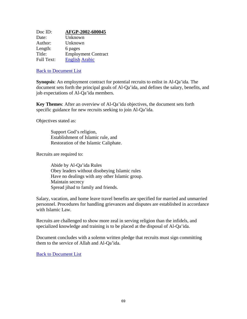<span id="page-69-0"></span>

| Doc ID:           | AFGP-2002-600045           |
|-------------------|----------------------------|
| Date:             | Unknown                    |
| Author:           | Unknown                    |
| Length:           | 6 pages                    |
| Title:            | <b>Employment Contract</b> |
| <b>Full Text:</b> | <b>English Arabic</b>      |

**Synopsis**: An employment contract for potential recruits to enlist in Al-Qa'ida. The document sets forth the principal goals of Al-Qa'ida, and defines the salary, benefits, and job expectations of Al-Qa'ida members.

**Key Themes**: After an overview of Al-Qa'ida objectives, the document sets forth specific guidance for new recruits seeking to join Al-Qa'ida.

Objectives stated as:

Support God's religion, Establishment of Islamic rule, and Restoration of the Islamic Caliphate.

Recruits are required to:

Abide by Al-Qa'ida Rules Obey leaders without disobeying Islamic rules Have no dealings with any other Islamic group. Maintain secrecy Spread jihad to family and friends.

Salary, vacation, and home leave travel benefits are specified for married and unmarried personnel. Procedures for handling grievances and disputes are established in accordance with Islamic Law.

Recruits are challenged to show more zeal in serving religion than the infidels, and specialized knowledge and training is to be placed at the disposal of Al-Qa'ida.

Document concludes with a solemn written pledge that recruits must sign committing them to the service of Allah and Al-Qa'ida.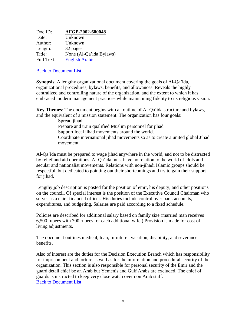<span id="page-70-0"></span>

| Doc ID:           | AFGP-2002-600048        |
|-------------------|-------------------------|
| Date:             | Unknown                 |
| Author:           | Unknown                 |
| Length:           | 32 pages                |
| Title:            | None (Al-Qa'ida Bylaws) |
| <b>Full Text:</b> | <b>English Arabic</b>   |

**Synopsis**: A lengthy organizational document covering the goals of Al-Qa'ida, organizational procedures, bylaws, benefits, and allowances. Reveals the highly centralized and controlling nature of the organization, and the extent to which it has embraced modern management practices while maintaining fidelity to its religious vision.

**Key Themes**: The document begins with an outline of Al-Qa'ida structure and bylaws, and the equivalent of a mission statement. The organization has four goals:

> Spread jihad. Prepare and train qualified Muslim personnel for jihad Support local jihad movements around the world. Coordinate international jihad movements so as to create a united global Jihad movement.

Al-Qa'ida must be prepared to wage jihad anywhere in the world, and not to be distracted by relief and aid operations. Al-Qa'ida must have no relation to the world of idols and secular and nationalist movements. Relations with non-jihadi Islamic groups should be respectful, but dedicated to pointing out their shortcomings and try to gain their support for jihad.

Lengthy job description is posted for the position of emir, his deputy, and other positions on the council. Of special interest is the position of the Executive Council Chairman who serves as a chief financial officer. His duties include control over bank accounts, expenditures, and budgeting. Salaries are paid according to a fixed schedule.

Policies are described for additional salary based on family size (married man receives 6,500 rupees with 700 rupees for each additional wife.) Provision is made for cost of living adjustments.

The document outlines medical, loan, furniture , vacation, disability, and severance benefits**.** 

Also of interest are the duties for the Decision Execution Branch which has responsibility for imprisonment and torture as well as for the information and procedural security of the organization. This section is also responsible for personal security of the Emir and the guard detail chief be an Arab but Yemenis and Gulf Arabs are excluded. The chief of guards is instructed to keep very close watch over non Arab staff. [Back to Document List](#page-58-0)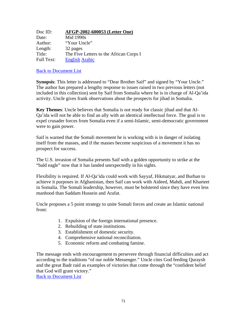<span id="page-71-0"></span>

| Doc ID:           | AFGP-2002-600053 (Letter One)           |
|-------------------|-----------------------------------------|
| Date:             | Mid 1990s                               |
| Author:           | "Your Uncle"                            |
| Length:           | 32 pages                                |
| Title:            | The Five Letters to the African Corps I |
| <b>Full Text:</b> | <b>English Arabic</b>                   |

**Synopsis**: This letter is addressed to "Dear Brother Saif" and signed by "Your Uncle." The author has prepared a lengthy response to issues raised in two previous letters (not included in this collection) sent by Saif from Somalia where he is in charge of Al-Qa'ida activity. Uncle gives frank observations about the prospects for jihad in Somalia.

**Key Themes**: Uncle believes that Somalia is not ready for classic jihad and that Al-Qa'ida will not be able to find an ally with an identical intellectual force. The goal is to expel crusader forces from Somalia even if a semi-Islamic, semi-democratic government were to gain power.

Saif is warned that the Somali movement he is working with is in danger of isolating itself from the masses, and if the masses become suspicious of a movement it has no prospect for success.

The U.S. invasion of Somalia presents Saif with a golden opportunity to strike at the "bald eagle" now that it has landed unexpectedly in his sights.

Flexibility is required. If Al-Qa'ida could work with Sayyaf, Hikmatyar, and Burhan to achieve it purposes in Afghanistan, then Saif can work with Aideed, Mahdi, and Kharteet in Somalia. The Somali leadership, however, must be bolstered since they have even less manhood than Saddam Hussein and Arafat.

Uncle proposes a 5 point strategy to unite Somali forces and create an Islamic national front:

- 1. Expulsion of the foreign international presence.
- 2. Rebuilding of state institutions.
- 3. Establishment of domestic security.
- 4. Comprehensive national reconciliation.
- 5. Economic reform and combating famine.

The message ends with encouragement to persevere through financial difficulties and act according to the traditions "of our noble Messenger." Uncle cites God feeding Quraysh and the great Badr raid as examples of victories that come through the "confident belief that God will grant victory."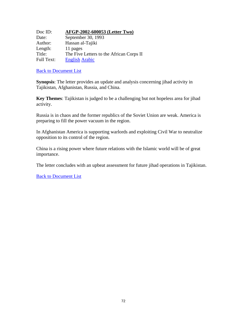| Doc ID:           | AFGP-2002-600053 (Letter Two)            |
|-------------------|------------------------------------------|
| Date:             | September 30, 1993                       |
| Author:           | Hassan al-Tajiki                         |
| Length:           | 11 pages                                 |
| Title:            | The Five Letters to the African Corps II |
| <b>Full Text:</b> | <b>English Arabic</b>                    |

**Synopsis**: The letter provides an update and analysis concerning jihad activity in Tajikistan, Afghanistan, Russia, and China.

**Key Themes**: Tajikistan is judged to be a challenging but not hopeless area for jihad activity.

Russia is in chaos and the former republics of the Soviet Union are weak. America is preparing to fill the power vacuum in the region.

In Afghanistan America is supporting warlords and exploiting Civil War to neutralize opposition to its control of the region.

China is a rising power where future relations with the Islamic world will be of great importance.

The letter concludes with an upbeat assessment for future jihad operations in Tajikistan.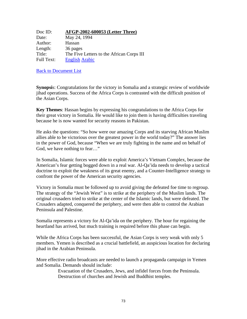| Doc ID:           | AFGP-2002-600053 (Letter Three)           |
|-------------------|-------------------------------------------|
| Date:             | May 24, 1994                              |
| Author:           | Hassan                                    |
| Length:           | 36 pages                                  |
| Title:            | The Five Letters to the African Corps III |
| <b>Full Text:</b> | <b>English Arabic</b>                     |

**Synopsi**s: Congratulations for the victory in Somalia and a strategic review of worldwide jihad operations. Success of the Africa Corps is contrasted with the difficult position of the Asian Corps.

**Key Themes**: Hassan begins by expressing his congratulations to the Africa Corps for their great victory in Somalia. He would like to join them is having difficulties traveling because he is now wanted for security reasons in Pakistan.

He asks the questions: "So how were our amazing Corps and its starving African Muslim allies able to be victorious over the greatest power in the world today?" The answer lies in the power of God, because "When we are truly fighting in the name and on behalf of God, we have nothing to fear…"

In Somalia, Islamic forces were able to exploit America's Vietnam Complex, because the American's fear getting bogged down in a real war. Al-Qa'ida needs to develop a tactical doctrine to exploit the weakness of its great enemy, and a Counter-Intelligence strategy to confront the power of the American security agencies.

Victory in Somalia must be followed up to avoid giving the defeated foe time to regroup. The strategy of the "Jewish West" is to strike at the periphery of the Muslim lands. The original crusaders tried to strike at the center of the Islamic lands, but were defeated. The Crusaders adapted, conquered the periphery, and were then able to control the Arabian Peninsula and Palestine.

Somalia represents a victory for Al-Qa'ida on the periphery. The hour for regaining the heartland has arrived, but much training is required before this phase can begin.

While the Africa Corps has been successful, the Asian Corps is very weak with only 5 members. Yemen is described as a crucial battlefield, an auspicious location for declaring jihad in the Arabian Peninsula.

More effective radio broadcasts are needed to launch a propaganda campaign in Yemen and Somalia. Demands should include:

> Evacuation of the Crusaders, Jews, and infidel forces from the Peninsula. Destruction of churches and Jewish and Buddhist temples.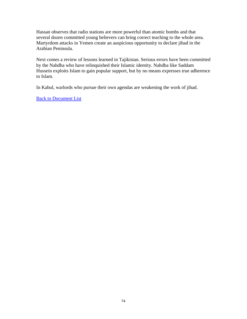Hassan observes that radio stations are more powerful than atomic bombs and that several dozen committed young believers can bring correct teaching to the whole area. Martyrdom attacks in Yemen create an auspicious opportunity to declare jihad in the Arabian Peninsula.

Next comes a review of lessons learned in Tajikistan. Serious errors have been committed by the Nahdha who have relinquished their Islamic identity. Nahdha like Saddam Hussein exploits Islam to gain popular support, but by no means expresses true adherence to Islam.

In Kabul, warlords who pursue their own agendas are weakening the work of jihad.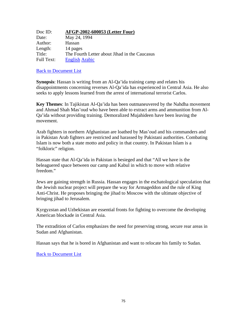| Doc ID:           | AFGP-2002-600053 (Letter Four)                |
|-------------------|-----------------------------------------------|
| Date:             | May 24, 1994                                  |
| Author:           | Hassan                                        |
| Length:           | 14 pages                                      |
| Title:            | The Fourth Letter about Jihad in the Caucasus |
| <b>Full Text:</b> | <b>English Arabic</b>                         |

**Synopsis**: Hassan is writing from an Al-Qa'ida training camp and relates his disappointments concerning reverses Al-Qa'ida has experienced in Central Asia. He also seeks to apply lessons learned from the arrest of international terrorist Carlos.

**Key Themes**: In Tajikistan Al-Qa'ida has been outmaneuvered by the Nahdha movement and Ahmad Shah Mas'oud who have been able to extract arms and ammunition from Al-Qa'ida without providing training. Demoralized Mujahideen have been leaving the movement.

Arab fighters in northern Afghanistan are loathed by Mas'oud and his commanders and in Pakistan Arab fighters are restricted and harassed by Pakistani authorities. Combating Islam is now both a state motto and policy in that country. In Pakistan Islam is a "folkloric" religion.

Hassan state that Al-Qa'ida in Pakistan is besieged and that "All we have is the beleaguered space between our camp and Kabul in which to move with relative freedom."

Jews are gaining strength in Russia. Hassan engages in the eschatological speculation that the Jewish nuclear project will prepare the way for Armageddon and the rule of King Anti-Christ. He proposes bringing the jihad to Moscow with the ultimate objective of bringing jihad to Jerusalem.

Kyrgyzstan and Uzbekistan are essential fronts for fighting to overcome the developing American blockade in Central Asia.

The extradition of Carlos emphasizes the need for preserving strong, secure rear areas in Sudan and Afghanistan.

Hassan says that he is bored in Afghanistan and want to relocate his family to Sudan.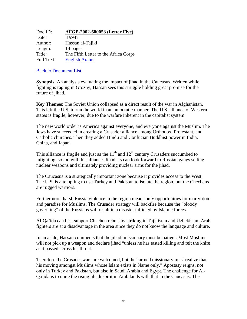| Doc ID:           | AFGP-2002-600053 (Letter Five)       |
|-------------------|--------------------------------------|
| Date:             | 1994?                                |
| Author:           | Hassan al-Tajiki                     |
| Length:           | 14 pages                             |
| Title:            | The Fifth Letter to the Africa Corps |
| <b>Full Text:</b> | <b>English Arabic</b>                |

**Synopsis**: An analysis evaluating the impact of jihad in the Caucasus. Written while fighting is raging in Grozny, Hassan sees this struggle holding great promise for the future of jihad.

**Key Themes**: The Soviet Union collapsed as a direct result of the war in Afghanistan. This left the U.S. to run the world in an autocratic manner. The U.S. alliance of Western states is fragile, however, due to the warfare inherent in the capitalist system.

The new world order is America against everyone, and everyone against the Muslim. The Jews have succeeded in creating a Crusader alliance among Orthodox, Protestant, and Catholic churches. Then they added Hindu and Confucian Buddhist power in India, China, and Japan.

This alliance is fragile and just as the  $11<sup>th</sup>$  and  $12<sup>th</sup>$  century Crusaders succumbed to infighting, so too will this alliance. Jihadists can look forward to Russian gangs selling nuclear weapons and ultimately providing nuclear arms for the jihad.

The Caucasus is a strategically important zone because it provides access to the West. The U.S. is attempting to use Turkey and Pakistan to isolate the region, but the Chechens are rugged warriors.

Furthermore, harsh Russia violence in the region means only opportunities for martyrdom and paradise for Muslims. The Crusader strategy will backfire because the "bloody governing" of the Russians will result in a disaster inflicted by Islamic forces.

Al-Qa'ida can best support Chechen rebels by striking in Tajikistan and Uzbekistan. Arab fighters are at a disadvantage in the area since they do not know the language and culture.

In an aside, Hassan comments that the jihadi missionary must be patient. Most Muslims will not pick up a weapon and declare jihad "unless he has tasted killing and felt the knife as it passed across his throat."

Therefore the Crusader wars are welcomed, but the" armed missionary must realize that his moving amongst Muslims whose Islam exists in Name only." Apostasy reigns, not only in Turkey and Pakistan, but also in Saudi Arabia and Egypt. The challenge for Al-Qa'ida is to unite the rising jihadi spirit in Arab lands with that in the Caucasus. The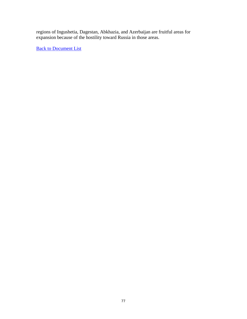regions of Ingushetia, Dagestan, Abkhazia, and Azerbaijan are fruitful areas for expansion because of the hostility toward Russia in those areas.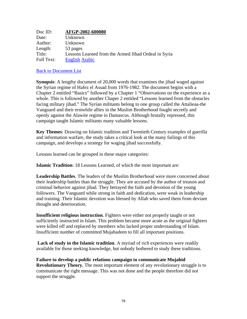| Doc ID:           | AFGP-2002-600080                                     |
|-------------------|------------------------------------------------------|
| Date:             | Unknown                                              |
| Author:           | Unknown                                              |
| Length:           | 53 pages                                             |
| Title:            | Lessons Learned from the Armed Jihad Ordeal in Syria |
| <b>Full Text:</b> | <b>English Arabic</b>                                |

**Synopsis**: A lengthy document of 20,000 words that examines the jihad waged against the Syrian regime of Hafez el Assad from 1976-1982. The document begins with a Chapter 2 entitled "Basics" followed by a Chapter 1 "Observations on the experience as a whole. This is followed by another Chaper 2 entitled "Lessons learned from the obstacles facing military jihad." The Syrian militants belong to one group called the Attalieaa-the Vanguard and their erstwhile allies in the Muslim Brotherhood fought secretly and openly against the Alawite regime in Damascus. Although brutally repressed, this campaign taught Islamic militants many valuable lessons.

**Key Themes**: Drawing on Islamic tradition and Twentieth Century examples of guerilla and information warfare, the study takes a critical look at the many failings of this campaign, and develops a strategy for waging jihad successfully.

Lessons learned can be grouped in these major categories:

**Islamic Tradition**: 18 Lessons Learned, of which the most important are:

**Leadership Battles**. The leaders of the Muslim Brotherhood were more concerned about their leadership battles than the struggle. They are accused by the author of treason and criminal behavior against jihad. They betrayed the faith and devotion of the young followers. The Vanguard while strong in faith and dedication, were weak in leadership and training. Their Islamic devotion was blessed by Allah who saved them from deviant thought and deterioration.

**Insufficient religious instruction**. Fighters were either not properly taught or not sufficiently instructed in Islam. This problem became more acute as the original fighters were killed off and replaced by members who lacked proper understanding of Islam. Insufficient number of committed Mujahadeen to fill all important positions.

**Lack of study in the Islamic tradition**. A myriad of rich experiences were readily available for those seeking knowledge, but nobody bothered to study these traditions.

**Failure to develop a public relations campaign to communicate Mujahid Revolutionary Theory**, The most important element of any revolutionary struggle is to communicate the right message. This was not done and the people therefore did not support the struggle.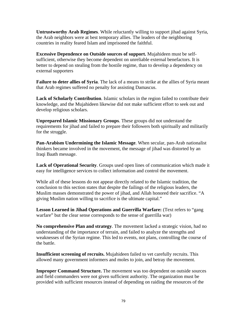**Untrustworthy Arab Regimes**. While reluctantly willing to support jihad against Syria, the Arab neighbors were at best temporary allies. The leaders of the neighboring countries in reality feared Islam and imprisoned the faithful.

**Excessive Dependence on Outside sources of support.** Mujahideen must be selfsufficient, otherwise they become dependent on unreliable external benefactors. It is better to depend on stealing from the hostile regime, than to develop a dependency on external supporters

**Failure to deter allies of Syria**. The lack of a means to strike at the allies of Syria meant that Arab regimes suffered no penalty for assisting Damascus.

**Lack of Scholarly Contribution**. Islamic scholars in the region failed to contribute their knowledge, and the Mujahideen likewise did not make sufficient effort to seek out and develop religious scholars.

**Unprepared Islamic Missionary Groups**. These groups did not understand the requirements for jihad and failed to prepare their followers both spiritually and militarily for the struggle.

**Pan-Arabism Undermining the Islamic Message**. When secular, pan-Arab nationalist thinkers became involved in the movement, the message of jihad was distorted by an Iraqi Baath message.

**Lack of Operational Security**. Groups used open lines of communication which made it easy for intelligence services to collect information and control the movement.

While all of these lessons do not appear directly related to the Islamic tradition, the conclusion to this section states that despite the failings of the religious leaders, the Muslim masses demonstrated the power of jihad, and Allah honored their sacrifice. "A giving Muslim nation willing to sacrifice is the ultimate capital."

**Lesson Learned in Jihad Operations and Guerrilla Warfare:** (Text refers to "gang warfare" but the clear sense corresponds to the sense of guerrilla war)

**No comprehensive Plan and strategy**. The movement lacked a strategic vision, had no understanding of the importance of terrain, and failed to analyze the strengths and weaknesses of the Syrian regime. This led to events, not plans, controlling the course of the battle.

**Insufficient screening of recruits.** Mujahideen failed to vet carefully recruits. This allowed many government informers and moles to join, and betray the movement.

**Improper Command Structure.** The movement was too dependent on outside sources and field commanders were not given sufficient authority. The organization must be provided with sufficient resources instead of depending on raiding the resources of the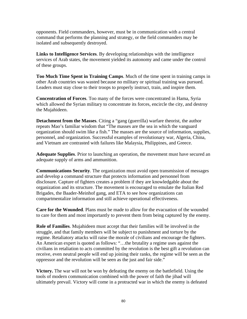opponents. Field commanders, however, must be in communication with a central command that performs the planning and strategy, or the field commanders may be isolated and subsequently destroyed.

**Links to Intelligence Services**. By developing relationships with the intelligence services of Arab states, the movement yielded its autonomy and came under the control of these groups.

**Too Much Time Spent in Training Camps**. Much of the time spent in training camps in other Arab countries was wasted because no military or spiritual training was pursued. Leaders must stay close to their troops to properly instruct, train, and inspire them.

**Concentration of Forces**. Too many of the forces were concentrated in Hama, Syria which allowed the Syrian military to concentrate its forces, encircle the city, and destroy the Mujahideen.

**Detachment from the Masses**. Citing a "gang (guerrilla) warfare theorist, the author repeats Mao's familiar wisdom that "The masses are the sea in which the vanguard organization should swim like a fish." The masses are the source of information, supplies, personnel, and organization. Successful examples of revolutionary war, Algeria, China, and Vietnam are contrasted with failures like Malaysia, Philippines, and Greece.

**Adequate Supplies**. Prior to launching an operation, the movement must have secured an adequate supply of arms and ammunition.

**Communications Security**. The organization must avoid open transmission of messages and develop a command structure that protects information and personnel from disclosure. Capture of fighters creates a problem if they are knowledgable about the organization and its structure. The movement is encouraged to emulate the Italian Red Brigades, the Baader-Meinhof gang, and ETA to see how organizations can compartmentalize information and still achieve operational effectiveness.

**Care for the Wounded**. Plans must be made to allow for the evacuation of the wounded to care for them and most importantly to prevent them from being captured by the enemy.

**Role of Families**. Mujahideen must accept that their families will be involved in the struggle, and that family members will be subject to punishment and torture by the regime. Retaliatory attacks will raise the morale of civilians and encourage the fighters. An American expert is quoted as follows: "…the brutality a regime uses against the civilians in retaliation to acts committed by the revolution is the best gift a revolution can receive, even neutral people will end up joining their ranks, the regime will be seen as the oppressor and the revolution will be seen as the just and fair side."

**Victory.** The war will not be won by defeating the enemy on the battlefield. Using the tools of modern communication combined with the power of faith the jihad will ultimately prevail. Victory will come in a protracted war in which the enemy is defeated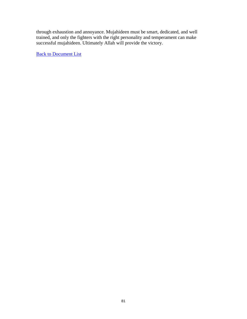through exhaustion and annoyance. Mujahideen must be smart, dedicated, and well trained, and only the fighters with the right personality and temperament can make successful mujahideen. Ultimately Allah will provide the victory.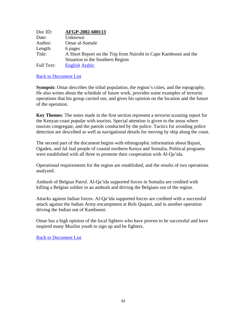| Doc ID:           | AFGP-2002-600113                                                 |
|-------------------|------------------------------------------------------------------|
| Date:             | Unknown                                                          |
| Author:           | Omar al-Sumale                                                   |
| Length:           | 6 pages                                                          |
| Title:            | A Short Report on the Trip from Nairobi to Cape Kambooni and the |
|                   | Situation in the Southern Region                                 |
| <b>Full Text:</b> | <b>English Arabic</b>                                            |

**Synopsis**: Omar describes the tribal population, the region's cities, and the topography. He also writes about the schedule of future work, provides some examples of terrorist operations that his group carried out, and gives his opinion on the location and the future of the operation.

**Key Themes**: The notes made in the first section represent a terrorist scouting report for the Kenyan coast popular with tourists. Special attention is given to the areas where tourists congregate, and the patrols conducted by the police. Tactics for avoiding police detection are described as well as navigational details for moving by ship along the coast.

The second part of the document begins with ethnographic information about Bajuni, Ogaden, and Jal Jaal people of coastal northern Kenya and Somalia. Political programs were established with all three to promote their cooperation with Al-Qa'ida.

Operational requirements for the region are established, and the results of two operations analyzed.

Ambush of Belgian Patrol. Al-Qa'ida supported forces in Somalia are credited with killing a Belgian soldier in an ambush and driving the Belgians out of the region.

Attacks against Indian forces. Al-Qa'ida supported forces are credited with a successful attack against the Indian Army encampment at Bols Quqani, and in another operation driving the Indian out of Kambooni.

Omar has a high opinion of the local fighters who have proven to be successful and have inspired many Muslim youth to sign up and be fighters.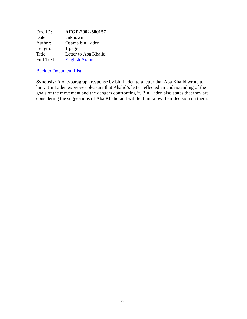| Doc ID:           | AFGP-2002-600157      |
|-------------------|-----------------------|
| Date:             | unknown               |
| Author:           | Osama bin Laden       |
| Length:           | 1 page                |
| Title:            | Letter to Aba Khalid  |
| <b>Full Text:</b> | <b>English Arabic</b> |

**Synopsis:** A one-paragraph response by bin Laden to a letter that Aba Khalid wrote to him. Bin Laden expresses pleasure that Khalid's letter reflected an understanding of the goals of the movement and the dangers confronting it. Bin Laden also states that they are considering the suggestions of Aba Khalid and will let him know their decision on them.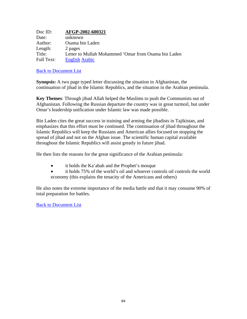| Doc ID:           | AFGP-2002-600321                                     |
|-------------------|------------------------------------------------------|
| Date:             | unknown                                              |
| Author:           | Osama bin Laden                                      |
| Length:           | 2 pages                                              |
| Title:            | Letter to Mullah Mohammed 'Omar from Osama bin Laden |
| <b>Full Text:</b> | <b>English Arabic</b>                                |

**Synopsis:** A two page typed letter discussing the situation in Afghanistan, the continuation of jihad in the Islamic Republics, and the situation in the Arabian peninsula.

**Key Themes**: Through jihad Allah helped the Muslims to push the Communists out of Afghanistan. Following the Russian departure the country was in great turmoil, but under Omar's leadership unification under Islamic law was made possible.

Bin Laden cites the great success in training and arming the jihadists in Tajikistan, and emphasizes that this effort must be continued. The continuation of jihad throughout the Islamic Republics will keep the Russians and American allies focused on stopping the spread of jihad and not on the Afghan issue. The scientific human capital available throughout the Islamic Republics will assist greatly in future jihad.

He then lists the reasons for the great significance of the Arabian peninsula:

- it holds the Ka'abah and the Prophet's mosque
- it holds 75% of the world's oil and whoever controls oil controls the world economy (this explains the tenacity of the Americans and others)

He also notes the extreme importance of the media battle and that it may consume 90% of total preparation for battles.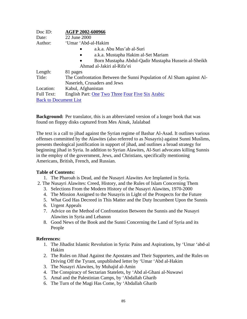| Doc ID:                      | AGFP 2002-600966                                                      |
|------------------------------|-----------------------------------------------------------------------|
| Date:                        | 22 June 2000                                                          |
| Author:                      | 'Umar 'Abd-al-Hakim                                                   |
|                              | a.k.a. Abu Mus'ab al-Suri<br>$\bullet$                                |
|                              | a.k.a. Mustapha Hakim al-Set Mariam<br>٠                              |
|                              | Born Mustapha Abdul-Qadir Mustapha Hussein al-Sheikh<br>$\bullet$     |
|                              | Ahmad al-Jakiri al-Rifa'ei                                            |
| Length:                      | 81 pages                                                              |
| Title:                       | The Confrontation Between the Sunni Population of Al Sham against Al- |
|                              | Naserieh, Crusaders and Jews                                          |
| Location:                    | Kabul, Afghanistan                                                    |
| <b>Full Text:</b>            | English Part: One Two Three Four Five Six Arabic                      |
| <b>Back to Document List</b> |                                                                       |

**Background:** Per translator, this is an abbreviated version of a longer book that was found on floppy disks captured from Mes Ainak, Jalalabad

The text is a call to jihad against the Syrian regime of Bashar Al-Asad. It outlines various offenses committed by the Alawites (also referred to as Nusayris) against Sunni Muslims, presents theological justification in support of jihad, and outlines a broad strategy for beginning jihad in Syria. In addition to Syrian Alawites, Al-Suri advocates killing Sunnis in the employ of the government, Jews, and Christians, specifically mentioning Americans, British, French, and Russian.

# **Table of Contents:**

- 1. The Pharoah is Dead, and the Nusayri Alawites Are Implanted in Syria.
- 2. The Nusayri Alawites: Creed, History, and the Rules of Islam Concerning Them
	- 3. Selections From the Modern History of the Nusayri Alawites, 1970-2000
	- 4. The Mission Assigned to the Nusayris in Light of the Prospects for the Future
	- 5. What God Has Decreed in This Matter and the Duty Incumbent Upon the Sunnis
	- 6. Urgent Appeals
	- 7. Advice on the Method of Confrontation Between the Sunnis and the Nusayri Alawites in Syria and Lebanon
	- 8. Good News of the Book and the Sunni Concerning the Land of Syria and its People

#### **References:**

- 1. The Jihadist Islamic Revolution in Syria: Pains and Aspirations, by 'Umar 'abd-al Hakim
- 2. The Rules on Jihad Against the Apostates and Their Supporters, and the Rules on Driving Off the Tyrant, unpublished letter by 'Umar 'Abd al-Hakim
- 3. The Nusayri Alawites, by Muhajid al-Amin
- 4. The Conspiracy of Sectarian Statelets, by 'Abd al-Ghani al-Nuwawi
- 5. Amal and the Palestinian Camps, by 'Abdallah Gharib
- 6. The Turn of the Magi Has Come, by 'Abdallah Gharib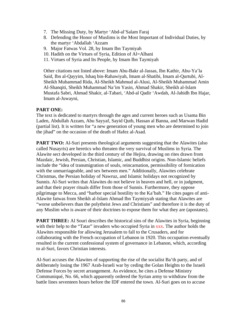- 7. The Missing Duty, by Martyr 'Abd-al'Salam Faraj
- 8. Defending the Honor of Muslims is the Most Important of Individual Duties, by the martyr 'Abdallah 'Azzam
- 9. Major Fatwas Vol. 28, by Imam Ibn Taymiyah
- 10. Hadith on the Virtues of Syria, Edition of Al=Albani
- 11. Virtues of Syria and Its People, by Imam Ibn Taymiyah

Other citations not listed above: Imam Abu-Bakr al-Jassas, Ibn Kathir, Abu-Ya'la Said, Ibn al-Qayyim, Ishaq bin-Rahawiyah, Imam al-Shatibi, Imam al-Qurtubi, Al-Sheikh Muhammad Rida, Al-Sheikh Mahmud al-Alusi, Al-Sheikh Muhammad Amin Al-Shanqiti, Sheikh Muhammad Na'im Yasin, Ahmad Shakir, Sheikh al-Islam Mustafa Sabri, Ahmad Shakir, al-Tabari, 'Abd-al Qadir 'Awdah, Al-Jahidh Ibn Hajar, Imam al-Juwayni,

#### **PART ONE:**

The text is dedicated to martyrs through the ages and current heroes such as Usama Bin Laden, Abdullah Azzam, Abu Sayyaf, Sayid Qutb, Hassan al Banna, and Marwan Hadid (partial list). It is written for "a new generation of young men who are determined to join the jihad" on the occasion of the death of Hafez al-Asad.

**PART TWO:** Al-Suri presents theological arguments suggesting that the Alawites (also called Nusayris) are heretics who threaten the very survival of Muslims in Syria. The Alawite sect developed in the third century of the Hejira, drawing on rites drawn from Mazdaic, Jewish, Persian, Christian, Islamic, and Buddhist origins. Non-Islamic beliefs include the "idea of transmigration of souls, reincarnation, permissibility of fornication with the unmarriageable, and sex between men." Additionally, Alawites celebrate Christmas, the Persian holiday of Nawruz, and Islamic holidays not recognized by Sunnis. Al-Suri writes that Alawites do not believe in heaven and hell, or in judgment, and that their prayer rituals differ from those of Sunnis. Furthermore, they oppose pilgrimage to Mecca, and "harbor special hostility to the Ka'bah." He cites pages of anti-Alawite fatwas from Sheikh al-Islam Ahmad Ibn Taymiyyah stating that Alawites are "worse unbelievers than the polytheist Jews and Christians" and therefore it is the duty of any Muslim who is aware of their doctrines to expose them for what they are (apostates).

**PART THREE:** Al Souri describes the historical sins of the Alawites in Syria, beginning with their help to the "Tatar" invaders who occupied Syria in xxx. The author holds the Alawites responsible for allowing Jerusalem to fall to the Crusaders, and for collaborating with the French occupation of Lebanon in 1920. This occupation eventually resulted in the current confessional system of governance in Lebanon, which, according to al-Suri, favors Christian interests.

Al-Suri accuses the Alawites of supporting the rise of the socialist Ba'th party, and of deliberately losing the 1967 Arab-Israeli war by ceding the Golan Heights to the Israeli Defense Forces by secret arrangement. As evidence, he cites a Defense Ministry Communiqué, No. 66, which apparently ordered the Syrian army to withdraw from the battle lines seventeen hours before the IDF entered the town. Al-Suri goes on to accuse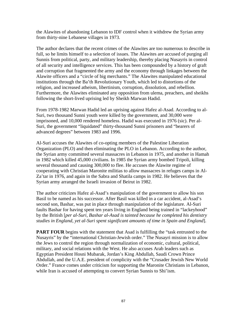the Alawites of abandoning Lebanon to IDF control when it withdrew the Syrian army from thirty-nine Lebanese villages in 1973.

The author declares that the recent crimes of the Alawites are too numerous to describe in full, so he limits himself to a selection of issues. The Alawites are accused of purging all Sunnis from political, party, and military leadership, thereby placing Nusayris in control of all security and intelligence services. This has been compounded by a history of graft and corruption that fragmented the army and the economy through linkages between the Alawite officers and a "circle of big merchants." The Alawites manipulated educational institutions through the Ba'th Revolutionary Youth, which led to distortions of the religion, and increased atheism, libertinism, corruption, dissolution, and rebellion. Furthermore, the Alawites eliminated any opposition from ulema, preachers, and sheikhs following the short-lived uprising led by Sheikh Marwan Hadid.

From 1978-1982 Marwan Hadid led an uprising against Hafez al-Asad. According to al-Suri, two thousand Sunni youth were killed by the government, and 30,000 were imprisoned, and 10,000 rendered homeless. Hadid was executed in 1976 (sic). Per al-Suri, the government "liquidated" thirty-thousand Sunni prisoners and "bearers of advanced degrees" between 1983 and 1996.

Al-Suri accuses the Alawites of co-opting members of the Palestine Liberation Organization (PLO) and then eliminating the PLO in Lebanon. According to the author, the Syrian army committed several massacres in Lebanon in 1975, and another in Hamah in 1982 which killed 45,000 civilians. In 1985 the Syrian army bombed Tripoli, killing several thousand and causing 300,000 to flee. He accuses the Alawite regime of cooperating with Christian Maronite militias to allow massacres in refuges camps in Al-Za'tar in 1976, and again in the Sabra and Shatila camps in 1982. He believes that the Syrian army arranged the Israeli invasion of Beirut in 1982.

The author criticizes Hafez al-Asad's manipulation of the government to allow his son Basil to be named as his successor. After Basil was killed in a car accident, al-Asad's second son, Bashar, was put in place through manipulation of the legislature. Al-Suri faults Bashar for having spent ten years living in England being trained in "lackeyhood" by the British [*per al-Suri, Bashar al-Asad is tainted because he completed his dentistry studies in England, yet al-Suri spent significant amounts of time in Spain and England*].

**PART FOUR** begins with the statement that Asad is fulfilling the "task entrusted to the Nusayris" by the "international Christian-Jewish order." The Nusayri mission is to allow the Jews to control the region through normalization of economic, cultural, political, military, and social relations with the West. He also accuses Arab leaders such as Egyptian President Hosni Mubarak, Jordan's King Abdullah, Saudi Crown Prince Abdullah, and the U.A.E. president of complicity with the "Crusader Jewish New World Order." France comes under criticism for supporting the Maronite Christians in Lebanon, while Iran is accused of attempting to convert Syrian Sunnis to Shi'ism.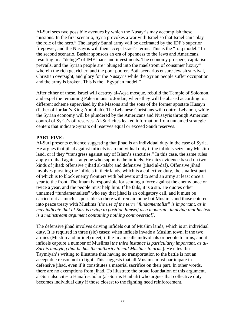Al-Suri sees two possibile avenues by which the Nusayris may accomplish these missions. In the first scenario, Syria provokes a war with Israel so that Israel can "play the role of the hero." The largely Sunni army will be decimated by the IDF's superior firepower, and the Nusayris will then accept Israel's terms. This is the "Iraq model." In the second scenario, Bashar sponsors an era of openness to the Jews and Americans, resulting in a "deluge" of IMF loans and investments. The economy prospers, capitalism prevails, and the Syrian people are "plunged into the maelstrom of consumer luxury" wherein the rich get richer, and the poor poorer. Both scenarios ensure Jewish survival, Christian oversight, and glory for the Nusayris while the Syrian people suffer occupation and the army is broken. This is the "Egyptian model."

After either of these, Israel will destroy al-Aqsa mosque, rebuild the Temple of Solomon, and expel the remaining Palestinians to Jordan, where they will be abased according to a different scheme supervised by the Masons and the sons of the former apostate Husayn (father of Jordan's King Abdullah). The Lebanese Christians will control Lebanon, while the Syrian economy will be plundered by the Americans and Nusayris through American control of Syria's oil reserves. Al-Suri cites leaked information from unnamed strategic centers that indicate Syria's oil reserves equal or exceed Saudi reserves.

# **PART FIVE:**

Al-Suri presents evidence suggesting that jihad is an individual duty in the case of Syria. He argues that jihad against infidels is an individual duty if the infidels seize any Muslim land, or if they "transgress against any of Islam's sanctities." In this case, the same rules apply to jihad against anyone who supports the infidels. He cites evidence based on two kinds of jihad: offensive (jihad al-talab) and defensive (jihad al-daf). Offensive jihad involves pursuing the infidels in their lands, which is a collective duty, the smallest part of which is to block enemy frontiers with believers and to send an army at least once a year to the front. The Imam is responsible for sending a force against the enemy once or twice a year, and the people must help him. If he fails, it is a sin. He quotes other unnamed "fundamentalists" who say that jihad is an obligatory call, and it must be carried out as much as possible so there will remain none but Muslims and those entered into peace treaty with Muslims [*the use of the term "fundamentalist" is important, as it may indicate that al-Suri is trying to position himself as a moderate, implying that his text is a mainstream argument containing nothing controversial].*

The defensive jihad involves driving infidels out of Muslim lands, which is an individual duty. It is required in three (sic) cases: when infidels invade a Muslim town, if the two armies (Muslim and infidel) meet, if the Imam calls individuals or people to arms, and if infidels capture a number of Muslims [*the third instance is particularly important, as al-Suri is implying that he has the authority to call Muslims to arms*]. He cites Ibn Taymiyah's writing to illustrate that having no transportation to the battle is not an acceptable reason not to fight. This suggests that all Muslims must participate in defensive jihad, even if it constitutes a material sacrifice on their part. In other words, there are no exemptions from jihad. To illustrate the broad foundation of this argument, al-Suri also cites a Hanafi scholar (al-Suri is Hanbali) who argues that collective duty becomes individual duty if those closest to the fighting need reinforcement.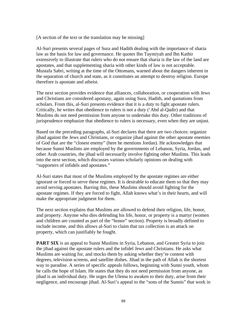[A section of the text or the translation may be missing]

Al-Suri presents several pages of Sura and Hadith dealing with the importance of sharia law as the basis for law and governance. He quotes Ibn Taymiyah and Ibn Kathir extensively to illustrate that rulers who do not ensure that sharia is the law of the land are apostates, and that supplementing sharia with other kinds of law is not acceptable. Mustafa Sabri, writing at the time of the Ottomans, warned about the dangers inherent in the separation of church and state, as it constitutes an attempt to destroy religion. Europe therefore is apostate and atheist.

The next section provides evidence that alliances, collaboration, or cooperation with Jews and Christians are considered apostasy, again using Sura, Hadith, and quotations from scholars. From this, al-Suri presents evidence that it is a duty to fight apostate rulers. Critically, he writes that obedience to rulers is not a duty ('Abd al-Qadir) and that Muslims do not need permission from anyone to undertake this duty. Other traditions of jurisprudence emphasize that obedience to rulers is necessary, even when they are unjust.

Based on the preceding paragraphs, al-Suri declares that there are two choices: organize jihad against the Jews and Christians, or organize jihad against the other apostate enemies of God that are the "closest enemy" (here he mentions Jordan). He acknowledges that because Sunni Muslims are employed by the governments of Lebanon, Syria, Jordan, and other Arab countries, the jihad will necessarily involve fighting other Muslims. This leads into the next section, which discusses various scholarly opinions on dealing with "supporters of infidels and apostates."

Al-Suri states that most of the Muslims employed by the apostate regimes are either ignorant or forced to serve these regimes. It is desirable to educate them so that they may avoid serving apostates. Barring this, these Muslims should avoid fighting for the apostate regimes. If they are forced to fight, Allah knows what's in their hearts, and will make the appropriate judgment for them.

The next section explains that Muslims are allowed to defend their religion, life, honor, and property. Anyone who dies defending his life, honor, or property is a martyr (women and children are counted as part of the "honor" section). Property is broadly defined to include income, and this allows al-Suri to claim that tax collection is an attack on property, which can justifiably be fought.

**PART SIX** is an appeal to Sunni Muslims in Syria, Lebanon, and Greater Syria to join the jihad against the apostate rulers and the infidel Jews and Christians. He asks what Muslims are waiting for, and mocks them by asking whether they're content with degrees, television screens, and satellite dishes. Jihad in the path of Allah is the shortest way to paradise. A series of specific appeals follows, beginning with Sunni youth, whom he calls the hope of Islam. He states that they do not need permission from anyone, as jihad is an individual duty. He urges the Ulema to awaken to their duty, arise from their negligence, and encourage jihad. Al-Suri's appeal to the "sons of the Sunnis" that work in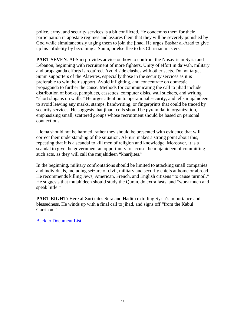police, army, and security services is a bit conflicted. He condemns them for their participation in apostate regimes and assures them that they will be severely punished by God while simultaneously urging them to join the jihad. He urges Bashar al-Asad to give up his infidelity by becoming a Sunni, or else flee to his Christian masters.

**PART SEVEN:** Al-Suri provides advice on how to confront the Nusayris in Syria and Lebanon, beginning with recruitment of more fighters. Unity of effort in da'wah, military and propaganda efforts is required. Avoid side clashes with other sects. Do not target Sunni supporters of the Alawites, especially those in the security services as it is preferable to win their support. Avoid infighting, and concentrate on domestic propaganda to further the cause. Methods for communicating the call to jihad include distribution of books, pamphlets, cassettes, computer disks, wall stickers, and writing "short slogans on walls." He urges attention to operational security, and tells mujahideen to avoid leaving any marks, stamps, handwriting, or fingerprints that could be traced by security services. He suggests that jihadi cells should be pyramidal in organization, emphasizing small, scattered groups whose recruitment should be based on personal connections.

Ulema should not be harmed, rather they should be presented with evidence that will correct their understanding of the situation. Al-Suri makes a strong point about this, repeating that it is a scandal to kill men of religion and knowledge. Moreover, it is a scandal to give the government an opportunity to accuse the mujahideen of committing such acts, as they will call the mujahideen "kharijites."

In the beginning, military confrontations should be limited to attacking small companies and individuals, including seizure of civil, military and security chiefs at home or abroad. He recommends killing Jews, American, French, and English citizens "to cause turmoil." He suggests that mujahideen should study the Quran, do extra fasts, and "work much and speak little."

**PART EIGHT:** Here al-Suri cites Sura and Hadith extolling Syria's importance and blessedness. He winds up with a final call to jihad, and signs off "from the Kabul Garrison."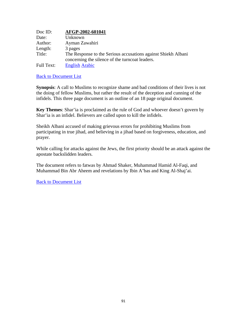| Doc ID:           | AFGP-2002-601041                                                                                                 |
|-------------------|------------------------------------------------------------------------------------------------------------------|
| Date:             | Unknown                                                                                                          |
| Author:           | Ayman Zawahiri                                                                                                   |
| Length:           | 3 pages                                                                                                          |
| Title:            | The Response to the Serious accusations against Shiekh Albani<br>concerning the silence of the turncoat leaders. |
| <b>Full Text:</b> | <b>English Arabic</b>                                                                                            |

**Synopsis**: A call to Muslims to recognize shame and bad conditions of their lives is not the doing of fellow Muslims, but rather the result of the deception and cunning of the infidels. This three page document is an outline of an 18 page original document.

**Key Themes**: Shar'ia is proclaimed as the rule of God and whoever doesn't govern by Shar'ia is an infidel. Believers are called upon to kill the infidels.

Sheikh Albani accused of making grievous errors for prohibiting Muslims from participating in true jihad, and believing in a jihad based on forgiveness, education, and prayer.

While calling for attacks against the Jews, the first priority should be an attack against the apostate backslidden leaders.

The document refers to fatwas by Ahmad Shaker, Muhammad Hamid Al-Faqi, and Muhammad Bin Abr Aheem and revelations by Ibin A'bas and King Al-Shaj'ai.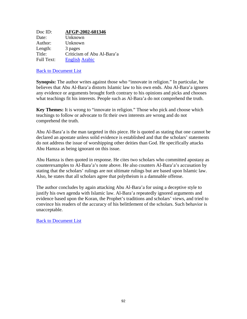| Doc ID:           | AFGP-2002-601346           |
|-------------------|----------------------------|
| Date:             | Unknown                    |
| Author:           | Unknown                    |
| Length:           | 3 pages                    |
| Title:            | Criticism of Abu Al-Bara'a |
| <b>Full Text:</b> | <b>English Arabic</b>      |

**Synopsis:** The author writes against those who "innovate in religion." In particular, he believes that Abu Al-Bara'a distorts Islamic law to his own ends. Abu Al-Bara'a ignores any evidence or arguments brought forth contrary to his opinions and picks and chooses what teachings fit his interests. People such as Al-Bara'a do not comprehend the truth.

**Key Themes:** It is wrong to "innovate in religion." Those who pick and choose which teachings to follow or advocate to fit their own interests are wrong and do not comprehend the truth.

Abu Al-Bara'a is the man targeted in this piece. He is quoted as stating that one cannot be declared an apostate unless solid evidence is established and that the scholars' statements do not address the issue of worshipping other deities than God. He specifically attacks Abu Hamza as being ignorant on this issue.

Abu Hamza is then quoted in response. He cites two scholars who committed apostasy as counterexamples to Al-Bara'a's note above. He also counters Al-Bara'a's accusation by stating that the scholars' rulings are not ultimate rulings but are based upon Islamic law. Also, he states that all scholars agree that polytheism is a damnable offense.

The author concludes by again attacking Abu Al-Bara'a for using a deceptive style to justify his own agenda with Islamic law. Al-Bara'a repeatedly ignored arguments and evidence based upon the Koran, the Prophet's traditions and scholars' views, and tried to convince his readers of the accuracy of his belittlement of the scholars. Such behavior is unacceptable.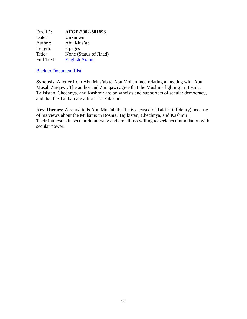| AFGP-2002-601693       |
|------------------------|
| Unknown                |
| Abu Mus'ab             |
| 2 pages                |
| None (Status of Jihad) |
| <b>English Arabic</b>  |
|                        |

**Synopsis**: A letter from Abu Mus'ab to Abu Mohammed relating a meeting with Abu Musab Zarqawi. The author and Zaraqawi agree that the Muslims fighting in Bosnia, Tajisistan, Chechnya, and Kashmir are polytheists and supporters of secular democracy, and that the Taliban are a front for Pakistan.

**Key Themes**: Zarqawi tells Abu Mus'ab that he is accused of Takfir (infidelity) because of his views about the Mulsims in Bosnia, Tajikistan, Chechnya, and Kashmir. Their interest is in secular democracy and are all too willing to seek accommodation with secular power.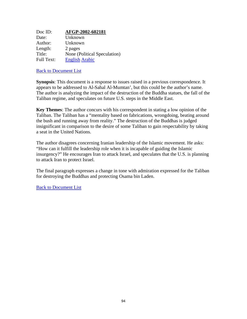| Doc ID:           | AFGP-2002-602181             |
|-------------------|------------------------------|
| Date:             | Unknown                      |
| Author:           | Unknown                      |
| Length:           | 2 pages                      |
| Title:            | None (Political Speculation) |
| <b>Full Text:</b> | <b>English Arabic</b>        |

**Synopsis**: This document is a response to issues raised in a previous correspondence. It appears to be addressed to Al-Sahal Al-Mumtan', but this could be the author's name. The author is analyzing the impact of the destruction of the Buddha statues, the fall of the Taliban regime, and speculates on future U.S. steps in the Middle East.

**Key Themes**: The author concurs with his correspondent in stating a low opinion of the Taliban. The Taliban has a "mentality based on fabrications, wrongdoing, beating around the bush and running away from reality." The destruction of the Buddhas is judged insignificant in comparison to the desire of some Taliban to gain respectability by taking a seat in the United Nations.

The author disagrees concerning Iranian leadership of the Islamic movement. He asks: "How can it fulfill the leadership role when it is incapable of guiding the Islamic insurgency?" He encourages Iran to attack Israel, and speculates that the U.S. is planning to attack Iran to protect Israel.

The final paragraph expresses a change in tone with admiration expressed for the Taliban for destroying the Buddhas and protecting Osama bin Laden.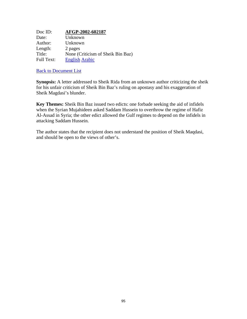| Doc ID:           | AFGP-2002-602187                  |
|-------------------|-----------------------------------|
| Date:             | Unknown                           |
| Author:           | Unknown                           |
| Length:           | 2 pages                           |
| Title:            | None (Criticism of Sheik Bin Baz) |
| <b>Full Text:</b> | <b>English Arabic</b>             |

**Synopsis:** A letter addressed to Sheik Rida from an unknown author criticizing the sheik for his unfair criticism of Sheik Bin Baz's ruling on apostasy and his exaggeration of Sheik Magdasi's blunder.

**Key Themes:** Sheik Bin Baz issued two edicts: one forbade seeking the aid of infidels when the Syrian Mujahideen asked Saddam Hussein to overthrow the regime of Hafiz Al-Assad in Syria; the other edict allowed the Gulf regimes to depend on the infidels in attacking Saddam Hussein.

The author states that the recipient does not understand the position of Sheik Maqdasi, and should be open to the views of other's.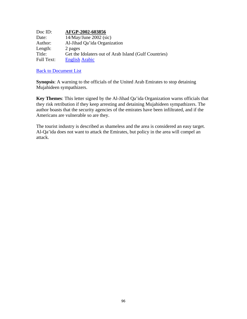| Doc ID:           | AFGP-2002-603856                                      |
|-------------------|-------------------------------------------------------|
| Date:             | $14$ /May/June 2002 (sic)                             |
| Author:           | Al-Jihad Qa'ida Organization                          |
| Length:           | 2 pages                                               |
| Title:            | Get the Idolaters out of Arab Island (Gulf Countries) |
| <b>Full Text:</b> | <b>English Arabic</b>                                 |

**Synopsis**: A warning to the officials of the United Arab Emirates to stop detaining Mujahideen sympathizers.

**Key Themes**: This letter signed by the Al-Jihad Qa'ida Organization warns officials that they risk retribution if they keep arresting and detaining Mujahideen sympathizers. The author boasts that the security agencies of the emirates have been infiltrated, and if the Americans are vulnerable so are they.

The tourist industry is described as shameless and the area is considered an easy target. Al-Qa'ida does not want to attack the Emirates, but policy in the area will compel an attack.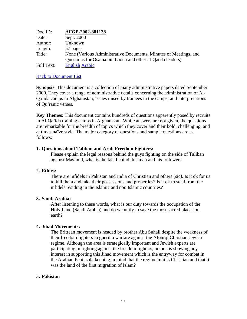| Doc ID:           | AFGP-2002-801138                                                 |
|-------------------|------------------------------------------------------------------|
| Date:             | Sept. 2000                                                       |
| Author:           | Unknown                                                          |
| Length:           | 57 pages                                                         |
| Title:            | None (Various Administrative Documents, Minutes of Meetings, and |
|                   | Questions for Osama bin Laden and other al-Qaeda leaders)        |
| <b>Full Text:</b> | <b>English Arabic</b>                                            |

**Synopsis**: This document is a collection of many administrative papers dated September 2000. They cover a range of administrative details concerning the administration of Al-Qa'ida camps in Afghanistan, issues raised by trainees in the camps, and interpretations of Qu'ranic verses.

**Key Themes**: This document contains hundreds of questions apparently posed by recruits in Al-Qa'ida training camps in Afghanistan. While answers are not given, the questions are remarkable for the breadth of topics which they cover and their bold, challenging, and at times naïve style. The major category of questions and sample questions are as follows:

#### **1. Questions about Taliban and Arab Freedom Fighters:**

Please explain the legal reasons behind the guys fighting on the side of Taliban against Mas'oud, what is the fact behind this man and his followers.

#### **2. Ethics:**

There are infidels in Pakistan and India of Christian and others (sic). Is it ok for us to kill them and take their possessions and properties? Is it ok to steal from the infidels residing in the Islamic and non Islamic countries?

# **3. Saudi Arabia:**

After listening to these words, what is our duty towards the occupation of the Holy Land (Saudi Arabia) and do we unify to save the most sacred places on earth?

#### **4. Jihad Movements:**

The Eritrean movement is headed by brother Abu Suhail despite the weakness of their freedom fighters in guerilla warfare against the Afourqi Christian Jewish regime. Although the area is strategically important and Jewish experts are participating in fighting against the freedom fighters, no one is showing any interest in supporting this Jihad movement which is the entryway for combat in the Arabian Peninsula keeping in mind that the regime in it is Christian and that it was the land of the first migration of Islam?

# **5. Pakistan**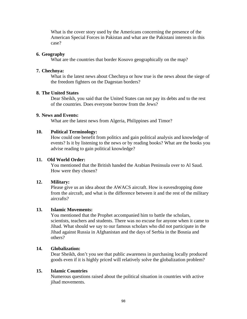What is the cover story used by the Americans concerning the presence of the American Special Forces in Pakistan and what are the Pakistani interests in this case?

#### **6. Geography**

What are the countries that border Kosovo geographically on the map?

#### **7. Chechnya:**

What is the latest news about Chechnya or how true is the news about the siege of the freedom fighters on the Dagestan borders?

#### **8. The United States**

Dear Sheikh, you said that the United States can not pay its debts and to the rest of the countries. Does everyone borrow from the Jews?

#### **9. News and Events:**

What are the latest news from Algeria, Philippines and Timor?

#### **10. Political Terminology:**

How could one benefit from politics and gain political analysis and knowledge of events? Is it by listening to the news or by reading books? What are the books you advise reading to gain political knowledge?

#### **11. Old World Order:**

You mentioned that the British handed the Arabian Peninsula over to Al Saud. How were they chosen?

#### **12. Military:**

Please give us an idea about the AWACS aircraft. How is eavesdropping done from the aircraft, and what is the difference between it and the rest of the military aircrafts?

#### **13. Islamic Movements:**

You mentioned that the Prophet accompanied him to battle the scholars, scientists, teachers and students. There was no excuse for anyone when it came to Jihad. What should we say to our famous scholars who did not participate in the Jihad against Russia in Afghanistan and the days of Serbia in the Bosnia and others?

### **14. Globalization:**

Dear Sheikh, don't you see that public awareness in purchasing locally produced goods even if it is highly priced will relatively solve the globalization problem?

#### **15. Islamic Countries**

Numerous questions raised about the political situation in countries with active jihad movements.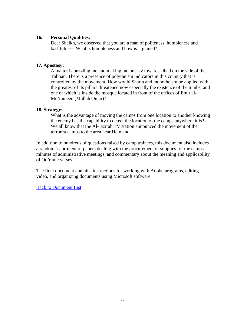#### **16. Personal Qualities:**

Dear Sheikh, we observed that you are a man of politeness, humbleness and bashfulness. What is humbleness and how is it gained?

#### **17. Apostasy:**

A matter is puzzling me and making me uneasy towards Jihad on the side of the Taliban. There is a presence of polytheism indicators in this country that is controlled by the movement. How would Sharia and monotheism be applied with the greatest of its pillars threatened now especially the existence of the tombs, and one of which is inside the mosque located in front of the offices of Emir al-Mu'mineen (Mullah Omar)?

#### **18. Strategy:**

What is the advantage of moving the camps from one location to another knowing the enemy has the capability to detect the location of the camps anywhere it is? We all know that the Al-Jazirah TV station announced the movement of the terrorist camps to the area near Helmand.

In addition to hundreds of questions raised by camp trainees, this document also includes a random assortment of papers dealing with the procurement of supplies for the camps, minutes of administrative meetings, and commentary about the meaning and applicability of Qu'ranic verses.

The final document contains instructions for working with Adobe programs, editing video, and organizing documents using Microsoft software.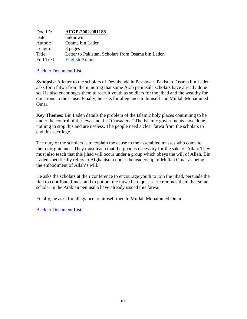| Doc ID:           | AFGP-2002-901188                                  |
|-------------------|---------------------------------------------------|
| Date:             | unknown                                           |
| Author:           | Osama bin Laden                                   |
| Length:           | 3 pages                                           |
| Title:            | Letter to Pakistani Scholars from Osama bin Laden |
| <b>Full Text:</b> | <b>English Arabic</b>                             |

**Synopsis:** A letter to the scholars of Deyubende in Peshawar, Pakistan. Osama bin Laden asks for a fatwa from them, noting that some Arab peninsula scholars have already done so. He also encourages them to recruit youth as soldiers for the jihad and the wealthy for donations to the cause. Finally, he asks for allegiance to himself and Mullah Mohammed Omar.

**Key Themes**: Bin Laden details the problem of the Islamic holy places continuing to be under the control of the Jews and the "Crusaders." The Islamic governments have done nothing to stop this and are useless. The people need a clear fatwa from the scholars to end this sacrilege.

The duty of the scholars is to explain the cause to the assembled masses who come to them for guidance. They must teach that the jihad is necessary for the sake of Allah. They must also teach that this jihad will occur under a group which obeys the will of Allah. Bin Laden specifically refers to Afghanistan under the leadership of Mullah Omar as being the embodiment of Allah's will.

He asks the scholars at their conference to encourage youth to join the jihad, persuade the rich to contribute funds, and to put out the fatwa he requests. He reminds them that some scholar in the Arabian peninsula have already issued this fatwa.

Finally, he asks for allegiance to himself then to Mullah Mohammed Omar.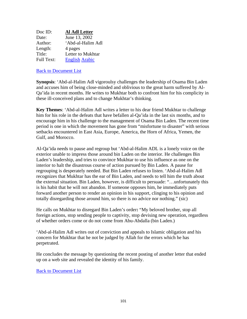| Al Adl Letter         |
|-----------------------|
| June 13, 2002         |
| 'Abd-al-Halim Adl     |
| 4 pages               |
| Letter to Mukhtar     |
| <b>English Arabic</b> |
|                       |

**Synopsis**: 'Abd-al-Halim Adl vigoroulsy challenges the leadership of Osama Bin Laden and accuses him of being close-minded and oblivious to the great harm suffered by Al-Qa'ida in recent months. He writes to Mukhtar both to confront him for his complicity in these ill-conceived plans and to change Mukhtar's thinking.

**Key Themes**: 'Abd-al-Halim Adl writes a letter to his dear friend Mukhtar to challenge him for his role in the defeats that have befallen al-Qa'ida in the last six months, and to encourage him in his challenge to the management of Osama Bin Laden. The recent time period is one in which the movement has gone from "misfortune to disaster" with serious setbacks encountered in East Asia, Europe, America, the Horn of Africa, Yemen, the Gulf, and Morocco.

Al-Qa'ida needs to pause and regroup but 'Abd-al-Halim ADL is a lonely voice on the exterior unable to impress those around bin Laden on the interior. He challenges Bin Laden's leadership, and tries to convince Mukhtar to use his influence as one on the interior to halt the disastrous course of action pursued by Bin Laden. A pause for regrouping is desperately needed. But Bin Laden refuses to listen. 'Abd-al-Halim Adl recognizes that Mukhtar has the ear of Bin Laden, and needs to tell him the truth about the external situation. Bin Laden, however, is difficult to persuade: "…unfortunately this is his habit that he will not abandon. If someone opposes him, he immediately puts forward another person to render an opinion in his support, clinging to his opinion and totally disregarding those around him, so there is no advice nor nothing." (sic)

He calls on Mukhtar to disregard Bin Laden's order**:** "My beloved brother, stop all foreign actions, stop sending people to captivity, stop devising new operation, regardless of whether orders come or do not come from Abu-Abdalla (bin Laden.)

'Abd-al-Halim Adl writes out of conviction and appeals to Islamic obligation and his concern for Mukhtar that he not be judged by Allah for the errors which he has perpetrated.

He concludes the message by questioning the recent posting of another letter that ended up on a web site and revealed the identity of his family.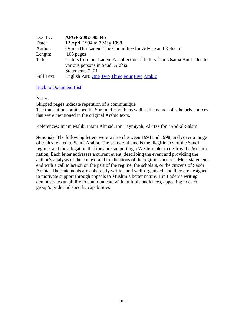| Doc ID:    | AFGP-2002-003345                                                        |
|------------|-------------------------------------------------------------------------|
| Date:      | 12 April 1994 to 7 May 1998                                             |
| Author:    | Osama Bin Laden "The Committee for Advice and Reform"                   |
| Length:    | 103 pages                                                               |
| Title:     | Letters from bin Laden: A Collection of letters from Osama Bin Laden to |
|            | various persons in Saudi Arabia                                         |
|            | Statements 7-21                                                         |
| Full Text: | English Part: One Two Three Four Five Arabic                            |

Notes:

Skipped pages indicate repetition of a communiqué The translations omit specific Sura and Hadith, as well as the names of scholarly sources that were mentioned in the original Arabic texts.

References: Imam Malik, Imam Ahmad, Ibn Taymiyah, Al-'Izz Ibn 'Abd-al-Salam

**Synopsis**: The following letters were written between 1994 and 1998, and cover a range of topics related to Saudi Arabia. The primary theme is the illegitimacy of the Saudi regime, and the allegation that they are supporting a Western plot to destroy the Muslim nation. Each letter addresses a current event, describing the event and providing the author's analysis of the context and implications of the regime's actions. Most statements end with a call to action on the part of the regime, the scholars, or the citizens of Saudi Arabia. The statements are coherently written and well-organized, and they are designed to motivate support through appeals to Muslim's better nature. Bin Laden's writing demonstrates an ability to communicate with multiple audiences, appealing to each group's pride and specific capabilities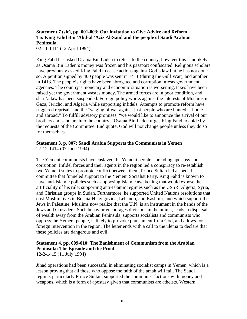# **Statement 7 (sic), pp. 001-003: Our invitation to Give Advice and Reform To: King Fahd Bin 'Abd-al 'Aziz Al-Saud and the people of Saudi Arabian Peninsula**

02-11-1414 (12 April 1994)

King Fahd has asked Osama Bin Laden to return to the country, however this is unlikely as Osama Bin Laden's money was frozen and his passport confiscated. Religious scholars have previously asked King Fahd to cease actions against God's law but he has not done so. A petition signed by 400 people was sent in 1411 (during the Gulf War), and another in 1413. The people's rights have been abrogated and corruption infests government agencies. The country's monetary and economic situation is worsening, taxes have been raised yet the government wastes money. The armed forces are in poor condition, and shari'a law has been suspended. Foreign policy works against the interests of Muslims in Gaza, Jericho, and Algeria while supporting infidels. Attempts to promote reform have triggered reprisals and the "waging of war against just people who are hunted at home and abroad." To fulfill advisory promises, "we would like to announce the arrival of our brothers and scholars into the country." Osama Bin Laden urges King Fahd to abide by the requests of the Committee. End quote: God will not change people unless they do so for themselves.

# **Statement 3, p. 007: Saudi Arabia Supports the Communists in Yemen**

27-12-1414 (07 June 1994)

The Yemeni communists have enslaved the Yemeni people, spreading apostasy and corruption. Infidel forces and their agents in the region led a conspiracy to re-establish two Yemeni states to promote conflict between them, Prince Sultan led a special committee that funneled support to the Yemeni Socialist Party. King Fahd is known to have anti-Islamic policies such as opposing Islamic awakening that would expose the artificiality of his rule; supporting anti-Islamic regimes such as the USSR, Algeria, Syria, and Christian groups in Sudan. Furthermore, he supported United Nations resolutions that cost Muslim lives in Bosnia-Herzegovina, Lebanon, and Kashmir, and which support the Jews in Palestine, Muslims now realize that the U.N. is an instrument in the hands of the Jews and Crusaders, Such behavior encourages divisions in the umma, leads to dispersal of wealth away from the Arabian Peninsula, supports socialists and communists who oppress the Yemeni people, is likely to provoke punishment from God, and allows for foreign intervention in the region. The letter ends with a call to the ulema to declare that these policies are dangerous and evil.

# **Statement 4, pp. 009-010: The Banishment of Communism from the Arabian Peninsula: The Episode and the Proof.**

12-2-1415 (11 July 1994)

Jihad operations had been successful in eliminating socialist camps in Yemen, which is a lesson proving that all those who oppose the faith of the amah will fail. The Saudi regime, particularly Prince Sultan, supported the communist factions with money and weapons, which is a form of apostasy given that communists are atheists. Western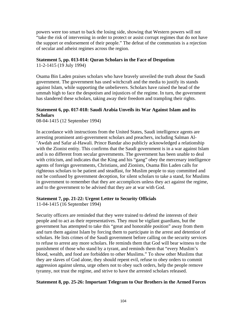powers were too smart to back the losing side, showing that Western powers will not "take the risk of intervening in order to protect or assist corrupt regimes that do not have the support or endorsement of their people." The defeat of the communists is a rejection of secular and atheist regimes across the region.

# **Statement 5, pp. 013-014: Quran Scholars in the Face of Despotism**

11-2-1415 (19 July 1994)

Osama Bin Laden praises scholars who have bravely unveiled the truth about the Saudi government. The government has used witchcraft and the media to justify its stands against Islam, while supporting the unbelievers. Scholars have raised the head of the ummah high to face the despotism and injustices of the regime. In turn, the government has slandered these scholars, taking away their freedom and trampling their rights.

# **Statement 6, pp. 017-018: Saudi Arabia Unveils its War Against Islam and its Scholars**

08-04-1415 (12 September 1994)

In accordance with instructions from the United States, Saudi intelligence agents are arresting prominent anti-government scholars and preachers, including Salman Al- 'Awdah and Safar al-Hawali. Prince Bandar also publicly acknowledged a relationship with the Zionist entity. This confirms that the Saudi government is in a war against Islam and is no different from secular governments. The government has been unable to deal with criticism, and indicates that the King and his "gang" obey the mercenary intelligence agents of foreign governments, Christians, and Zionists, Osama Bin Laden calls for righteous scholars to be patient and steadfast, for Muslim people to stay committed and not be confused by government deception, for silent scholars to take a stand, for Muslims in government to remember that they are accomplices unless they act against the regime, and to the government to be advised that they are at war with God.

# **Statement 7, pp. 21-22: Urgent Letter to Security Officials**

11-04-1415 (16 September 1994)

Security officers are reminded that they were trained to defend the interests of their people and to act as their representatives. They must be vigilant guardians, but the government has attempted to take this "great and honorable position" away from them and turn them against Islam by forcing them to participate in the arrest and detention of scholars. He lists crimes of the Saudi government before calling on the security services to refuse to arrest any more scholars. He reminds them that God will bear witness to the punishment of those who stand by a tyrant, and reminds them that "every Muslim's blood, wealth, and food are forbidden to other Muslims." To show other Muslims that they are slaves of God alone, they should repent evil, refuse to obey orders to commit aggression against ulema, urge others not to obey such orders, help the people remove tyranny, not trust the regime, and strive to have the arrested scholars released.

#### **Statement 8, pp. 25-26: Important Telegram to Our Brothers in the Armed Forces**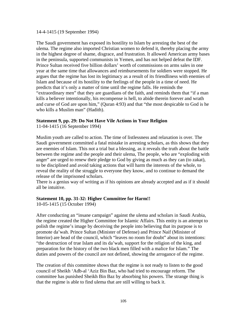14-4-1415 (19 September 1994)

The Saudi government has exposed its hostility to Islam by arresting the best of the ulema. The regime also imported Christian women to defend it, thereby placing the army in the highest degree of shame, disgrace, and frustration. It allowed American army bases in the peninsula, supported communists in Yemen, and has not helped defeat the IDF. Prince Sultan received five billion dollars' worth of commissions on arms sales in one year at the same time that allowances and reimbursements for soldiers were stopped. He argues that the regime has lost its legitimacy as a result of its friendliness with enemies of Islam and because of its hostility to the feelings of the people in a time of need. He predicts that it's only a matter of time until the regime falls. He reminds the "extraordinary men" that they are guardians of the faith, and reminds them that "if a man kills a believer intentionally, his recompense is hell, to abide therein forever and wrath and curse of God are upon him," (Quran 4:93) and that "the most despicable to God is he who kills a Muslim man" (Hadith).

# **Statement 9, pp. 29: Do Not Have Vile Actions in Your Religion**

11-04-1415 (16 September 1994)

Muslim youth are called to action. The time of listlessness and relaxation is over. The Saudi government committed a fatal mistake in arresting scholars, as this shows that they are enemies of Islam. This not a trial but a blessing, as it reveals the truth about the battle between the regime and the people and their ulema, The people, who are "exploding with anger" are urged to renew their pledge to God by giving as much as they can (to zakat), to be disciplined and avoid taking actions that will harm the interests of the whole, to reveal the reality of the struggle to everyone they know, and to continue to demand the release of the imprisoned scholars.

There is a genius way of writing as if his opinions are already accepted and as if it should all be intuitive.

#### **Statement 10, pp. 31-32: Higher Committee for Harm!!**

10-05-1415 (15 October 1994)

After conducting an "insane campaign" against the ulema and scholars in Saudi Arabia, the regime created the Higher Committee for Islamic Affairs. This entity is an attempt to polish the regime's image by deceiving the people into believing that its purpose is to promote da'wah. Prince Sultan (Minister of Defense) and Prince Naif (Minister of Interior) are head of the council, which "leaves no room for doubt" about its intentions: "the destruction of true Islam and its da'wah, support for the religion of the king, and preparation for the history of the two black men filled with a malice for Islam." The duties and powers of the council are not defined, showing the arrogance of the regime.

The creation of this committee shows that the regime is not ready to listen to the good council of Sheikh 'Adb-al 'Aziz Bin Baz, who had tried to encourage reform. The committee has punished Sheikh Bin Baz by absorbing his powers. The strange thing is that the regime is able to find ulema that are still willing to back it.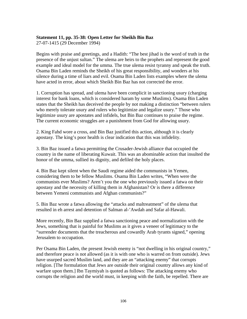# **Statement 11, pp. 35-38: Open Letter for Sheikh Bin Baz**

27-07-1415 (29 December 1994)

Begins with praise and greetings, and a Hadith: "The best jihad is the word of truth in the presence of the unjust sultan." The ulema are heirs to the prophets and represent the good example and ideal model for the umma. The true ulema resist tyranny and speak the truth. Osama Bin Laden reminds the Sheikh of his great responsibility, and wonders at his silence during a time of liars and evil. Osama Bin Laden lists examples where the ulema have acted in error, about which Sheikh Bin Baz has not corrected the error.

1. Corruption has spread, and ulema have been complicit in sanctioning usury (charging interest for bank loans, which is considered haram by some Muslims). Osama Bin Laden states that the Sheikh has deceived the people by not making a distinction "between rulers who merely tolerate usury and rulers who legitimize and legalize usury." Those who legitimize usury are apostates and infidels, but Bin Baz continues to praise the regime. The current economic struggles are a punishment from God for allowing usury.

2. King Fahd wore a cross, and Bin Baz justified this action, although it is clearly apostasy. The king's poor health is clear indication that this was infidelity.

3. Bin Baz issued a fatwa permitting the Crusader-Jewish alliance that occupied the country in the name of liberating Kuwait. This was an abominable action that insulted the honor of the umma, sullied its dignity, and defiled the holy places.

4. Bin Baz kept silent when the Saudi regime aided the communists in Yemen, considering them to be fellow Muslims. Osama Bin Laden writes, "When were the communists ever Muslims? Aren't you the one who previously issued a fatwa on their apostasy and the necessity of killing them in Afghanistan? Or is there a difference between Yemeni communists and Afghan communists?"

5. Bin Baz wrote a fatwa allowing the "attacks and maltreatment" of the ulema that resulted in eh arrest and detention of Salman al-'Awdah and Safar al-Hawali.

More recently, Bin Baz supplied a fatwa sanctioning peace and normalization with the Jews, something that is painful for Muslims as it gives a veneer of legitimacy to the "surrender documents that the treacherous and cowardly Arab tyrants signed," opening Jerusalem to occupation.

Per Osama Bin Laden, the present Jewish enemy is "not dwelling in his original country," and therefore peace is not allowed (as it is with one who is warred on from outside). Jews have usurped sacred Muslim land, and they are an "attacking enemy" that corrupts religion. [The formulation that Jews are outside their original country allows any kind of warfare upon them.] Ibn Taymiyah is quoted as follows: The attacking enemy who corrupts the religion and the world must, in keeping with the faith, be repelled. There are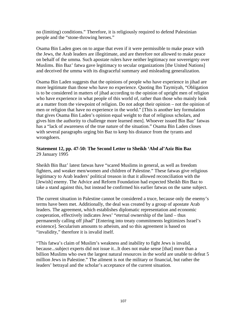no (limiting) conditions." Therefore, it is religiously required to defend Palestinian people and the "stone-throwing heroes."

Osama Bin Laden goes on to argue that even if it were permissible to make peace with the Jews, the Arab leaders are illegitimate, and are therefore not allowed to make peace on behalf of the umma. Such apostate rulers have neither legitimacy nor sovereignty over Muslims. Bin Baz' fatwa gave legitimacy to secular organizations [the United Nations] and deceived the umma with its disgraceful summary and misleading generalization.

Osama Bin Laden suggests that the opinions of people who have experience in jihad are more legitimate than those who have no experience. Quoting Ibn Taymiyah, "Obligation is to be considered in matters of jihad according to the opinion of upright men of religion who have experience in what people of this world of, rather than those who mainly look at a matter from the viewpoint of religion. Do not adopt their opinion – not the opinion of men or religion that have no experience in the world." [This is another key formulation that gives Osama Bin Laden's opinion equal weight to that of religious scholars, and gives him the authority to challenge more learned men]. Whoever issued Bin Baz' fatwas has a "lack of awareness of the true nature of the situation." Osama Bin Laden closes with several paragraphs urging bin Baz to keep his distance from the tyrants and wrongdoers.

# **Statement 12, pp. 47-50: The Second Letter to Sheikh 'Abd al'Aziz Bin Baz** 29 January 1995

Sheikh Bin Baz' latest fatwas have "scared Muslims in general, as well as freedom fighters, and weaker men/women and children of Palestine." These fatwas give religious legitimacy to Arab leaders' political treason in that it allowed reconciliation with the [Jewish] enemy. The Advice and Reform Foundation had expected Sheikh Bin Baz to take a stand against this, but instead he confirmed his earlier fatwas on the same subject.

The current situation in Palestine cannot be considered a truce, because only the enemy's terms have been met. Additionally, the deal was created by a group of apostate Arab leaders. The agreement, which establishes diplomatic representation and economic cooperation, effectively indicates Jews' "eternal ownership of the land – thus permanently calling off jihad" [Entering into treaty commitments legitimizes Israel's existence]. Secularism amounts to atheism, and so this agreement is based on "invalidity," therefore it is invalid itself.

"This fatwa's claim of Muslim's weakness and inability to fight Jews is invalid, because...subject experts did not issue it...It does not make sense [that] more than a billion Muslims who own the largest natural resources in the world are unable to defeat 5 million Jews in Palestine." The ailment is not the military or financial, but rather the leaders' betrayal and the scholar's acceptance of the current situation.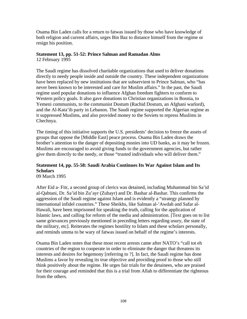Osama Bin Laden calls for a return to fatwas issued by those who have knowledge of both religion and current affairs, urges Bin Baz to distance himself from the regime or resign his position.

#### **Statement 13, pp. 51-52: Prince Salman and Ramadan Alms**

12 February 1995

The Saudi regime has dissolved charitable organizations that used to deliver donations directly to needy people inside and outside the country. These independent organizations have been replaced by new institutions that are subservient to Prince Salman, who "has never been known to be interested and care for Muslim affairs." In the past, the Saudi regime used popular donations to influence Afghan freedom fighters to conform to Western policy goals. It also gave donations to Christian organizations in Bosnia, to Yemeni communists, to the communist Dostum (Rachid Dostum, an Afghani warlord), and the Al-Kata'ib party in Lebanon. The Saudi regime supported the Algerian regime as it suppressed Muslims, and also provided money to the Soviets to repress Muslims in Chechnya.

The timing of this initiative supports the U.S. presidents' decision to freeze the assets of groups that oppose the [Middle East] peace process. Osama Bin Laden draws the brother's attention to the danger of depositing monies into UD banks, as it may be frozen. Muslims are encouraged to avoid giving funds to the government agencies, but rather give them directly to the needy, or those "trusted individuals who will deliver them."

## **Statement 14, pp. 55-58: Saudi Arabia Continues Its War Against Islam and Its Scholars**

09 March 1995

After Eid a- Fitr, a second group of clerics was detained, including Muhammad bin Sa'id al-Qahtani, Dr. Sa'id bin Zu'ayr (Zuhayr) and Dr. Bashar al-Bashar. This confirms the aggression of the Saudi regime against Islam and is evidently a "strategy planned by international infidel countries." These Sheikhs, like Salman al-'Awdah and Safar al-Hawali, have been imprisoned for speaking the truth, calling for the application of Islamic laws, and calling for reform of the media and administration. [Text goes on to list same grievances previously mentioned in preceding letters regarding usury, the state of the military, etc]. Reiterates the regimes hostility to Islam and these scholars personally, and reminds umma to be wary of fatwas issued on behalf of the regime's interests.

Osama Bin Laden notes that these most recent arrests came after NATO's "call tot eh countries of the region to cooperate in order to eliminate the danger that threatens its interests and desires for hegemony [referring to ?]. In fact, the Saudi regime has done Muslims a favor by revealing its true objective and providing proof to those who still think positively about the regime. He urges fair trials for the detainees, who are praised for their courage and reminded that this is a trial from Allah to differentiate the righteous from the others.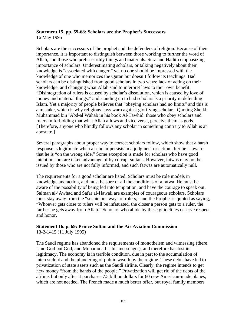#### **Statement 15, pp. 59-68: Scholars are the Prophet's Successors**  16 May 1995

Scholars are the successors of the prophet and the defenders of religion. Because of their importance, it is important to distinguish between those working to further the word of Allah, and those who prefer earthly things and materials. Sura and Hadith emphasizing importance of scholars. Underestimating scholars, or talking negatively about their knowledge is "associated with danger," yet no one should be impressed with the knowledge of one who memorizes the Quran but doesn't follow its teachings. Bad scholars can be distinguished from good scholars in two ways: lack of acting on their knowledge, and changing what Allah said to interpret laws to their own benefit. "Disintegration of rulers is caused by scholar's dissolution, which is caused by love of money and material things," and standing up to bad scholars is a priority in defending Islam. Yet a majority of people believes that "obeying scholars had no limits" and this is a mistake, which is why religious laws warn against glorifying scholars. Quoting Sheikh Muhammad bin 'Abd-al Wahab in his book Al-Tawhid: those who obey scholars and rulers in forbidding that what Allah allows and vice versa, perceive them as gods. [Therefore, anyone who blindly follows any scholar in something contrary to Allah is an apostate.]

Several paragraphs about proper way to correct scholars follow, which show that a harsh response is legitimate when a scholar persists in a judgment or action after he is aware that he is "on the wrong side." Some exception is made for scholars who have good intentions but are taken advantage of by corrupt sultans. However, fatwas may not be issued by those who are not fully informed, and such fatwas are automatically null.

The requirements for a good scholar are listed. Scholars must be role models in knowledge and action, and must be sure of all the conditions of a fatwa. He must be aware of the possibility of being led into temptation, and have the courage to speak out. Salman al-'Awhad and Safar al-Hawali are examples of courageous scholars. Scholars must stay away from the "suspicious ways of rulers," and the Prophet is quoted as saying, "Whoever gets close to rulers will be infatuated, the closer a person gets to a ruler, the farther he gets away from Allah." Scholars who abide by these guidelines deserve respect and honor.

#### **Statement 16. p. 69: Prince Sultan and the Air Aviation Commission**  13-2-1415 (11 July 1995)

The Saudi regime has abandoned the requirements of monotheism and witnessing (there is no God but God, and Mohammad is his messenger), and therefore has lost its legitimacy. The economy is in terrible condition, due in part to the accumulation of interest debt and the plundering of public wealth by the regime. These debts have led to privatization of state assets such as the Saudi airline. Clearly, the regime intends to get new money "from the hands of the people." Privatization will get rid of the debts of the airline, but only after it purchases 7.5 billion dollars for 60 new American-made planes, which are not needed. The French made a much better offer, but royal family members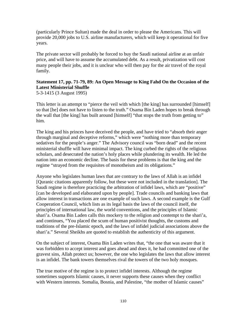(particularly Prince Sultan) made the deal in order to please the Americans. This will provide 20,000 jobs to U.S. airline manufacturers, which will keep it operational for five years.

The private sector will probably be forced to buy the Saudi national airline at an unfair price, and will have to assume the accumulated debt. As a result, privatization will cost many people their jobs, and it is unclear who will then pay for the air travel of the royal family.

## **Statement 17, pp. 71-79, 89: An Open Message to King Fahd On the Occasion of the Latest Ministerial Shuffle**

5-3-1415 (3 August 1995)

This letter is an attempt to "pierce the veil with which [the king] has surrounded [himself] so that [he] does not have to listen to the truth." Osama Bin Laden hopes to break through the wall that [the king] has built around [himself] "that stops the truth from getting to" him.

The king and his princes have deceived the people, and have tried to "absorb their anger through marginal and deceptive reforms," which were "nothing more than temporary sedatives for the people's anger." The Advisory council was "born dead" and the recent ministerial shuffle will have minimal impact. The king curbed the rights of the religious scholars, and desecrated the nation's holy places while plundering its wealth. He led the nation into an economic decline. The basis for these problems is that the king and the regime "strayed from the requisites of monotheism and its obligations."

Anyone who legislates human laws that are contrary to the laws of Allah is an infidel [Quranic citations apparently follow, but these were not included in the translation]. The Saudi regime is therefore practicing the arbitration of infidel laws, which are "positive" [can be developed and elaborated upon by people]. Trade councils and banking laws that allow interest in transactions are one example of such laws. A second example is the Gulf Cooperation Council, which lists as its legal basis the laws of the council itself, the principles of international law, the world conventions, and the principles of Islamic shari'a. Osama Bin Laden calls this mockery to the religion and contempt to the shari'a, and continues, "You placed the scum of human positivist thoughts, the customs and traditions of the pre-Islamic epoch, and the laws of infidel judicial associations above the shari'a." Several Sheikhs are quoted to establish the authenticity of this argument.

On the subject of interest, Osama Bin Laden writes that, "the one that was aware that it was forbidden to accept interest and goes ahead and does it, he had committed one of the gravest sins, Allah protect us; however, the one who legislates the laws that allow interest is an infidel. The bank towers themselves rival the towers of the two holy mosques.

The true motive of the regime is to protect infidel interests. Although the regime sometimes supports Islamic causes, it never supports these causes when they conflict with Western interests. Somalia, Bosnia, and Palestine, "the mother of Islamic causes"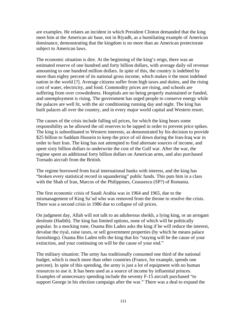are examples. He relates an incident in which President Clinton demanded that the king meet him at the American air base, not in Riyadh, as a humiliating example of American dominance, demonstrating that the kingdom is no more than an American protectorate subject to American laws.

The economic situation is dire. At the beginning of the king's reign, there was an estimated reserve of one hundred and forty billion dollars, with average daily oil revenue amounting to one hundred million dollars. In spite of this, the country is indebted by more than eighty percent of its national gross income, which makes it the most indebted nation in the world [?]. Average citizens suffer from high taxes and duties, and the rising cost of water, electricity, and food. Commodity prices are rising, and schools are suffering from over crowdedness. Hospitals are no being properly maintained or funded, and unemployment is rising. The government has urged people to conserve energy while the palaces are well lit, with the air conditioning running day and night. The king has built palaces all over the country, and in every major world capital and Western resort.

The causes of the crisis include falling oil prices, for which the king bears some responsibility as he allowed the oil reserves to be tapped in order to prevent price spikes. The king is subordinated to Western interests, as demonstrated by his decision to provide \$25 billion to Saddam Hussein to keep the price of oil down during the Iran-Iraq war in order to hurt Iran. The king has not attempted to find alternate sources of income, and spent sixty billion dollars to underwrite the cost of the Gulf war. After the war, the regime spent an additional forty billion dollars on American arms, and also purchased Tornado aircraft from the British.

The regime borrowed from local international banks with interest, and the king has "broken every statistical record in squandering" public funds. This puts him in a class with the Shah of Iran, Marcos of the Philippines, Ceausescu (SP?) of Romania.

The first economic crisis of Saudi Arabia was in 1964 and 1965, due to the mismanagement of King Sa'ud who was removed from the throne to resolve the crisis. There was a second crisis in 1986 due to collapse of oil prices.

On judgment day, Allah will not talk to an adulterous sheikh, a lying king, or an arrogant destitute (Hadith). The king has limited options, none of which will be politically popular. In a mocking tone, Osama Bin Laden asks the king if he will reduce the interest, devalue the riyal, raise taxes, or sell government properties (by which he means palace furnishings). Osama Bin Laden tells the king that his "staying will be the cause of your extinction, and your continuing on will be the cause of your end."

The military situation: The army has traditionally consumed one third of the national budget, which is much more than other countries (France, for example, spends one percent). In spite of this spending, the army is just a lot of equipment with no human resources to use it. It has been used as a source of income by influential princes. Examples of unnecessary spending include the seventy F-15 aircraft purchased "to support George in his election campaign after the war." There was a deal to expand the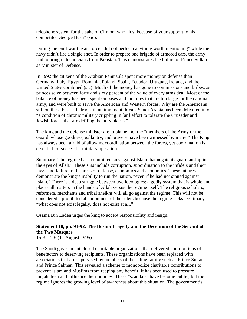telephone system for the sake of Clinton, who "lost because of your support to his competitor George Bush" (sic).

During the Gulf war the air force "did not perform anything worth mentioning" while the navy didn't fire a single shot. In order to prepare one brigade of armored cars, the army had to bring in technicians from Pakistan. This demonstrates the failure of Prince Sultan as Minister of Defense.

In 1992 the citizens of the Arabian Peninsula spent more money on defense than Germany, Italy, Egypt, Romania, Poland, Spain, Ecuador, Uruguay, Ireland, and the United States combined (sic). Much of the money has gone to commissions and bribes, as princes seize between forty and sixty percent of the value of every arms deal. Most of the balance of money has been spent on bases and facilities that are too large for the national army, and were built to serve the American and Western forces. Why are the Americans still on these bases? Is Iraq still an imminent threat? Saudi Arabia has been delivered into "a condition of chronic military crippling in [an] effort to tolerate the Crusader and Jewish forces that are defiling the holy places."

The king and the defense minister are to blame, not the "members of the Army or the Guard, whose goodness, gallantry, and bravery have been witnessed by many." The King has always been afraid of allowing coordination between the forces, yet coordination is essential for successful military operation.

Summary: The regime has "committed sins against Islam that negate its guardianship in the eyes of Allah." These sins include corruption, subordination to the infidels and their laws, and failure in the areas of defense, economics and economics. These failures demonstrate the king's inability to run the nation, "even if he had not sinned against Islam." There is a deep struggle between two ideologies: a godly system that is whole and places all matters in the hands of Allah versus the regime itself. The religious scholars, reformers, merchants and tribal sheikhs will all go against the regime. This will not be considered a prohibited abandonment of the rulers because the regime lacks legitimacy: "what does not exist legally, does not exist at all."

Osama Bin Laden urges the king to accept responsibility and resign.

# **Statement 18, pp. 91-92: The Bosnia Tragedy and the Deception of the Servant of the Two Mosques**

15-3-1416 (11 August 1995)

The Saudi government closed charitable organizations that delivered contributions of benefactors to deserving recipients. These organizations have been replaced with associations that are supervised by members of the ruling family such as Prince Sultan and Prince Salman. This revealed a scheme to monopolize charitable contributions to prevent Islam and Muslims from reaping any benefit. It has been used to pressure mujahideen and influence their policies. These "scandals" have become public, but the regime ignores the growing level of awareness about this situation. The government's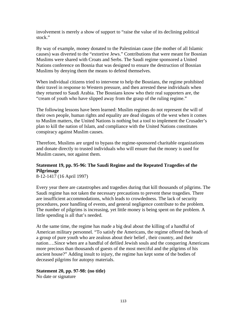involvement is merely a show of support to "raise the value of its declining political stock."

By way of example, money donated to the Palestinian cause (the mother of all Islamic causes) was diverted to the "extortive Jews." Contributions that were meant for Bosnian Muslims were shared with Croats and Serbs. The Saudi regime sponsored a United Nations conference on Bosnia that was designed to ensure the destruction of Bosnian Muslims by denying them the means to defend themselves.

When individual citizens tried to intervene to help the Bosnians, the regime prohibited their travel in response to Western pressure, and then arrested these individuals when they returned to Saudi Arabia. The Bosnians know who their real supporters are, the "cream of youth who have slipped away from the grasp of the ruling regime."

The following lessons have been learned: Muslim regimes do not represent the will of their own people, human rights and equality are dead slogans of the west when it comes to Muslim matters, the United Nations is nothing but a tool to implement the Crusader's plan to kill the nation of Islam, and compliance with the United Nations constitutes conspiracy against Muslim causes.

Therefore, Muslims are urged to bypass the regime-sponsored charitable organizations and donate directly to trusted individuals who will ensure that the money is used for Muslim causes, not against them.

## **Statement 19, pp. 95-96: The Saudi Regime and the Repeated Tragedies of the Pilgrimage**

8-12-1417 (16 April 1997)

Every year there are catastrophes and tragedies during that kill thousands of pilgrims. The Saudi regime has not taken the necessary precautions to prevent these tragedies. There are insufficient accommodations, which leads to crowdedness. The lack of security procedures, poor handling of events, and general negligence contribute to the problem. The number of pilgrims is increasing, yet little money is being spent on the problem. A little spending is all that's needed.

At the same time, the regime has made a big deal about the killing of a handful of American military personnel. "To satisfy the Americans, the regime offered the heads of a group of pure youth who are zealous about their belief , their country, and their nation….Since when are a handful of defiled Jewish souls and the conquering Americans more precious than thousands of guests of the most merciful and the pilgrims of his ancient house?" Adding insult to injury, the regime has kept some of the bodies of deceased pilgrims for autopsy materials.

## **Statement 20, pp. 97-98: (no title)**

No date or signature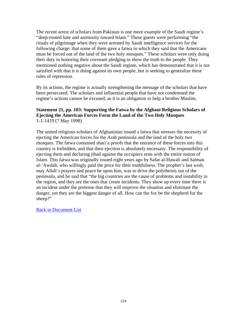The recent arrest of scholars from Pakistan is one more example of the Saudi regime's "deep-rooted hate and animosity toward Islam." These guests were performing "the rituals of pilgrimage when they were arrested by Saudi intelligence services for the following charge: that some of them gave a fatwa in which they said that the Americans must be forced out of the land of the two holy mosques." These scholars were only doing their duty in honoring their covenant pledging to show the truth to the people. They mentioned nothing negative about the Saudi regime, which has demonstrated that it is not satisfied with that it is doing against its own people, but is seeking to generalize these rules of repression.

By its actions, the regime is actually strengthening the message of the scholars that have been persecuted. The scholars and influential people that have not condemned the regime's actions cannot be excused, as it is an obligation to help a brother Muslim.

## **Statement 21, pp. 103: Supporting the Fatwa by the Afghani Religious Scholars of Ejecting the American Forces Form the Land of the Two Holy Mosques**  1-1-1419 (7 May 1998)

The united religious scholars of Afghanistan issued a fatwa that stresses the necessity of ejecting the American forces for the Arab peninsula and the land of the holy two mosques. The fatwa contained shari'a proofs that the entrance of these forces into this country is forbidden, and that their ejection is absolutely necessary. The responsibility of ejecting them and declaring jihad against the occupiers rests with the entire nation of Islam. This fatwa was originally issued eight years ago by Safar al-Hawali and Salman al-'Awdah, who willingly paid the price for their truthfulness. The prophet's last wish, may Allah's prayers and peace be upon him, was to drive the polytheists out of the peninsula, and he said that "the big countries are the cause of problems and instability in the region, and they are the ones that create incidents. They show up every time there is an incident under the pretense that they will improve the situation and eliminate the danger, yet they are the biggest danger of all. How can the fox be the shepherd for the sheep?"

[Back to Document List](#page-58-0)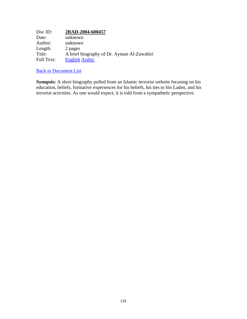Doc ID: **2RAD-2004-600457** Date: unknown Author: unknown Length: 2 pages<br>Title: A brief A brief biography of Dr. Ayman Al-Zawahiri Full Text: [English](http://www.ctc.usma.edu/aq/2RAD-2004-600457-Trans.pdf) [Arabic](http://www.ctc.usma.edu/aq/2RAD-2004-600457-Orig.pdf)

[Back to Document List](#page-58-0)

**Synopsis:** A short biography pulled from an Islamic terrorist website focusing on his education, beliefs, formative experiences for his beliefs, his ties to bin Laden, and his terrorist activities. As one would expect, it is told from a sympathetic perspective.